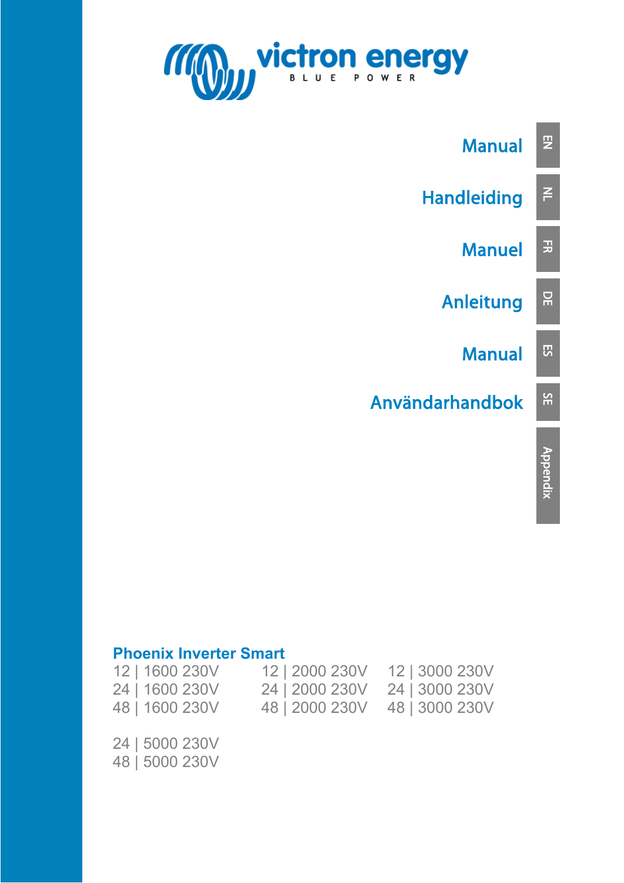



## **Phoenix Inverter Smart**

| 12   1600 230V | 12   2000 230V | 12   3000 230V |
|----------------|----------------|----------------|
| 24   1600 230V | 24   2000 230V | 24   3000 230V |
| 48   1600 230V | 48   2000 230V | 48   3000 230V |

24 | 5000 230V 48 | 5000 230V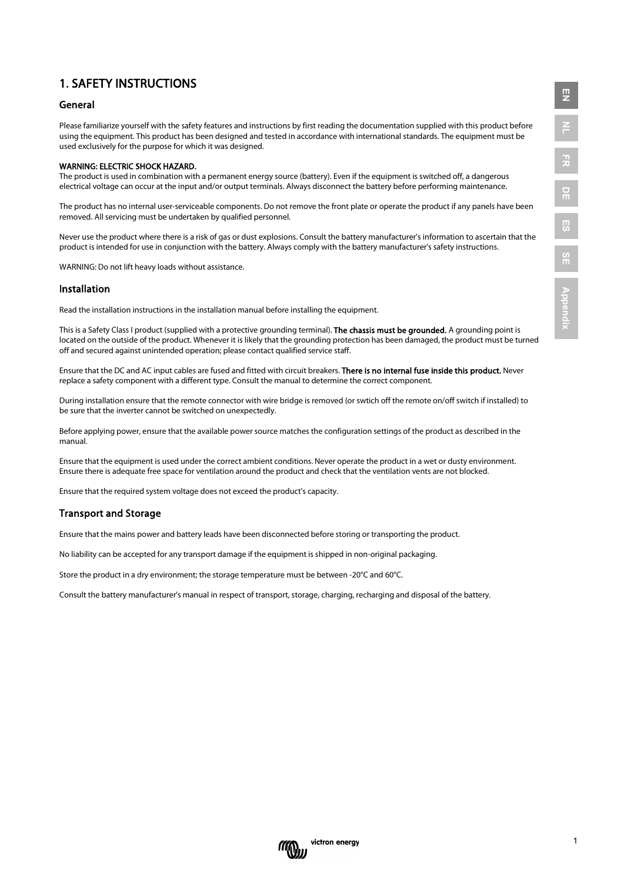## 1. SAFETY INSTRUCTIONS

### General

Please familiarize yourself with the safety features and instructions by first reading the documentation supplied with this product before using the equipment. This product has been designed and tested in accordance with international standards. The equipment must be used exclusively for the purpose for which it was designed.

#### WARNING: ELECTRIC SHOCK HAZARD.

The product is used in combination with a permanent energy source (battery). Even if the equipment is switched off, a dangerous electrical voltage can occur at the input and/or output terminals. Always disconnect the battery before performing maintenance.

The product has no internal user-serviceable components. Do not remove the front plate or operate the product if any panels have been removed. All servicing must be undertaken by qualified personnel.

Never use the product where there is a risk of gas or dust explosions. Consult the battery manufacturer's information to ascertain that the product is intended for use in conjunction with the battery. Always comply with the battery manufacturer's safety instructions.

WARNING: Do not lift heavy loads without assistance.

#### Installation

Read the installation instructions in the installation manual before installing the equipment.

This is a Safety Class I product (supplied with a protective grounding terminal). The chassis must be grounded. A grounding point is located on the outside of the product. Whenever it is likely that the grounding protection has been damaged, the product must be turned off and secured against unintended operation; please contact qualified service staff.

Ensure that the DC and AC input cables are fused and fitted with circuit breakers. There is no internal fuse inside this product. Never replace a safety component with a different type. Consult the manual to determine the correct component.

During installation ensure that the remote connector with wire bridge is removed (or swtich off the remote on/off switch if installed) to be sure that the inverter cannot be switched on unexpectedly.

Before applying power, ensure that the available power source matches the configuration settings of the product as described in the manual.

Ensure that the equipment is used under the correct ambient conditions. Never operate the product in a wet or dusty environment. Ensure there is adequate free space for ventilation around the product and check that the ventilation vents are not blocked.

Ensure that the required system voltage does not exceed the product's capacity.

### Transport and Storage

Ensure that the mains power and battery leads have been disconnected before storing or transporting the product.

No liability can be accepted for any transport damage if the equipment is shipped in non-original packaging.

Store the product in a dry environment; the storage temperature must be between -20°C and 60°C.

Consult the battery manufacturer's manual in respect of transport, storage, charging, recharging and disposal of the battery.



**EN**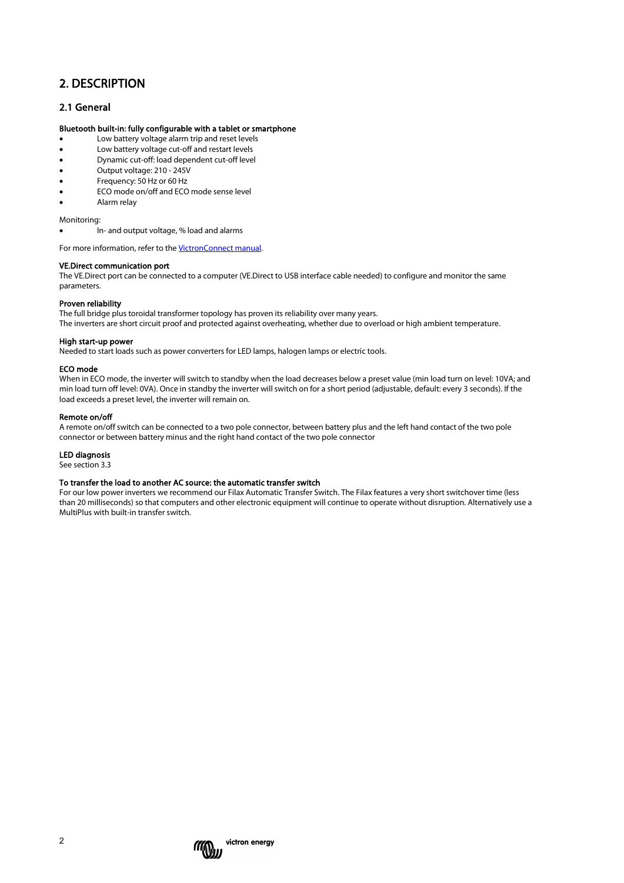## 2. DESCRIPTION

## 2.1 General

#### Bluetooth built-in: fully configurable with a tablet or smartphone

- Low battery voltage alarm trip and reset levels
- Low battery voltage cut-off and restart levels
- Dynamic cut-off: load dependent cut-off level
- Output voltage: 210 245V
- Frequency: 50 Hz or 60 Hz
- ECO mode on/off and ECO mode sense level
- Alarm relay

Monitoring:

• In- and output voltage, % load and alarms

For more information, refer to th[e VictronConnect manual.](https://www.victronenergy.com/live/victronconnect:start)

#### VE.Direct communication port

The VE.Direct port can be connected to a computer (VE.Direct to USB interface cable needed) to configure and monitor the same parameters.

#### Proven reliability

The full bridge plus toroidal transformer topology has proven its reliability over many years. The inverters are short circuit proof and protected against overheating, whether due to overload or high ambient temperature.

#### High start-up power

Needed to start loads such as power converters for LED lamps, halogen lamps or electric tools.

#### ECO mode

When in ECO mode, the inverter will switch to standby when the load decreases below a preset value (min load turn on level: 10VA; and min load turn off level: 0VA). Once in standby the inverter will switch on for a short period (adjustable, default: every 3 seconds). If the load exceeds a preset level, the inverter will remain on.

#### Remote on/off

A remote on/off switch can be connected to a two pole connector, between battery plus and the left hand contact of the two pole connector or between battery minus and the right hand contact of the two pole connector

#### LED diagnosis

See section 3.3

#### To transfer the load to another AC source: the automatic transfer switch

For our low power inverters we recommend our Filax Automatic Transfer Switch. The Filax features a very short switchover time (less than 20 milliseconds) so that computers and other electronic equipment will continue to operate without disruption. Alternatively use a MultiPlus with built-in transfer switch.

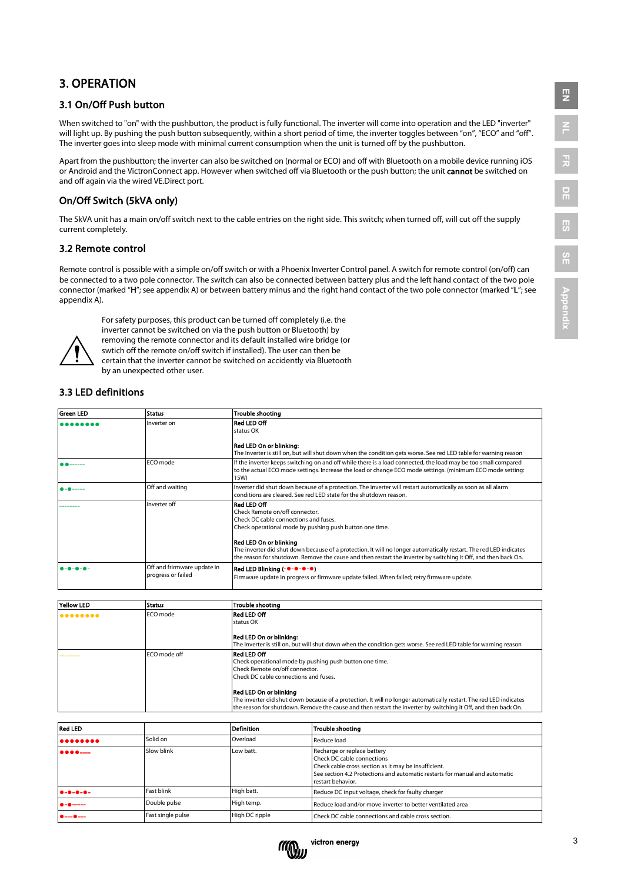## 3. OPERATION

## 3.1 On/Off Push button

When switched to "on" with the pushbutton, the product is fully functional. The inverter will come into operation and the LED "inverter" will light up. By pushing the push button subsequently, within a short period of time, the inverter toggles between "on", "ECO" and "off". The inverter goes into sleep mode with minimal current consumption when the unit is turned off by the pushbutton.

Apart from the pushbutton; the inverter can also be switched on (normal or ECO) and off with Bluetooth on a mobile device running iOS or Android and the VictronConnect app. However when switched off via Bluetooth or the push button; the unit cannot be switched on and off again via the wired VE.Direct port.

## On/Off Switch (5kVA only)

The 5kVA unit has a main on/off switch next to the cable entries on the right side. This switch; when turned off, will cut off the supply current completely.

## 3.2 Remote control

Remote control is possible with a simple on/off switch or with a Phoenix Inverter Control panel. A switch for remote control (on/off) can be connected to a two pole connector. The switch can also be connected between battery plus and the left hand contact of the two pole connector (marked "H"; see appendix A) or between battery minus and the right hand contact of the two pole connector (marked "L"; see appendix A).



For safety purposes, this product can be turned off completely (i.e. the inverter cannot be switched on via the push button or Bluetooth) by removing the remote connector and its default installed wire bridge (or swtich off the remote on/off switch if installed). The user can then be certain that the inverter cannot be switched on accidently via Bluetooth

## by an unexpected other user.

3.3 LED definitions

| 3.3 LLD GEHHUOH3 |                                                   |                                                                                                                                                                                                                                                                                                                                                                                                                                   |
|------------------|---------------------------------------------------|-----------------------------------------------------------------------------------------------------------------------------------------------------------------------------------------------------------------------------------------------------------------------------------------------------------------------------------------------------------------------------------------------------------------------------------|
| <b>Green LED</b> | <b>Status</b>                                     | Trouble shooting                                                                                                                                                                                                                                                                                                                                                                                                                  |
| $•••••••••$      | Inverter on                                       | <b>Red LED Off</b><br>status OK                                                                                                                                                                                                                                                                                                                                                                                                   |
|                  |                                                   | <b>Red LED On or blinking:</b><br>The Inverter is still on, but will shut down when the condition gets worse. See red LED table for warning reason                                                                                                                                                                                                                                                                                |
|                  | ECO mode                                          | If the inverter keeps switching on and off while there is a load connected, the load may be too small compared<br>to the actual ECO mode settings. Increase the load or change ECO mode settings. (minimum ECO mode setting:<br>15W)                                                                                                                                                                                              |
|                  | Off and waiting                                   | Inverter did shut down because of a protection. The inverter will restart automatically as soon as all alarm<br>conditions are cleared. See red LED state for the shutdown reason.                                                                                                                                                                                                                                                |
|                  | Inverter off                                      | <b>Red LED Off</b><br>Check Remote on/off connector.<br>Check DC cable connections and fuses.<br>Check operational mode by pushing push button one time.<br><b>Red LED On or blinking</b><br>The inverter did shut down because of a protection. It will no longer automatically restart. The red LED indicates<br>the reason for shutdown. Remove the cause and then restart the inverter by switching it Off, and then back On. |
|                  | Off and frirmware update in<br>progress or failed | Red LED Blinking (-0-0-0-0)<br>Firmware update in progress or firmware update failed. When failed; retry firmware update.                                                                                                                                                                                                                                                                                                         |

| Yellow LED   | <b>Status</b> | Trouble shooting                                                                                                                            |
|--------------|---------------|---------------------------------------------------------------------------------------------------------------------------------------------|
| $••••••••••$ | ECO mode      | <b>Red LED Off</b>                                                                                                                          |
|              |               | status OK                                                                                                                                   |
|              |               | Red LED On or blinking:<br>The Inverter is still on, but will shut down when the condition gets worse. See red LED table for warning reason |
|              | ECO mode off  | <b>Red LED Off</b>                                                                                                                          |
|              |               | Check operational mode by pushing push button one time.                                                                                     |
|              |               | Check Remote on/off connector.                                                                                                              |
|              |               | Check DC cable connections and fuses.                                                                                                       |
|              |               | Red LED On or blinking                                                                                                                      |
|              |               | The inverter did shut down because of a protection. It will no longer automatically restart. The red LED indicates                          |
|              |               | the reason for shutdown. Remove the cause and then restart the inverter by switching it Off, and then back On.                              |

| <b>Red LED</b>                  |                   | <b>Definition</b> | <b>Trouble shooting</b>                                                                                                                                                                                               |
|---------------------------------|-------------------|-------------------|-----------------------------------------------------------------------------------------------------------------------------------------------------------------------------------------------------------------------|
| $•••••••••$                     | Solid on          | Overload          | Reduce load                                                                                                                                                                                                           |
| ----                            | Slow blink        | Low batt.         | Recharge or replace battery<br>Check DC cable connections<br>Check cable cross section as it may be insufficient.<br>See section 4.2 Protections and automatic restarts for manual and automatic<br>restart behavior. |
| $0 - 0 - 0 - 0 -$               | Fast blink        | High batt.        | Reduce DC input voltage, check for faulty charger                                                                                                                                                                     |
| $0 - 0 -$                       | Double pulse      | High temp.        | Reduce load and/or move inverter to better ventilated area                                                                                                                                                            |
| $\bullet \cdots \bullet \cdots$ | Fast single pulse | High DC ripple    | Check DC cable connections and cable cross section.                                                                                                                                                                   |



**EN**

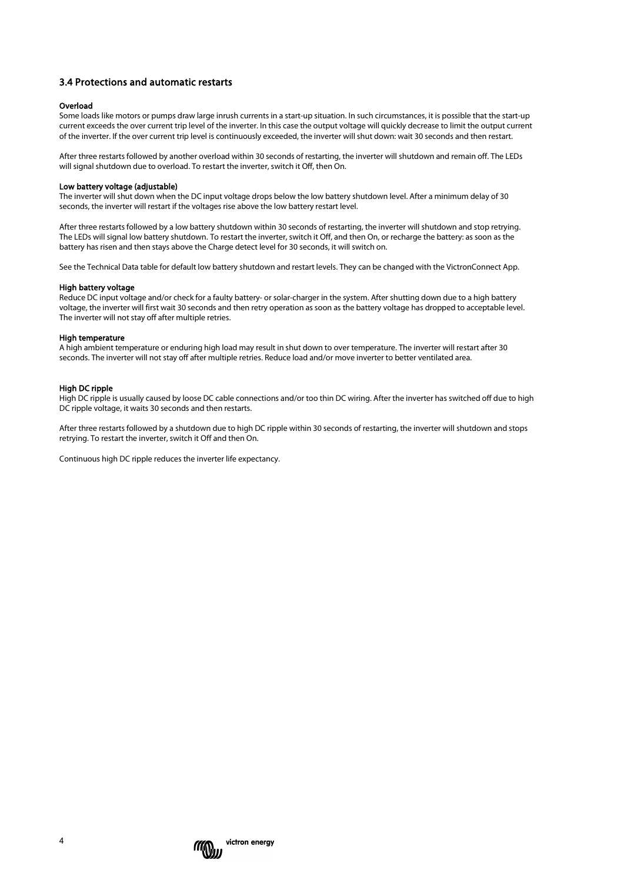## 3.4 Protections and automatic restarts

#### Overload

Some loads like motors or pumps draw large inrush currents in a start-up situation. In such circumstances, it is possible that the start-up current exceeds the over current trip level of the inverter. In this case the output voltage will quickly decrease to limit the output current of the inverter. If the over current trip level is continuously exceeded, the inverter will shut down: wait 30 seconds and then restart.

After three restarts followed by another overload within 30 seconds of restarting, the inverter will shutdown and remain off. The LEDs will signal shutdown due to overload. To restart the inverter, switch it Off, then On.

#### Low battery voltage (adjustable)

The inverter will shut down when the DC input voltage drops below the low battery shutdown level. After a minimum delay of 30 seconds, the inverter will restart if the voltages rise above the low battery restart level.

After three restarts followed by a low battery shutdown within 30 seconds of restarting, the inverter will shutdown and stop retrying. The LEDs will signal low battery shutdown. To restart the inverter, switch it Off, and then On, or recharge the battery: as soon as the battery has risen and then stays above the Charge detect level for 30 seconds, it will switch on.

See the Technical Data table for default low battery shutdown and restart levels. They can be changed with the VictronConnect App.

#### High battery voltage

Reduce DC input voltage and/or check for a faulty battery- or solar-charger in the system. After shutting down due to a high battery voltage, the inverter will first wait 30 seconds and then retry operation as soon as the battery voltage has dropped to acceptable level. The inverter will not stay off after multiple retries.

#### High temperature

A high ambient temperature or enduring high load may result in shut down to over temperature. The inverter will restart after 30 seconds. The inverter will not stay off after multiple retries. Reduce load and/or move inverter to better ventilated area.

#### High DC ripple

High DC ripple is usually caused by loose DC cable connections and/or too thin DC wiring. After the inverter has switched off due to high DC ripple voltage, it waits 30 seconds and then restarts.

After three restarts followed by a shutdown due to high DC ripple within 30 seconds of restarting, the inverter will shutdown and stops retrying. To restart the inverter, switch it Off and then On.

Continuous high DC ripple reduces the inverter life expectancy.

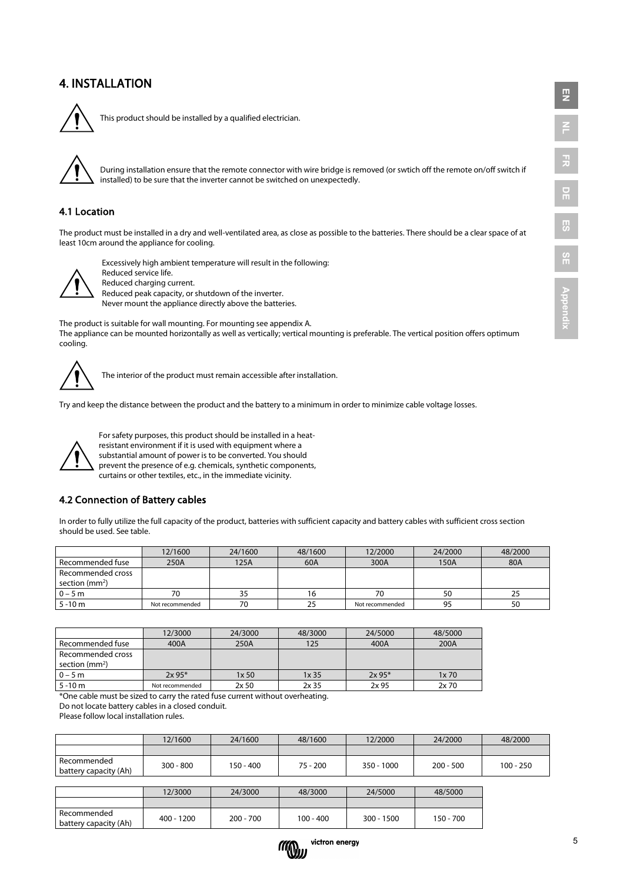## 4. INSTALLATION



This product should be installed by a qualified electrician.

During installation ensure that the remote connector with wire bridge is removed (or swtich off the remote on/off switch if installed) to be sure that the inverter cannot be switched on unexpectedly.

#### 4.1 Location

The product must be installed in a dry and well-ventilated area, as close as possible to the batteries. There should be a clear space of at least 10cm around the appliance for cooling.



Excessively high ambient temperature will result in the following: Reduced service life. Reduced charging current. Reduced peak capacity, or shutdown of the inverter.

Never mount the appliance directly above the batteries.

The product is suitable for wall mounting. For mounting see appendix A. The appliance can be mounted horizontally as well as vertically; vertical mounting is preferable. The vertical position offers optimum cooling.



The interior of the product must remain accessible after installation.

Try and keep the distance between the product and the battery to a minimum in order to minimize cable voltage losses.



For safety purposes, this product should be installed in a heat-

resistant environment if it is used with equipment where a

substantial amount of power is to be converted. You should

prevent the presence of e.g. chemicals, synthetic components,

curtains or other textiles, etc., in the immediate vicinity.

## 4.2 Connection of Battery cables

In order to fully utilize the full capacity of the product, batteries with sufficient capacity and battery cables with sufficient cross section should be used. See table.

|                                          | 12/1600         | 24/1600 | 48/1600 | 12/2000         | 24/2000 | 48/2000 |
|------------------------------------------|-----------------|---------|---------|-----------------|---------|---------|
| Recommended fuse                         | 250A            | 125A    | 60A     | 300A            | 150A    | 80A     |
| l Recommended cross<br>section ( $mm2$ ) |                 |         |         |                 |         |         |
| $0 - 5 m$                                | 70              | 35      | 16      |                 | 50      | 25      |
| $5 - 10 m$                               | Not recommended | 70      | 25      | Not recommended | 95      | 50      |

|                                                 | 12/3000         | 24/3000          | 48/3000 | 24/5000  | 48/5000  |
|-------------------------------------------------|-----------------|------------------|---------|----------|----------|
| Recommended fuse                                | 400A            | 250A             | 125     | 400A     | 200A     |
| Recommended cross<br>section (mm <sup>2</sup> ) |                 |                  |         |          |          |
| $0 - 5 m$                                       | $2x 95*$        | 1x <sub>50</sub> | 1x35    | $2x 95*$ | $1x\,70$ |
| $5 - 10 m$                                      | Not recommended | 2x <sub>50</sub> | 2x35    | 2x 95    | 2x70     |

\*One cable must be sized to carry the rated fuse current without overheating.

Do not locate battery cables in a closed conduit.

Please follow local installation rules.

|                                      | 12/1600     | 24/1600   | 48/1600    | 12/2000      | 24/2000     | 48/2000     |
|--------------------------------------|-------------|-----------|------------|--------------|-------------|-------------|
|                                      |             |           |            |              |             |             |
| Recommended<br>battery capacity (Ah) | $300 - 800$ | 150 - 400 | $75 - 200$ | $350 - 1000$ | $200 - 500$ | $100 - 250$ |

|                                      | 12/3000      | 24/3000     | 48/3000     | 24/5000      | 48/5000   |
|--------------------------------------|--------------|-------------|-------------|--------------|-----------|
|                                      |              |             |             |              |           |
| Recommended<br>battery capacity (Ah) | $400 - 1200$ | $200 - 700$ | $100 - 400$ | $300 - 1500$ | 150 - 700 |

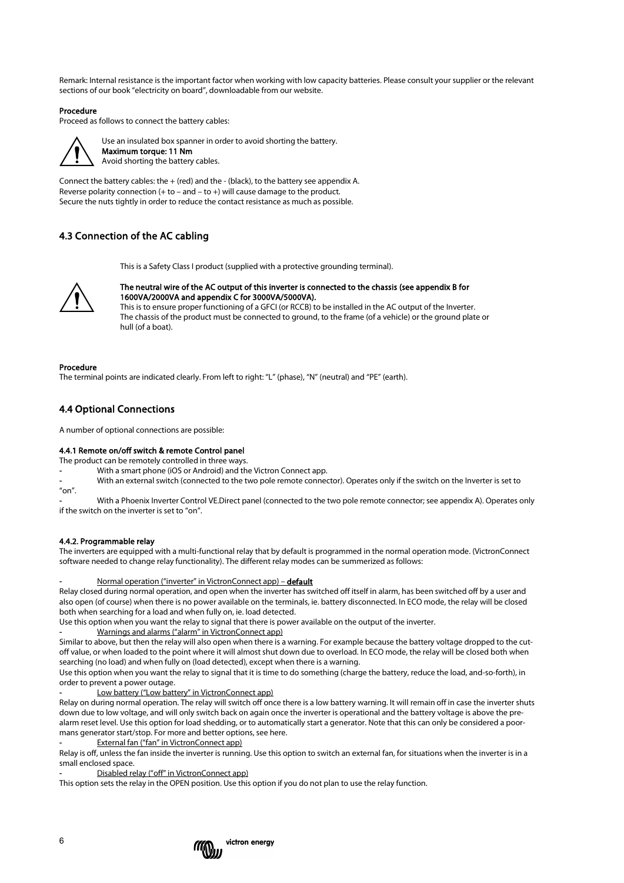Remark: Internal resistance is the important factor when working with low capacity batteries. Please consult your supplier or the relevant sections of our book "electricity on board", downloadable from our website.

#### Procedure

Proceed as follows to connect the battery cables:



Use an insulated box spanner in order to avoid shorting the battery. Maximum torque: 11 Nm Avoid shorting the battery cables.

Connect the battery cables: the + (red) and the - (black), to the battery see appendix A. Reverse polarity connection  $(+ to - and - to +)$  will cause damage to the product. Secure the nuts tightly in order to reduce the contact resistance as much as possible.

## 4.3 Connection of the AC cabling

This is a Safety Class I product (supplied with a protective grounding terminal).



The neutral wire of the AC output of this inverter is connected to the chassis (see appendix B for 1600VA/2000VA and appendix C for 3000VA/5000VA).

This is to ensure proper functioning of a GFCI (or RCCB) to be installed in the AC output of the Inverter. The chassis of the product must be connected to ground, to the frame (of a vehicle) or the ground plate or hull (of a boat).

#### Procedure

The terminal points are indicated clearly. From left to right: "L" (phase), "N" (neutral) and "PE" (earth).

## 4.4 Optional Connections

A number of optional connections are possible:

#### 4.4.1 Remote on/off switch & remote Control panel

The product can be remotely controlled in three ways.

With a smart phone (iOS or Android) and the Victron Connect app.

With an external switch (connected to the two pole remote connector). Operates only if the switch on the Inverter is set to "on".

With a Phoenix Inverter Control VE.Direct panel (connected to the two pole remote connector; see appendix A). Operates only if the switch on the inverter is set to "on".

#### 4.4.2. Programmable relay

The inverters are equipped with a multi-functional relay that by default is programmed in the normal operation mode. (VictronConnect software needed to change relay functionality). The different relay modes can be summerized as follows:

Normal operation ("inverter" in VictronConnect app) - default

Relay closed during normal operation, and open when the inverter has switched off itself in alarm, has been switched off by a user and also open (of course) when there is no power available on the terminals, ie. battery disconnected. In ECO mode, the relay will be closed both when searching for a load and when fully on, ie. load detected.

Use this option when you want the relay to signal that there is power available on the output of the inverter.

Warnings and alarms ("alarm" in VictronConnect app)

Similar to above, but then the relay will also open when there is a warning. For example because the battery voltage dropped to the cutoff value, or when loaded to the point where it will almost shut down due to overload. In ECO mode, the relay will be closed both when searching (no load) and when fully on (load detected), except when there is a warning.

Use this option when you want the relay to signal that it is time to do something (charge the battery, reduce the load, and-so-forth), in order to prevent a power outage.

#### Low battery ("Low battery" in VictronConnect app)

Relay on during normal operation. The relay will switch off once there is a low battery warning. It will remain off in case the inverter shuts down due to low voltage, and will only switch back on again once the inverter is operational and the battery voltage is above the prealarm reset level. Use this option for load shedding, or to automatically start a generator. Note that this can only be considered a poormans generator start/stop. For more and better options, see here.

External fan ("fan" in VictronConnect app)

Relay is off, unless the fan inside the inverter is running. Use this option to switch an external fan, for situations when the inverter is in a small enclosed space.

Disabled relay ("off" in VictronConnect app)

This option sets the relay in the OPEN position. Use this option if you do not plan to use the relay function.

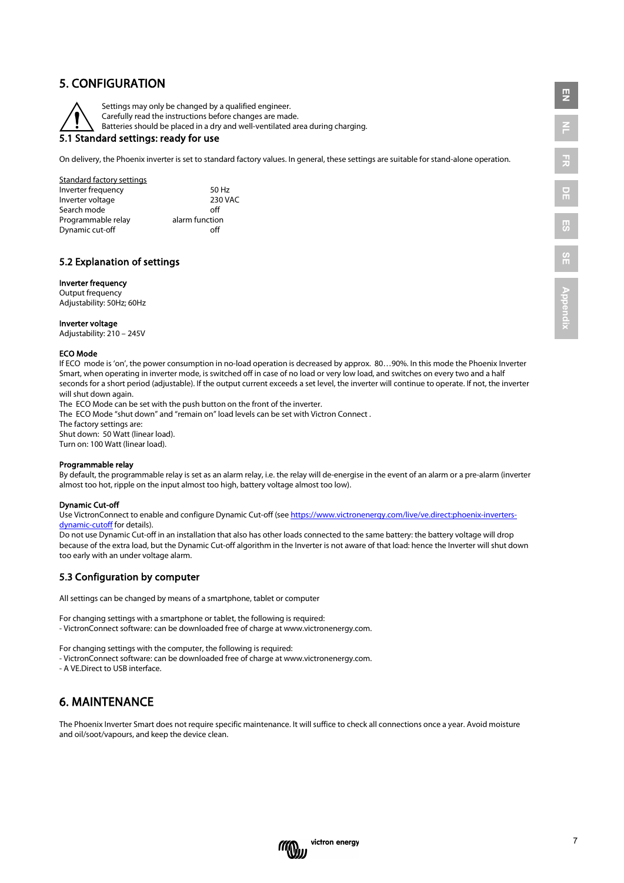## 5. CONFIGURATION



Settings may only be changed by a qualified engineer.

Carefully read the instructions before changes are made.

Batteries should be placed in a dry and well-ventilated area during charging.

#### 5.1 Standard settings: ready for use

On delivery, the Phoenix inverter is set to standard factory values. In general, these settings are suitable for stand-alone operation.

| Standard factory settings |                |
|---------------------------|----------------|
| Inverter frequency        | 50 Hz          |
| Inverter voltage          | 230 VAC        |
| Search mode               | off            |
| Programmable relay        | alarm function |
| Dynamic cut-off           | nff            |

### 5.2 Explanation of settings

#### Inverter frequency

Output frequency Adjustability: 50Hz; 60Hz

#### Inverter voltage

Adjustability: 210 – 245V

#### ECO Mode

If ECO mode is 'on', the power consumption in no-load operation is decreased by approx. 80…90%. In this mode the Phoenix Inverter Smart, when operating in inverter mode, is switched off in case of no load or very low load, and switches on every two and a half seconds for a short period (adjustable). If the output current exceeds a set level, the inverter will continue to operate. If not, the inverter will shut down again.

The ECO Mode can be set with the push button on the front of the inverter.

The ECO Mode "shut down" and "remain on" load levels can be set with Victron Connect .

The factory settings are:

Shut down: 50 Watt (linear load).

Turn on: 100 Watt (linear load).

#### Programmable relay

By default, the programmable relay is set as an alarm relay, i.e. the relay will de-energise in the event of an alarm or a pre-alarm (inverter almost too hot, ripple on the input almost too high, battery voltage almost too low).

### Dynamic Cut-off

Use VictronConnect to enable and configure Dynamic Cut-off (se[e https://www.victronenergy.com/live/ve.direct:phoenix-inverters](https://www.victronenergy.com/live/ve.direct:phoenix-inverters-dynamic-cutoff)[dynamic-cutoff](https://www.victronenergy.com/live/ve.direct:phoenix-inverters-dynamic-cutoff) for details).

Do not use Dynamic Cut-off in an installation that also has other loads connected to the same battery: the battery voltage will drop because of the extra load, but the Dynamic Cut-off algorithm in the Inverter is not aware of that load: hence the Inverter will shut down too early with an under voltage alarm.

### 5.3 Configuration by computer

All settings can be changed by means of a smartphone, tablet or computer

For changing settings with a smartphone or tablet, the following is required:

- VictronConnect software: can be downloaded free of charge at www.victronenergy.com.

For changing settings with the computer, the following is required:

- VictronConnect software: can be downloaded free of charge at www.victronenergy.com.

- A VE.Direct to USB interface.

## 6. MAINTENANCE

The Phoenix Inverter Smart does not require specific maintenance. It will suffice to check all connections once a year. Avoid moisture and oil/soot/vapours, and keep the device clean.

**Appendix**

**Appendi** 

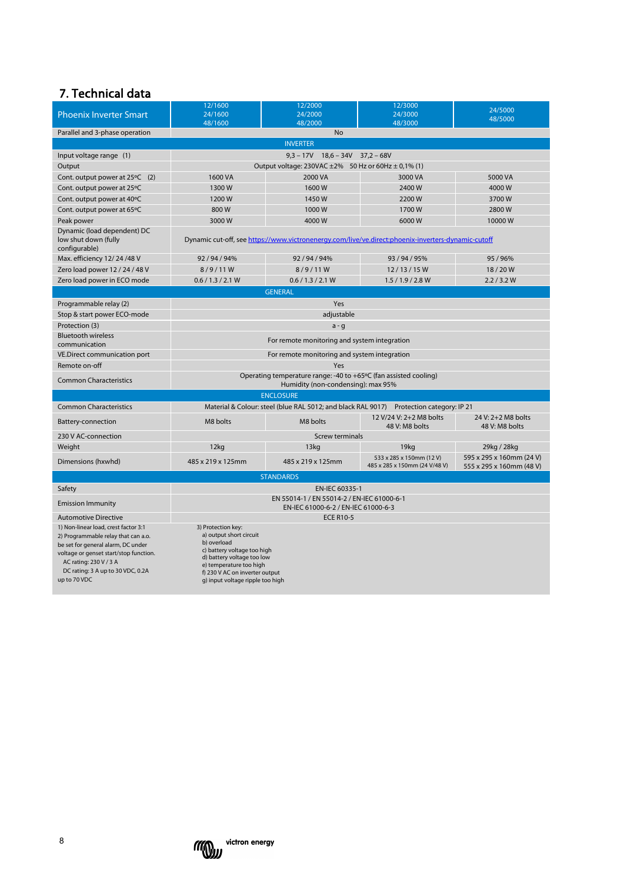## 7. Technical data

|                                                                                                                                                                                                                                            | 12/1600                                                                                                                                                                                                                    | 12/2000                                                                                            | 12/3000                                                   | 24/5000                                              |  |  |  |
|--------------------------------------------------------------------------------------------------------------------------------------------------------------------------------------------------------------------------------------------|----------------------------------------------------------------------------------------------------------------------------------------------------------------------------------------------------------------------------|----------------------------------------------------------------------------------------------------|-----------------------------------------------------------|------------------------------------------------------|--|--|--|
| <b>Phoenix Inverter Smart</b>                                                                                                                                                                                                              | 24/1600<br>48/1600                                                                                                                                                                                                         | 24/2000<br>48/2000                                                                                 | 24/3000<br>48/3000                                        | 48/5000                                              |  |  |  |
| Parallel and 3-phase operation                                                                                                                                                                                                             |                                                                                                                                                                                                                            | <b>No</b>                                                                                          |                                                           |                                                      |  |  |  |
|                                                                                                                                                                                                                                            |                                                                                                                                                                                                                            | <b>INVERTER</b>                                                                                    |                                                           |                                                      |  |  |  |
| Input voltage range (1)                                                                                                                                                                                                                    |                                                                                                                                                                                                                            | $9,3 - 17V$ $18,6 - 34V$ $37,2 - 68V$                                                              |                                                           |                                                      |  |  |  |
| Output                                                                                                                                                                                                                                     |                                                                                                                                                                                                                            | Output voltage: $230\sqrt{AC} \pm 2\%$ 50 Hz or $60\sqrt{Hz} \pm 0.1\%$ (1)                        |                                                           |                                                      |  |  |  |
| Cont. output power at 25°C (2)                                                                                                                                                                                                             | 1600 VA                                                                                                                                                                                                                    | 2000 VA<br>3000 VA<br>5000 VA                                                                      |                                                           |                                                      |  |  |  |
| Cont. output power at 25°C                                                                                                                                                                                                                 | 1300W                                                                                                                                                                                                                      | 1600W                                                                                              | 2400W                                                     | 4000W                                                |  |  |  |
| Cont. output power at 40°C                                                                                                                                                                                                                 | 1200W                                                                                                                                                                                                                      | 1450W                                                                                              | 2200W                                                     | 3700W                                                |  |  |  |
| Cont. output power at 65°C                                                                                                                                                                                                                 | 800W                                                                                                                                                                                                                       | 1000W                                                                                              | 1700W                                                     | 2800W                                                |  |  |  |
| Peak power                                                                                                                                                                                                                                 | 3000W                                                                                                                                                                                                                      | 4000W                                                                                              | 6000W                                                     | 10000W                                               |  |  |  |
| Dynamic (load dependent) DC<br>low shut down (fully<br>configurable)                                                                                                                                                                       |                                                                                                                                                                                                                            | Dynamic cut-off, see https://www.victronenergy.com/live/ve.direct:phoenix-inverters-dynamic-cutoff |                                                           |                                                      |  |  |  |
| Max. efficiency 12/24/48 V                                                                                                                                                                                                                 | 92 / 94 / 94%                                                                                                                                                                                                              | 92 / 94 / 94%                                                                                      | 93 / 94 / 95%                                             | 95 / 96%                                             |  |  |  |
| Zero load power 12 / 24 / 48 V                                                                                                                                                                                                             | 8/9/11W                                                                                                                                                                                                                    | 8/9/11W                                                                                            | $12/13/15$ W                                              | 18/20W                                               |  |  |  |
| Zero load power in ECO mode                                                                                                                                                                                                                | 0.6 / 1.3 / 2.1 W                                                                                                                                                                                                          | 0.6 / 1.3 / 2.1 W                                                                                  | 1.5/1.9/2.8 W                                             | 2.2 / 3.2 W                                          |  |  |  |
|                                                                                                                                                                                                                                            | <b>GENERAL</b>                                                                                                                                                                                                             |                                                                                                    |                                                           |                                                      |  |  |  |
| Programmable relay (2)                                                                                                                                                                                                                     | Yes                                                                                                                                                                                                                        |                                                                                                    |                                                           |                                                      |  |  |  |
| Stop & start power ECO-mode                                                                                                                                                                                                                |                                                                                                                                                                                                                            | adjustable                                                                                         |                                                           |                                                      |  |  |  |
| Protection (3)                                                                                                                                                                                                                             |                                                                                                                                                                                                                            | $a - q$                                                                                            |                                                           |                                                      |  |  |  |
| <b>Bluetooth wireless</b>                                                                                                                                                                                                                  |                                                                                                                                                                                                                            | For remote monitoring and system integration                                                       |                                                           |                                                      |  |  |  |
| communication<br>VE.Direct communication port                                                                                                                                                                                              | For remote monitoring and system integration                                                                                                                                                                               |                                                                                                    |                                                           |                                                      |  |  |  |
| Remote on-off                                                                                                                                                                                                                              | Yes                                                                                                                                                                                                                        |                                                                                                    |                                                           |                                                      |  |  |  |
|                                                                                                                                                                                                                                            | Operating temperature range: -40 to +65°C (fan assisted cooling)                                                                                                                                                           |                                                                                                    |                                                           |                                                      |  |  |  |
| <b>Common Characteristics</b>                                                                                                                                                                                                              | Humidity (non-condensing): max 95%                                                                                                                                                                                         |                                                                                                    |                                                           |                                                      |  |  |  |
| <b>ENCLOSURE</b>                                                                                                                                                                                                                           |                                                                                                                                                                                                                            |                                                                                                    |                                                           |                                                      |  |  |  |
| <b>Common Characteristics</b>                                                                                                                                                                                                              |                                                                                                                                                                                                                            | Material & Colour: steel (blue RAL 5012; and black RAL 9017) Protection category: IP 21            |                                                           |                                                      |  |  |  |
| Battery-connection                                                                                                                                                                                                                         | M8 bolts                                                                                                                                                                                                                   | M8 bolts                                                                                           | 12 V/24 V: 2+2 M8 bolts<br>48 V: M8 bolts                 | 24 V: 2+2 M8 bolts<br>48 V: M8 bolts                 |  |  |  |
| 230 V AC-connection                                                                                                                                                                                                                        |                                                                                                                                                                                                                            | Screw terminals                                                                                    |                                                           |                                                      |  |  |  |
| Weight                                                                                                                                                                                                                                     | 12kg                                                                                                                                                                                                                       | 13kg                                                                                               | 19kg                                                      | 29kg / 28kg                                          |  |  |  |
| Dimensions (hxwhd)                                                                                                                                                                                                                         | 485 x 219 x 125mm                                                                                                                                                                                                          | 485 x 219 x 125mm                                                                                  | 533 x 285 x 150mm (12 V)<br>485 x 285 x 150mm (24 V/48 V) | 595 x 295 x 160mm (24 V)<br>555 x 295 x 160mm (48 V) |  |  |  |
|                                                                                                                                                                                                                                            |                                                                                                                                                                                                                            | <b>STANDARDS</b>                                                                                   |                                                           |                                                      |  |  |  |
| Safety                                                                                                                                                                                                                                     | EN-IEC 60335-1                                                                                                                                                                                                             |                                                                                                    |                                                           |                                                      |  |  |  |
| <b>Emission Immunity</b>                                                                                                                                                                                                                   | EN 55014-1 / EN 55014-2 / EN-IEC 61000-6-1<br>EN-IEC 61000-6-2 / EN-IEC 61000-6-3                                                                                                                                          |                                                                                                    |                                                           |                                                      |  |  |  |
| <b>Automotive Directive</b>                                                                                                                                                                                                                | <b>ECE R10-5</b>                                                                                                                                                                                                           |                                                                                                    |                                                           |                                                      |  |  |  |
| 1) Non-linear load, crest factor 3:1<br>2) Programmable relay that can a.o.<br>be set for general alarm, DC under<br>voltage or genset start/stop function.<br>AC rating: 230 V / 3 A<br>DC rating: 3 A up to 30 VDC, 0.2A<br>up to 70 VDC | 3) Protection key:<br>a) output short circuit<br>b) overload<br>c) battery voltage too high<br>d) battery voltage too low<br>e) temperature too high<br>f) 230 V AC on inverter output<br>g) input voltage ripple too high |                                                                                                    |                                                           |                                                      |  |  |  |

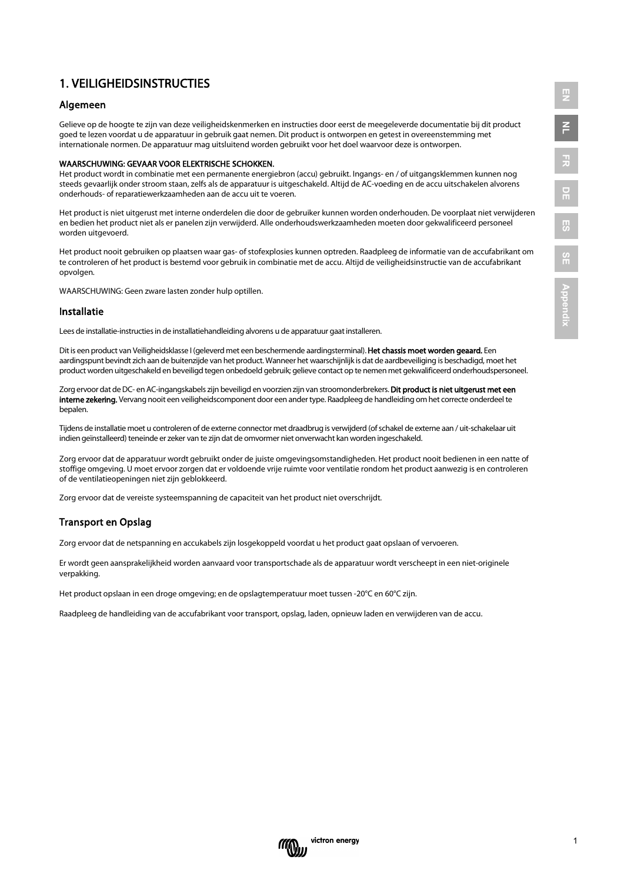## 1. VEILIGHEIDSINSTRUCTIES

### Algemeen

Gelieve op de hoogte te zijn van deze veiligheidskenmerken en instructies door eerst de meegeleverde documentatie bij dit product goed te lezen voordat u de apparatuur in gebruik gaat nemen. Dit product is ontworpen en getest in overeenstemming met internationale normen. De apparatuur mag uitsluitend worden gebruikt voor het doel waarvoor deze is ontworpen.

#### WAARSCHUWING: GEVAAR VOOR ELEKTRISCHE SCHOKKEN.

Het product wordt in combinatie met een permanente energiebron (accu) gebruikt. Ingangs- en / of uitgangsklemmen kunnen nog steeds gevaarlijk onder stroom staan, zelfs als de apparatuur is uitgeschakeld. Altijd de AC-voeding en de accu uitschakelen alvorens onderhouds- of reparatiewerkzaamheden aan de accu uit te voeren.

Het product is niet uitgerust met interne onderdelen die door de gebruiker kunnen worden onderhouden. De voorplaat niet verwijderen en bedien het product niet als er panelen zijn verwijderd. Alle onderhoudswerkzaamheden moeten door gekwalificeerd personeel worden uitgevoerd.

Het product nooit gebruiken op plaatsen waar gas- of stofexplosies kunnen optreden. Raadpleeg de informatie van de accufabrikant om te controleren of het product is bestemd voor gebruik in combinatie met de accu. Altijd de veiligheidsinstructie van de accufabrikant opvolgen.

WAARSCHUWING: Geen zware lasten zonder hulp optillen.

### Installatie

Lees de installatie-instructies in de installatiehandleiding alvorens u de apparatuur gaat installeren.

Dit is een product van Veiligheidsklasse I (geleverd met een beschermende aardingsterminal). Het chassis moet worden geaard. Een aardingspunt bevindt zich aan de buitenzijde van het product. Wanneer het waarschijnlijk is dat de aardbeveiliging is beschadigd, moet het product worden uitgeschakeld en beveiligd tegen onbedoeld gebruik; gelieve contact op te nemen met gekwalificeerd onderhoudspersoneel.

Zorg ervoor dat de DC- en AC-ingangskabels zijn beveiligd en voorzien zijn van stroomonderbrekers. Dit product is niet uitgerust met een interne zekering. Vervang nooit een veiligheidscomponent door een ander type. Raadpleeg de handleiding om het correcte onderdeel te bepalen.

Tijdens de installatie moet u controleren of de externe connector met draadbrug is verwijderd (of schakel de externe aan / uit-schakelaar uit indien geïnstalleerd) teneinde er zeker van te zijn dat de omvormer niet onverwacht kan worden ingeschakeld.

Zorg ervoor dat de apparatuur wordt gebruikt onder de juiste omgevingsomstandigheden. Het product nooit bedienen in een natte of stoffige omgeving. U moet ervoor zorgen dat er voldoende vrije ruimte voor ventilatie rondom het product aanwezig is en controleren of de ventilatieopeningen niet zijn geblokkeerd.

Zorg ervoor dat de vereiste systeemspanning de capaciteit van het product niet overschrijdt.

## Transport en Opslag

Zorg ervoor dat de netspanning en accukabels zijn losgekoppeld voordat u het product gaat opslaan of vervoeren.

Er wordt geen aansprakelijkheid worden aanvaard voor transportschade als de apparatuur wordt verscheept in een niet-originele verpakking.

Het product opslaan in een droge omgeving; en de opslagtemperatuur moet tussen -20°C en 60°C zijn.

Raadpleeg de handleiding van de accufabrikant voor transport, opslag, laden, opnieuw laden en verwijderen van de accu.

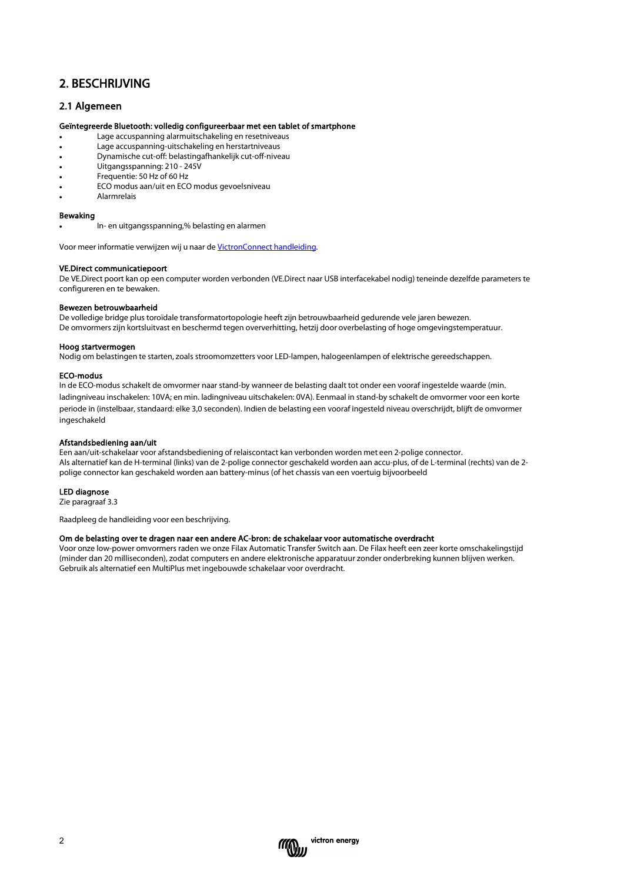## 2. BESCHRIJVING

### 2.1 Algemeen

#### Geïntegreerde Bluetooth: volledig configureerbaar met een tablet of smartphone

- Lage accuspanning alarmuitschakeling en resetniveaus
- Lage accuspanning-uitschakeling en herstartniveaus
- Dynamische cut-off: belastingafhankelijk cut-off-niveau
- Uitgangsspanning: 210 245V
- Frequentie: 50 Hz of 60 Hz
- ECO modus aan/uit en ECO modus gevoelsniveau
- Alarmrelais

#### Bewaking

• In- en uitgangsspanning,% belasting en alarmen

Voor meer informatie verwijzen wij u naar d[e VictronConnect handleiding.](https://www.victronenergy.com/live/victronconnect:start) 

#### VE.Direct communicatiepoort

De VE.Direct poort kan op een computer worden verbonden (VE.Direct naar USB interfacekabel nodig) teneinde dezelfde parameters te configureren en te bewaken.

#### Bewezen betrouwbaarheid

De volledige bridge plus toroïdale transformatortopologie heeft zijn betrouwbaarheid gedurende vele jaren bewezen. De omvormers zijn kortsluitvast en beschermd tegen oververhitting, hetzij door overbelasting of hoge omgevingstemperatuur.

#### Hoog startvermogen

Nodig om belastingen te starten, zoals stroomomzetters voor LED-lampen, halogeenlampen of elektrische gereedschappen.

#### ECO-modus

In de ECO-modus schakelt de omvormer naar stand-by wanneer de belasting daalt tot onder een vooraf ingestelde waarde (min. ladingniveau inschakelen: 10VA; en min. ladingniveau uitschakelen: 0VA). Eenmaal in stand-by schakelt de omvormer voor een korte periode in (instelbaar, standaard: elke 3,0 seconden). Indien de belasting een vooraf ingesteld niveau overschrijdt, blijft de omvormer ingeschakeld

#### Afstandsbediening aan/uit

Een aan/uit-schakelaar voor afstandsbediening of relaiscontact kan verbonden worden met een 2-polige connector. Als alternatief kan de H-terminal (links) van de 2-polige connector geschakeld worden aan accu-plus, of de L-terminal (rechts) van de 2 polige connector kan geschakeld worden aan battery-minus (of het chassis van een voertuig bijvoorbeeld

#### LED diagnose

Zie paragraaf 3.3

Raadpleeg de handleiding voor een beschrijving.

#### Om de belasting over te dragen naar een andere AC-bron: de schakelaar voor automatische overdracht

Voor onze low-power omvormers raden we onze Filax Automatic Transfer Switch aan. De Filax heeft een zeer korte omschakelingstijd (minder dan 20 milliseconden), zodat computers en andere elektronische apparatuur zonder onderbreking kunnen blijven werken. Gebruik als alternatief een MultiPlus met ingebouwde schakelaar voor overdracht.

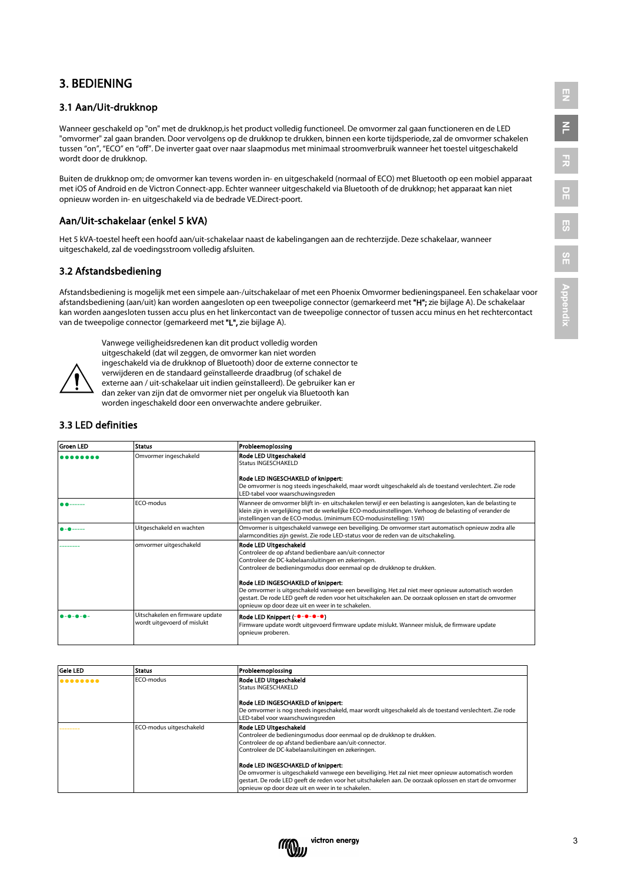## 3. BEDIENING

## 3.1 Aan/Uit-drukknop

Wanneer geschakeld op "on" met de drukknop,is het product volledig functioneel. De omvormer zal gaan functioneren en de LED "omvormer" zal gaan branden. Door vervolgens op de drukknop te drukken, binnen een korte tijdsperiode, zal de omvormer schakelen tussen "on", "ECO" en "off". De inverter gaat over naar slaapmodus met minimaal stroomverbruik wanneer het toestel uitgeschakeld wordt door de drukknop.

Buiten de drukknop om; de omvormer kan tevens worden in- en uitgeschakeld (normaal of ECO) met Bluetooth op een mobiel apparaat met iOS of Android en de Victron Connect-app. Echter wanneer uitgeschakeld via Bluetooth of de drukknop; het apparaat kan niet opnieuw worden in- en uitgeschakeld via de bedrade VE.Direct-poort.

## Aan/Uit-schakelaar (enkel 5 kVA)

Het 5 kVA-toestel heeft een hoofd aan/uit-schakelaar naast de kabelingangen aan de rechterzijde. Deze schakelaar, wanneer uitgeschakeld, zal de voedingsstroom volledig afsluiten.

## 3.2 Afstandsbediening

Afstandsbediening is mogelijk met een simpele aan-/uitschakelaar of met een Phoenix Omvormer bedieningspaneel. Een schakelaar voor afstandsbediening (aan/uit) kan worden aangesloten op een tweepolige connector (gemarkeerd met "H"; zie bijlage A). De schakelaar kan worden aangesloten tussen accu plus en het linkercontact van de tweepolige connector of tussen accu minus en het rechtercontact van de tweepolige connector (gemarkeerd met "L", zie bijlage A).



Vanwege veiligheidsredenen kan dit product volledig worden uitgeschakeld (dat wil zeggen, de omvormer kan niet worden ingeschakeld via de drukknop of Bluetooth) door de externe connector te verwijderen en de standaard geïnstalleerde draadbrug (of schakel de externe aan / uit-schakelaar uit indien geïnstalleerd). De gebruiker kan er dan zeker van zijn dat de omvormer niet per ongeluk via Bluetooth kan

worden ingeschakeld door een onverwachte andere gebruiker.

### 3.3 LED definities

| <b>Groen LED</b> | <b>Status</b>                                                  | Probleemoplossing                                                                                                                                                                                                                                                                                                                                                                                                                                                                                                          |
|------------------|----------------------------------------------------------------|----------------------------------------------------------------------------------------------------------------------------------------------------------------------------------------------------------------------------------------------------------------------------------------------------------------------------------------------------------------------------------------------------------------------------------------------------------------------------------------------------------------------------|
|                  | Omvormer ingeschakeld                                          | Rode LED Uitgeschakeld<br>Status INGESCHAKELD<br>Rode LED INGESCHAKELD of knippert:                                                                                                                                                                                                                                                                                                                                                                                                                                        |
|                  |                                                                | De omvormer is nog steeds ingeschakeld, maar wordt uitgeschakeld als de toestand verslechtert. Zie rode<br>LED-tabel voor waarschuwingsreden                                                                                                                                                                                                                                                                                                                                                                               |
|                  | ECO-modus                                                      | Wanneer de omvormer blijft in- en uitschakelen terwijl er een belasting is aangesloten, kan de belasting te<br>klein zijn in vergelijking met de werkelijke ECO-modusinstellingen. Verhoog de belasting of verander de<br>instellingen van de ECO-modus. (minimum ECO-modusinstelling: 15W)                                                                                                                                                                                                                                |
|                  | Uitgeschakeld en wachten                                       | Omvormer is uitgeschakeld vanwege een beveiliging. De omvormer start automatisch opnieuw zodra alle<br>alarmcondities zijn gewist. Zie rode LED-status voor de reden van de uitschakeling.                                                                                                                                                                                                                                                                                                                                 |
|                  | omvormer uitgeschakeld                                         | Rode LED Uitgeschakeld<br>Controleer de op afstand bedienbare aan/uit-connector<br>Controleer de DC-kabelaansluitingen en zekeringen.<br>Controleer de bedieningsmodus door eenmaal op de drukknop te drukken.<br>Rode LED INGESCHAKELD of knippert:<br>De omvormer is uitgeschakeld vanwege een beveiliging. Het zal niet meer opnieuw automatisch worden<br>gestart. De rode LED geeft de reden voor het uitschakelen aan. De oorzaak oplossen en start de omvormer<br>opnieuw op door deze uit en weer in te schakelen. |
|                  | Uitschakelen en firmware update<br>wordt uitgevoerd of mislukt | Rode LED Knippert (-0-0-0-0)<br>Firmware update wordt uitgevoerd firmware update mislukt. Wanneer misluk, de firmware update<br>opnieuw proberen.                                                                                                                                                                                                                                                                                                                                                                          |

| Gele LED | <b>Status</b>           | Probleemoplossing                                                                                                                                                                                                                                                                                               |
|----------|-------------------------|-----------------------------------------------------------------------------------------------------------------------------------------------------------------------------------------------------------------------------------------------------------------------------------------------------------------|
|          | ECO-modus               | Rode LED Uitgeschakeld<br>Status INGESCHAKELD                                                                                                                                                                                                                                                                   |
|          |                         | Rode LED INGESCHAKELD of knippert:<br>De omvormer is nog steeds ingeschakeld, maar wordt uitgeschakeld als de toestand verslechtert. Zie rode<br>LED-tabel voor waarschuwingsreden                                                                                                                              |
|          | ECO-modus uitgeschakeld | Rode LED Uitgeschakeld<br>Controleer de bedieningsmodus door eenmaal op de drukknop te drukken.<br>Controleer de op afstand bedienbare aan/uit-connector.<br>Controleer de DC-kabelaansluitingen en zekeringen.                                                                                                 |
|          |                         | <b>Rode LED INGESCHAKELD of knippert:</b><br>De omvormer is uitgeschakeld vanwege een beveiliging. Het zal niet meer opnieuw automatisch worden<br>gestart. De rode LED geeft de reden voor het uitschakelen aan. De oorzaak oplossen en start de omvormer<br>opnieuw op door deze uit en weer in te schakelen. |

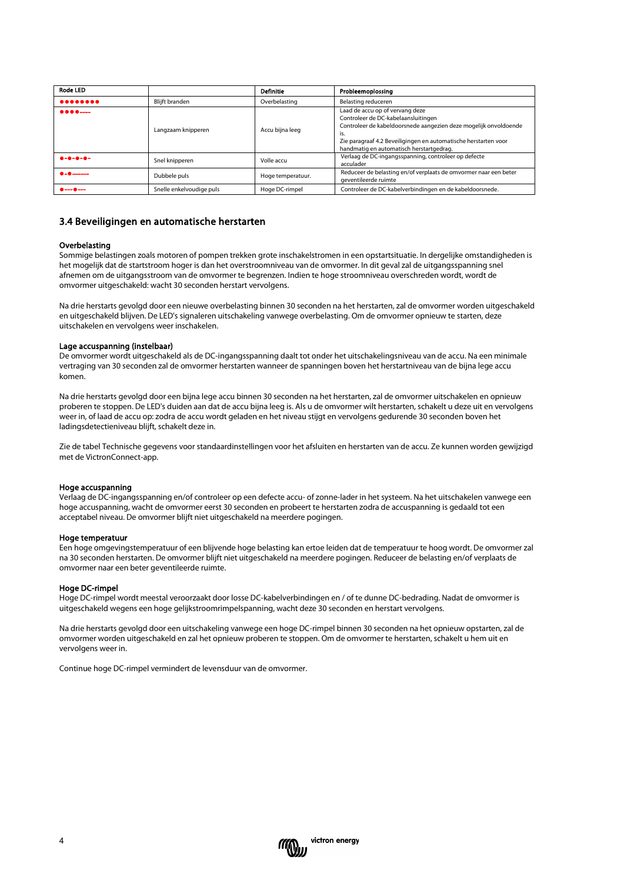| <b>Rode LED</b>   |                          | Definitie         | Probleemoplossing                                                                                                                                                                                                                                                |
|-------------------|--------------------------|-------------------|------------------------------------------------------------------------------------------------------------------------------------------------------------------------------------------------------------------------------------------------------------------|
| $•••••••••$       | Blijft branden           | Overbelasting     | Belasting reduceren                                                                                                                                                                                                                                              |
|                   | Langzaam knipperen       | Accu bijna leeg   | Laad de accu op of vervang deze<br>Controleer de DC-kabelaansluitingen<br>Controleer de kabeldoorsnede aangezien deze mogelijk onvoldoende<br>is.<br>Zie paragraaf 4.2 Beveiligingen en automatische herstarten voor<br>handmatig en automatisch herstartgedrag. |
| $0 - 0 - 0 - 0 -$ | Snel knipperen           | Volle accu        | Verlaag de DC-ingangsspanning, controleer op defecte<br>acculader                                                                                                                                                                                                |
| <b>.</b>          | Dubbele puls             | Hoge temperatuur. | Reduceer de belasting en/of verplaats de omvormer naar een beter<br>geventileerde ruimte                                                                                                                                                                         |
| $0 - 0 -$         | Snelle enkelvoudige puls | Hoge DC-rimpel    | Controleer de DC-kabelverbindingen en de kabeldoorsnede.                                                                                                                                                                                                         |

#### 3.4 Beveiligingen en automatische herstarten

#### Overbelasting

Sommige belastingen zoals motoren of pompen trekken grote inschakelstromen in een opstartsituatie. In dergelijke omstandigheden is het mogelijk dat de startstroom hoger is dan het overstroomniveau van de omvormer. In dit geval zal de uitgangsspanning snel afnemen om de uitgangsstroom van de omvormer te begrenzen. Indien te hoge stroomniveau overschreden wordt, wordt de omvormer uitgeschakeld: wacht 30 seconden herstart vervolgens.

Na drie herstarts gevolgd door een nieuwe overbelasting binnen 30 seconden na het herstarten, zal de omvormer worden uitgeschakeld en uitgeschakeld blijven. De LED's signaleren uitschakeling vanwege overbelasting. Om de omvormer opnieuw te starten, deze uitschakelen en vervolgens weer inschakelen.

#### Lage accuspanning (instelbaar)

De omvormer wordt uitgeschakeld als de DC-ingangsspanning daalt tot onder het uitschakelingsniveau van de accu. Na een minimale vertraging van 30 seconden zal de omvormer herstarten wanneer de spanningen boven het herstartniveau van de bijna lege accu komen.

Na drie herstarts gevolgd door een bijna lege accu binnen 30 seconden na het herstarten, zal de omvormer uitschakelen en opnieuw proberen te stoppen. De LED's duiden aan dat de accu bijna leeg is. Als u de omvormer wilt herstarten, schakelt u deze uit en vervolgens weer in, of laad de accu op: zodra de accu wordt geladen en het niveau stijgt en vervolgens gedurende 30 seconden boven het ladingsdetectieniveau blijft, schakelt deze in.

Zie de tabel Technische gegevens voor standaardinstellingen voor het afsluiten en herstarten van de accu. Ze kunnen worden gewijzigd met de VictronConnect-app.

#### Hoge accuspanning

Verlaag de DC-ingangsspanning en/of controleer op een defecte accu- of zonne-lader in het systeem. Na het uitschakelen vanwege een hoge accuspanning, wacht de omvormer eerst 30 seconden en probeert te herstarten zodra de accuspanning is gedaald tot een acceptabel niveau. De omvormer blijft niet uitgeschakeld na meerdere pogingen.

#### Hoge temperatuur

Een hoge omgevingstemperatuur of een blijvende hoge belasting kan ertoe leiden dat de temperatuur te hoog wordt. De omvormer zal na 30 seconden herstarten. De omvormer blijft niet uitgeschakeld na meerdere pogingen. Reduceer de belasting en/of verplaats de omvormer naar een beter geventileerde ruimte.

#### Hoge DC-rimpel

Hoge DC-rimpel wordt meestal veroorzaakt door losse DC-kabelverbindingen en / of te dunne DC-bedrading. Nadat de omvormer is uitgeschakeld wegens een hoge gelijkstroomrimpelspanning, wacht deze 30 seconden en herstart vervolgens.

Na drie herstarts gevolgd door een uitschakeling vanwege een hoge DC-rimpel binnen 30 seconden na het opnieuw opstarten, zal de omvormer worden uitgeschakeld en zal het opnieuw proberen te stoppen. Om de omvormer te herstarten, schakelt u hem uit en vervolgens weer in.

Continue hoge DC-rimpel vermindert de levensduur van de omvormer.

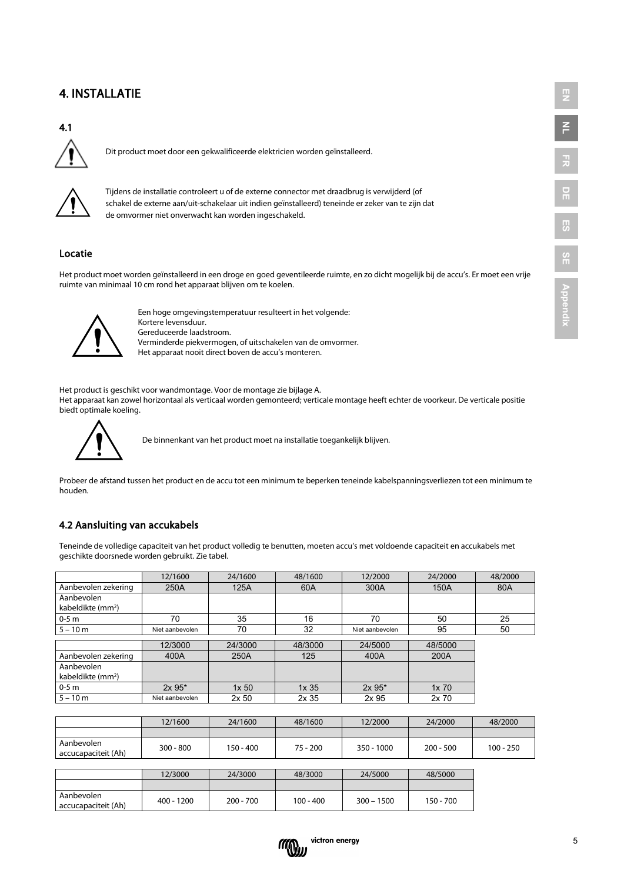## 4. INSTALLATIE

## 4.1



Dit product moet door een gekwalificeerde elektricien worden geïnstalleerd.



Tijdens de installatie controleert u of de externe connector met draadbrug is verwijderd (of schakel de externe aan/uit-schakelaar uit indien geïnstalleerd) teneinde er zeker van te zijn dat de omvormer niet onverwacht kan worden ingeschakeld.

## Locatie

Het product moet worden geïnstalleerd in een droge en goed geventileerde ruimte, en zo dicht mogelijk bij de accu's. Er moet een vrije ruimte van minimaal 10 cm rond het apparaat blijven om te koelen.



Een hoge omgevingstemperatuur resulteert in het volgende: Kortere levensduur. Gereduceerde laadstroom. Verminderde piekvermogen, of uitschakelen van de omvormer. Het apparaat nooit direct boven de accu's monteren.

Het product is geschikt voor wandmontage. Voor de montage zie bijlage A. Het apparaat kan zowel horizontaal als verticaal worden gemonteerd; verticale montage heeft echter de voorkeur. De verticale positie biedt optimale koeling.



De binnenkant van het product moet na installatie toegankelijk blijven.

Probeer de afstand tussen het product en de accu tot een minimum te beperken teneinde kabelspanningsverliezen tot een minimum te houden.

## 4.2 Aansluiting van accukabels

Teneinde de volledige capaciteit van het product volledig te benutten, moeten accu's met voldoende capaciteit en accukabels met geschikte doorsnede worden gebruikt. Zie tabel.

|                               | 12/1600         | 24/1600          | 48/1600 | 12/2000         | 24/2000  | 48/2000 |
|-------------------------------|-----------------|------------------|---------|-----------------|----------|---------|
| Aanbevolen zekering           | 250A            | 125A             | 60A     | 300A            | 150A     | 80A     |
| Aanbevolen                    |                 |                  |         |                 |          |         |
| kabeldikte (mm <sup>2</sup> ) |                 |                  |         |                 |          |         |
| $0-5$ m                       | 70              | 35               | 16      | 70              | 50       | 25      |
| $5 - 10 m$                    | Niet aanbevolen | 70               | 32      | Niet aanbevolen | 95       | 50      |
|                               |                 |                  |         |                 |          |         |
|                               | 12/3000         | 24/3000          | 48/3000 | 24/5000         | 48/5000  |         |
| Aanbevolen zekering           | 400A            | 250A             | 125     | 400A            | 200A     |         |
| Aanbevolen                    |                 |                  |         |                 |          |         |
| kabeldikte (mm <sup>2</sup> ) |                 |                  |         |                 |          |         |
| $0-5$ m                       | $2x 95*$        | 1x <sub>50</sub> | 1x35    | 2x 95*          | $1x\,70$ |         |
| $5 - 10 m$                    | Niet aanbevolen | 2x <sub>50</sub> | 2x35    | 2x 95           | 2x 70    |         |

|                                   | 12/1600     | 24/1600   | 48/1600  | 12/2000    | 24/2000     | 48/2000     |
|-----------------------------------|-------------|-----------|----------|------------|-------------|-------------|
|                                   |             |           |          |            |             |             |
| Aanbevolen<br>accucapaciteit (Ah) | $300 - 800$ | 150 - 400 | 75 - 200 | 350 - 1000 | $200 - 500$ | $100 - 250$ |

|                                   | 12/3000    | 24/3000     | 48/3000     | 24/5000      | 48/5000   |
|-----------------------------------|------------|-------------|-------------|--------------|-----------|
|                                   |            |             |             |              |           |
| Aanbevolen<br>accucapaciteit (Ah) | 400 - 1200 | $200 - 700$ | $100 - 400$ | $300 - 1500$ | 150 - 700 |

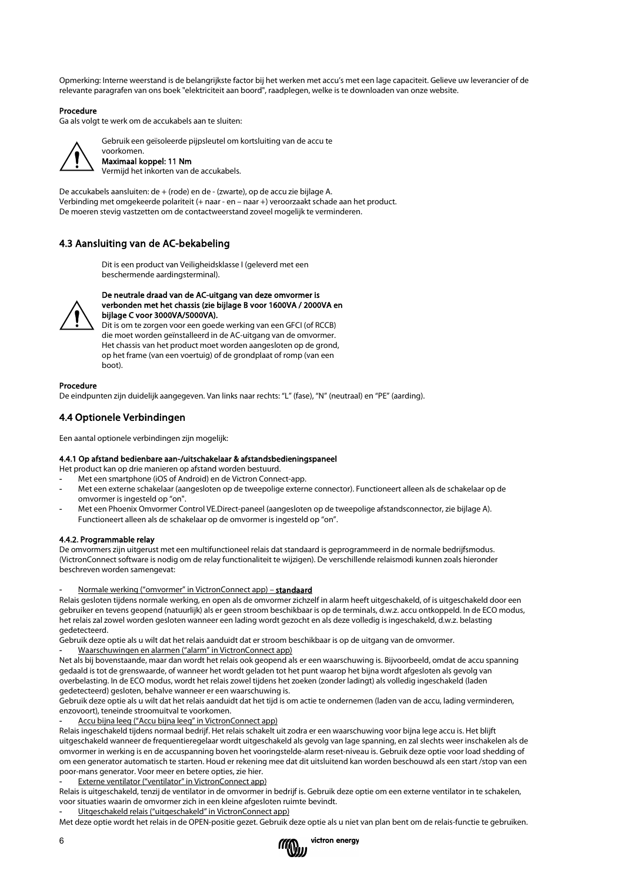Opmerking: Interne weerstand is de belangrijkste factor bij het werken met accu's met een lage capaciteit. Gelieve uw leverancier of de relevante paragrafen van ons boek "elektriciteit aan boord", raadplegen, welke is te downloaden van onze website.

#### Procedure

Ga als volgt te werk om de accukabels aan te sluiten:



Gebruik een geïsoleerde pijpsleutel om kortsluiting van de accu te

#### voorkomen. Maximaal koppel: 11 Nm Vermijd het inkorten van de accukabels.

De accukabels aansluiten: de + (rode) en de - (zwarte), op de accu zie bijlage A. Verbinding met omgekeerde polariteit (+ naar - en – naar +) veroorzaakt schade aan het product. De moeren stevig vastzetten om de contactweerstand zoveel mogelijk te verminderen.

## 4.3 Aansluiting van de AC-bekabeling

Dit is een product van Veiligheidsklasse I (geleverd met een beschermende aardingsterminal).



De neutrale draad van de AC-uitgang van deze omvormer is verbonden met het chassis (zie bijlage B voor 1600VA / 2000VA en bijlage C voor 3000VA/5000VA).

Dit is om te zorgen voor een goede werking van een GFCI (of RCCB) die moet worden geïnstalleerd in de AC-uitgang van de omvormer. Het chassis van het product moet worden aangesloten op de grond, op het frame (van een voertuig) of de grondplaat of romp (van een boot).

#### Procedure

De eindpunten zijn duidelijk aangegeven. Van links naar rechts: "L" (fase), "N" (neutraal) en "PE" (aarding).

## 4.4 Optionele Verbindingen

Een aantal optionele verbindingen zijn mogelijk:

#### 4.4.1 Op afstand bedienbare aan-/uitschakelaar & afstandsbedieningspaneel

Het product kan op drie manieren op afstand worden bestuurd.

- Met een smartphone (iOS of Android) en de Victron Connect-app.
- Met een externe schakelaar (aangesloten op de tweepolige externe connector). Functioneert alleen als de schakelaar op de omvormer is ingesteld op "on".
- Met een Phoenix Omvormer Control VE.Direct-paneel (aangesloten op de tweepolige afstandsconnector, zie bijlage A). Functioneert alleen als de schakelaar op de omvormer is ingesteld op "on".

#### 4.4.2. Programmable relay

De omvormers zijn uitgerust met een multifunctioneel relais dat standaard is geprogrammeerd in de normale bedrijfsmodus. (VictronConnect software is nodig om de relay functionaliteit te wijzigen). De verschillende relaismodi kunnen zoals hieronder beschreven worden samengevat:

#### Normale werking ("omvormer" in VictronConnect app) - standaard

Relais gesloten tijdens normale werking, en open als de omvormer zichzelf in alarm heeft uitgeschakeld, of is uitgeschakeld door een gebruiker en tevens geopend (natuurlijk) als er geen stroom beschikbaar is op de terminals, d.w.z. accu ontkoppeld. In de ECO modus, het relais zal zowel worden gesloten wanneer een lading wordt gezocht en als deze volledig is ingeschakeld, d.w.z. belasting gedetecteerd.

Gebruik deze optie als u wilt dat het relais aanduidt dat er stroom beschikbaar is op de uitgang van de omvormer.

- Waarschuwingen en alarmen ("alarm" in VictronConnect app)

Net als bij bovenstaande, maar dan wordt het relais ook geopend als er een waarschuwing is. Bijvoorbeeld, omdat de accu spanning gedaald is tot de grenswaarde, of wanneer het wordt geladen tot het punt waarop het bijna wordt afgesloten als gevolg van overbelasting. In de ECO modus, wordt het relais zowel tijdens het zoeken (zonder ladingt) als volledig ingeschakeld (laden gedetecteerd) gesloten, behalve wanneer er een waarschuwing is.

Gebruik deze optie als u wilt dat het relais aanduidt dat het tijd is om actie te ondernemen (laden van de accu, lading verminderen, enzovoort), teneinde stroomuitval te voorkomen.

Accu bijna leeg ("Accu bijna leeg" in VictronConnect app)

Relais ingeschakeld tijdens normaal bedrijf. Het relais schakelt uit zodra er een waarschuwing voor bijna lege accu is. Het blijft uitgeschakeld wanneer de frequentieregelaar wordt uitgeschakeld als gevolg van lage spanning, en zal slechts weer inschakelen als de omvormer in werking is en de accuspanning boven het vooringstelde-alarm reset-niveau is. Gebruik deze optie voor load shedding of om een generator automatisch te starten. Houd er rekening mee dat dit uitsluitend kan worden beschouwd als een start /stop van een poor-mans generator. Voor meer en betere opties, zie hier.

Externe ventilator ("ventilator" in VictronConnect app)

Relais is uitgeschakeld, tenzij de ventilator in de omvormer in bedrijf is. Gebruik deze optie om een externe ventilator in te schakelen, voor situaties waarin de omvormer zich in een kleine afgesloten ruimte bevindt.

- Uitgeschakeld relais ("uitgeschakeld" in VictronConnect app)

Met deze optie wordt het relais in de OPEN-positie gezet. Gebruik deze optie als u niet van plan bent om de relais-functie te gebruiken.

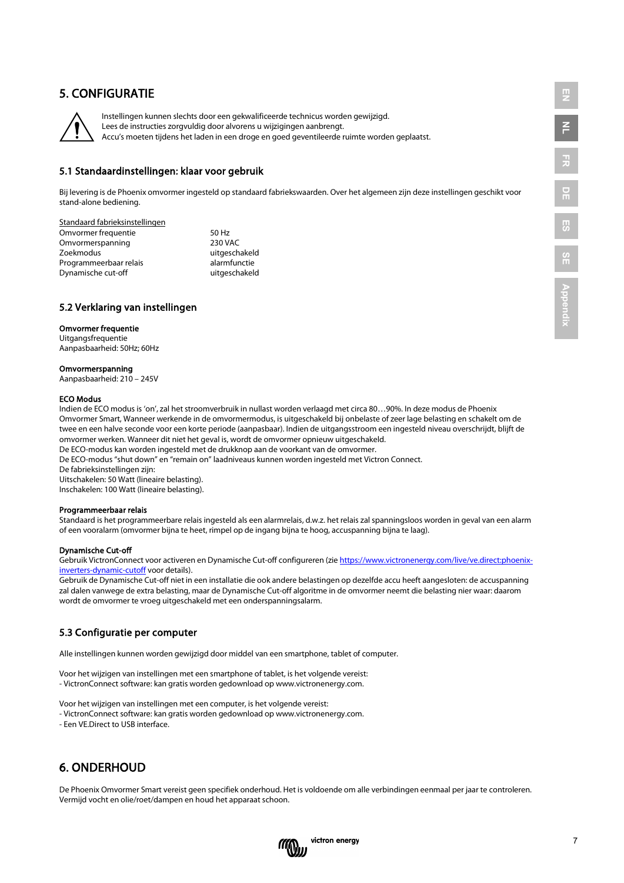## 5. CONFIGURATIE



Instellingen kunnen slechts door een gekwalificeerde technicus worden gewijzigd. Lees de instructies zorgvuldig door alvorens u wijzigingen aanbrengt. Accu's moeten tijdens het laden in een droge en goed geventileerde ruimte worden geplaatst.

### 5.1 Standaardinstellingen: klaar voor gebruik

Bij levering is de Phoenix omvormer ingesteld op standaard fabriekswaarden. Over het algemeen zijn deze instellingen geschikt voor stand-alone bediening.

#### Standaard fabrieksinstellingen

| Omvormer frequentie    | 50 Hz         |
|------------------------|---------------|
| Omvormerspanning       | 230 VAC       |
| Zoekmodus              | uitgeschakeld |
| Programmeerbaar relais | alarmfunctie  |
| Dynamische cut-off     | uitgeschakeld |
|                        |               |

## 5.2 Verklaring van instellingen

#### Omvormer frequentie

Uitgangsfrequentie Aanpasbaarheid: 50Hz; 60Hz

#### Omvormerspanning

Aanpasbaarheid: 210 – 245V

#### ECO Modus

Indien de ECO modus is 'on', zal het stroomverbruik in nullast worden verlaagd met circa 80…90%. In deze modus de Phoenix Omvormer Smart, Wanneer werkende in de omvormermodus, is uitgeschakeld bij onbelaste of zeer lage belasting en schakelt om de twee en een halve seconde voor een korte periode (aanpasbaar). Indien de uitgangsstroom een ingesteld niveau overschrijdt, blijft de omvormer werken. Wanneer dit niet het geval is, wordt de omvormer opnieuw uitgeschakeld.

De ECO-modus kan worden ingesteld met de drukknop aan de voorkant van de omvormer.

De ECO-modus "shut down" en "remain on" laadniveaus kunnen worden ingesteld met Victron Connect.

De fabrieksinstellingen zijn:

Uitschakelen: 50 Watt (lineaire belasting).

Inschakelen: 100 Watt (lineaire belasting).

#### Programmeerbaar relais

Standaard is het programmeerbare relais ingesteld als een alarmrelais, d.w.z. het relais zal spanningsloos worden in geval van een alarm of een vooralarm (omvormer bijna te heet, rimpel op de ingang bijna te hoog, accuspanning bijna te laag).

#### Dynamische Cut-off

Gebruik VictronConnect voor activeren en Dynamische Cut-off configureren (zi[e https://www.victronenergy.com/live/ve.direct:phoenix](https://www.victronenergy.com/live/ve.direct:phoenix-inverters-dynamic-cutoff)[inverters-dynamic-cutoff](https://www.victronenergy.com/live/ve.direct:phoenix-inverters-dynamic-cutoff) voor details).

Gebruik de Dynamische Cut-off niet in een installatie die ook andere belastingen op dezelfde accu heeft aangesloten: de accuspanning zal dalen vanwege de extra belasting, maar de Dynamische Cut-off algoritme in de omvormer neemt die belasting nier waar: daarom wordt de omvormer te vroeg uitgeschakeld met een onderspanningsalarm.

### 5.3 Configuratie per computer

Alle instellingen kunnen worden gewijzigd door middel van een smartphone, tablet of computer.

Voor het wijzigen van instellingen met een smartphone of tablet, is het volgende vereist: - VictronConnect software: kan gratis worden gedownload op www.victronenergy.com.

Voor het wijzigen van instellingen met een computer, is het volgende vereist:

- VictronConnect software: kan gratis worden gedownload op www.victronenergy.com.

- Een VE.Direct to USB interface.

## 6. ONDERHOUD

De Phoenix Omvormer Smart vereist geen specifiek onderhoud. Het is voldoende om alle verbindingen eenmaal per jaar te controleren. Vermijd vocht en olie/roet/dampen en houd het apparaat schoon.

 $\overline{P}$ 

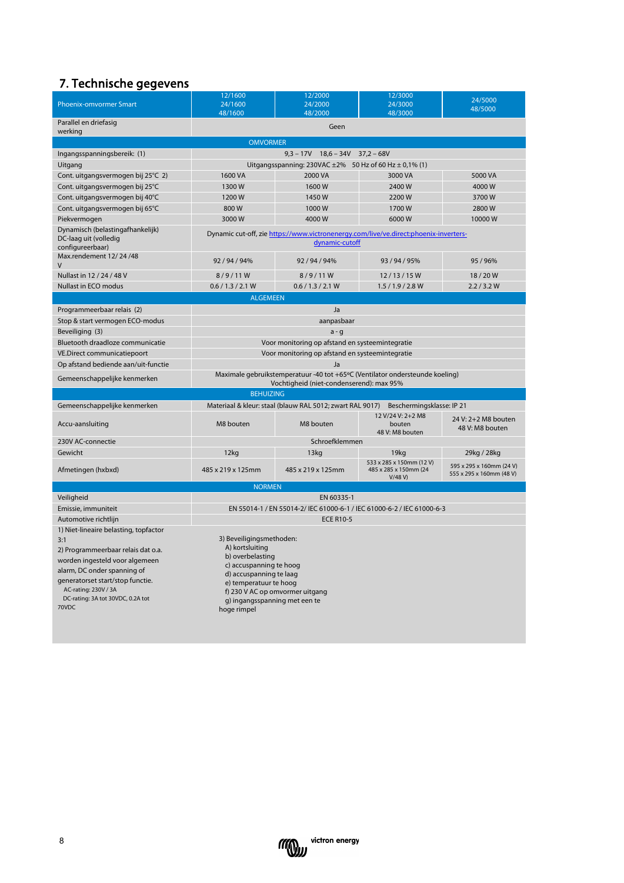# 7. Technische gegevens

| <b>Phoenix-omvormer Smart</b>                                                                                                                                                                                                                                 | 12/1600<br>24/1600                                                                                                                                                                                                  | 12/2000<br>24/2000                                                                                                       | 12/3000<br>24/3000                                          | 24/5000                                              |  |  |  |  |
|---------------------------------------------------------------------------------------------------------------------------------------------------------------------------------------------------------------------------------------------------------------|---------------------------------------------------------------------------------------------------------------------------------------------------------------------------------------------------------------------|--------------------------------------------------------------------------------------------------------------------------|-------------------------------------------------------------|------------------------------------------------------|--|--|--|--|
|                                                                                                                                                                                                                                                               | 48/1600                                                                                                                                                                                                             | 48/2000                                                                                                                  | 48/3000                                                     | 48/5000                                              |  |  |  |  |
| Parallel en driefasig<br>werking                                                                                                                                                                                                                              |                                                                                                                                                                                                                     | Geen                                                                                                                     |                                                             |                                                      |  |  |  |  |
|                                                                                                                                                                                                                                                               | <b>OMVORMER</b>                                                                                                                                                                                                     |                                                                                                                          |                                                             |                                                      |  |  |  |  |
| Ingangsspanningsbereik: (1)                                                                                                                                                                                                                                   |                                                                                                                                                                                                                     | $9,3 - 17V$ $18,6 - 34V$                                                                                                 | $37,2 - 68V$                                                |                                                      |  |  |  |  |
| Uitgang                                                                                                                                                                                                                                                       |                                                                                                                                                                                                                     | Uitgangsspanning: 230VAC $\pm 2\%$ 50 Hz of 60 Hz $\pm$ 0,1% (1)                                                         |                                                             |                                                      |  |  |  |  |
| Cont. uitgangsvermogen bij 25°C 2)                                                                                                                                                                                                                            | 1600 VA                                                                                                                                                                                                             | 2000 VA                                                                                                                  | 3000 VA                                                     | 5000 VA                                              |  |  |  |  |
| Cont. uitgangsvermogen bij 25°C                                                                                                                                                                                                                               | 1300W                                                                                                                                                                                                               | 1600W                                                                                                                    | 2400W                                                       | 4000W                                                |  |  |  |  |
| Cont. uitgangsvermogen bij 40°C                                                                                                                                                                                                                               | 1200W                                                                                                                                                                                                               | 1450W                                                                                                                    | 2200W                                                       | 3700W                                                |  |  |  |  |
| Cont. uitgangsvermogen bij 65°C                                                                                                                                                                                                                               | 800W                                                                                                                                                                                                                | 1000W                                                                                                                    | 1700W                                                       | 2800W                                                |  |  |  |  |
| Piekvermogen                                                                                                                                                                                                                                                  | 3000W                                                                                                                                                                                                               | 4000 W                                                                                                                   | 6000W                                                       | 10000W                                               |  |  |  |  |
| Dynamisch (belastingafhankelijk)<br>DC-laag uit (volledig<br>configureerbaar)                                                                                                                                                                                 |                                                                                                                                                                                                                     | Dynamic cut-off, zie https://www.victronenergy.com/live/ve.direct:phoenix-inverters-<br>dynamic-cutoff                   |                                                             |                                                      |  |  |  |  |
| Max.rendement 12/24/48<br>$\vee$                                                                                                                                                                                                                              | 92 / 94 / 94%                                                                                                                                                                                                       | 92 / 94 / 94%                                                                                                            | 93 / 94 / 95%                                               | 95 / 96%                                             |  |  |  |  |
| Nullast in 12 / 24 / 48 V                                                                                                                                                                                                                                     | 8/9/11W                                                                                                                                                                                                             | 8/9/11W                                                                                                                  | $12/13/15$ W                                                | 18/20W                                               |  |  |  |  |
| <b>Nullast in ECO modus</b>                                                                                                                                                                                                                                   | 0.6 / 1.3 / 2.1 W                                                                                                                                                                                                   | 0.6 / 1.3 / 2.1 W                                                                                                        | 1.5/1.9/2.8 W                                               | 2.2 / 3.2 W                                          |  |  |  |  |
|                                                                                                                                                                                                                                                               | <b>ALGEMEEN</b>                                                                                                                                                                                                     |                                                                                                                          |                                                             |                                                      |  |  |  |  |
| Programmeerbaar relais (2)                                                                                                                                                                                                                                    |                                                                                                                                                                                                                     | Ja                                                                                                                       |                                                             |                                                      |  |  |  |  |
| Stop & start vermogen ECO-modus                                                                                                                                                                                                                               | aanpasbaar                                                                                                                                                                                                          |                                                                                                                          |                                                             |                                                      |  |  |  |  |
| Beveiliging (3)                                                                                                                                                                                                                                               | $a - q$                                                                                                                                                                                                             |                                                                                                                          |                                                             |                                                      |  |  |  |  |
| Bluetooth draadloze communicatie                                                                                                                                                                                                                              |                                                                                                                                                                                                                     | Voor monitoring op afstand en systeemintegratie                                                                          |                                                             |                                                      |  |  |  |  |
| VE.Direct communicatiepoort                                                                                                                                                                                                                                   | Voor monitoring op afstand en systeemintegratie                                                                                                                                                                     |                                                                                                                          |                                                             |                                                      |  |  |  |  |
| Op afstand bediende aan/uit-functie                                                                                                                                                                                                                           |                                                                                                                                                                                                                     | Ja                                                                                                                       |                                                             |                                                      |  |  |  |  |
| Gemeenschappelijke kenmerken                                                                                                                                                                                                                                  |                                                                                                                                                                                                                     | Maximale gebruikstemperatuur -40 tot +65°C (Ventilator ondersteunde koeling)<br>Vochtigheid (niet-condenserend): max 95% |                                                             |                                                      |  |  |  |  |
|                                                                                                                                                                                                                                                               | <b>BEHUIZING</b>                                                                                                                                                                                                    |                                                                                                                          |                                                             |                                                      |  |  |  |  |
| Gemeenschappelijke kenmerken                                                                                                                                                                                                                                  |                                                                                                                                                                                                                     | Materiaal & kleur: staal (blauw RAL 5012; zwart RAL 9017)                                                                | Beschermingsklasse: IP 21                                   |                                                      |  |  |  |  |
| Accu-aansluiting                                                                                                                                                                                                                                              | M8 bouten                                                                                                                                                                                                           | M8 bouten                                                                                                                | 12 V/24 V: 2+2 M8<br>bouten<br>48 V: M8 bouten              | 24 V: 2+2 M8 bouten<br>48 V: M8 bouten               |  |  |  |  |
| 230V AC-connectie                                                                                                                                                                                                                                             |                                                                                                                                                                                                                     | Schroefklemmen                                                                                                           |                                                             |                                                      |  |  |  |  |
| Gewicht                                                                                                                                                                                                                                                       | 12 <sub>kq</sub>                                                                                                                                                                                                    | 13 <sub>kq</sub>                                                                                                         | 19kg                                                        | 29kg / 28kg                                          |  |  |  |  |
| Afmetingen (hxbxd)                                                                                                                                                                                                                                            | 485 x 219 x 125mm                                                                                                                                                                                                   | 485 x 219 x 125mm                                                                                                        | 533 x 285 x 150mm (12 V)<br>485 x 285 x 150mm (24<br>V/48 V | 595 x 295 x 160mm (24 V)<br>555 x 295 x 160mm (48 V) |  |  |  |  |
|                                                                                                                                                                                                                                                               | <b>NORMEN</b>                                                                                                                                                                                                       |                                                                                                                          |                                                             |                                                      |  |  |  |  |
| Veiligheid                                                                                                                                                                                                                                                    |                                                                                                                                                                                                                     | EN 60335-1                                                                                                               |                                                             |                                                      |  |  |  |  |
| Emissie, immuniteit                                                                                                                                                                                                                                           |                                                                                                                                                                                                                     | EN 55014-1 / EN 55014-2/ IEC 61000-6-1 / IEC 61000-6-2 / IEC 61000-6-3                                                   |                                                             |                                                      |  |  |  |  |
| Automotive richtlijn                                                                                                                                                                                                                                          |                                                                                                                                                                                                                     | <b>ECE R10-5</b>                                                                                                         |                                                             |                                                      |  |  |  |  |
| 1) Niet-lineaire belasting, topfactor<br>3:1<br>2) Programmeerbaar relais dat o.a.<br>worden ingesteld voor algemeen<br>alarm, DC onder spanning of<br>generatorset start/stop functie.<br>AC-rating: 230V / 3A<br>DC-rating: 3A tot 30VDC, 0.2A tot<br>70VDC | 3) Beveiligingsmethoden:<br>A) kortsluiting<br>b) overbelasting<br>c) accuspanning te hoog<br>d) accuspanning te laag<br>e) temperatuur te hoog<br>f) 230 V AC op omvormer uitgang<br>g) ingangsspanning met een te |                                                                                                                          |                                                             |                                                      |  |  |  |  |
|                                                                                                                                                                                                                                                               | hoge rimpel                                                                                                                                                                                                         |                                                                                                                          |                                                             |                                                      |  |  |  |  |

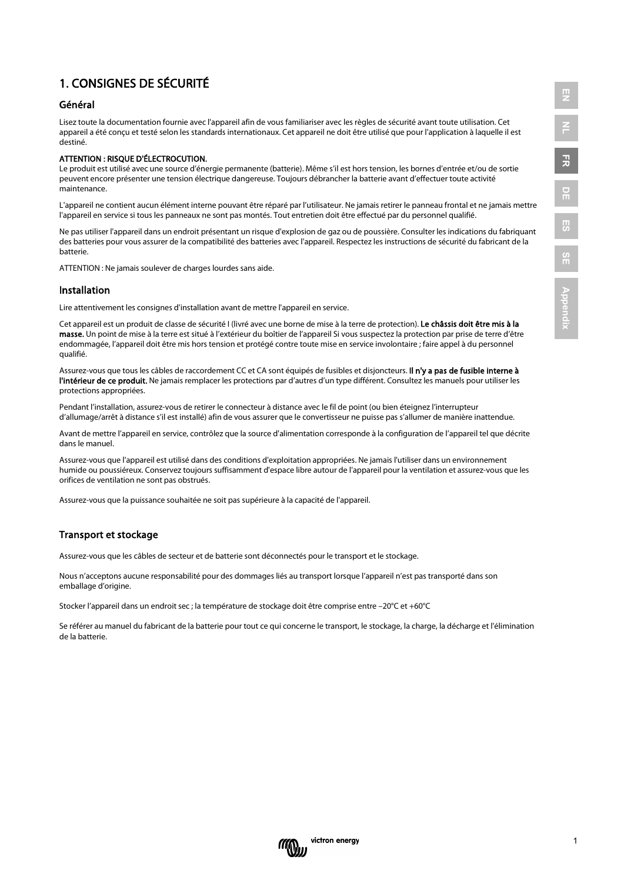## 1. CONSIGNES DE SÉCURITÉ

### Général

Lisez toute la documentation fournie avec l'appareil afin de vous familiariser avec les règles de sécurité avant toute utilisation. Cet appareil a été conçu et testé selon les standards internationaux. Cet appareil ne doit être utilisé que pour l'application à laquelle il est destiné.

#### ATTENTION : RISQUE D'ÉLECTROCUTION.

Le produit est utilisé avec une source d'énergie permanente (batterie). Même s'il est hors tension, les bornes d'entrée et/ou de sortie peuvent encore présenter une tension électrique dangereuse. Toujours débrancher la batterie avant d'effectuer toute activité maintenance.

L'appareil ne contient aucun élément interne pouvant être réparé par l'utilisateur. Ne jamais retirer le panneau frontal et ne jamais mettre l'appareil en service si tous les panneaux ne sont pas montés. Tout entretien doit être effectué par du personnel qualifié.

Ne pas utiliser l'appareil dans un endroit présentant un risque d'explosion de gaz ou de poussière. Consulter les indications du fabriquant des batteries pour vous assurer de la compatibilité des batteries avec l'appareil. Respectez les instructions de sécurité du fabricant de la batterie.

ATTENTION : Ne jamais soulever de charges lourdes sans aide.

## Installation

Lire attentivement les consignes d'installation avant de mettre l'appareil en service.

Cet appareil est un produit de classe de sécurité I (livré avec une borne de mise à la terre de protection). Le châssis doit être mis à la masse. Un point de mise à la terre est situé à l'extérieur du boîtier de l'appareil Si vous suspectez la protection par prise de terre d'être endommagée, l'appareil doit être mis hors tension et protégé contre toute mise en service involontaire ; faire appel à du personnel qualifié.

Assurez-vous que tous les câbles de raccordement CC et CA sont équipés de fusibles et disjoncteurs. Il n'y a pas de fusible interne à l'intérieur de ce produit. Ne jamais remplacer les protections par d'autres d'un type différent. Consultez les manuels pour utiliser les protections appropriées.

Pendant l'installation, assurez-vous de retirer le connecteur à distance avec le fil de point (ou bien éteignez l'interrupteur d'allumage/arrêt à distance s'il est installé) afin de vous assurer que le convertisseur ne puisse pas s'allumer de manière inattendue.

Avant de mettre l'appareil en service, contrôlez que la source d'alimentation corresponde à la configuration de l'appareil tel que décrite dans le manuel.

Assurez-vous que l'appareil est utilisé dans des conditions d'exploitation appropriées. Ne jamais l'utiliser dans un environnement humide ou poussiéreux. Conservez toujours suffisamment d'espace libre autour de l'appareil pour la ventilation et assurez-vous que les orifices de ventilation ne sont pas obstrués.

Assurez-vous que la puissance souhaitée ne soit pas supérieure à la capacité de l'appareil.

## Transport et stockage

Assurez-vous que les câbles de secteur et de batterie sont déconnectés pour le transport et le stockage.

Nous n'acceptons aucune responsabilité pour des dommages liés au transport lorsque l'appareil n'est pas transporté dans son emballage d'origine.

Stocker l'appareil dans un endroit sec ; la température de stockage doit être comprise entre –20°C et +60°C

Se référer au manuel du fabricant de la batterie pour tout ce qui concerne le transport, le stockage, la charge, la décharge et l'élimination de la batterie.



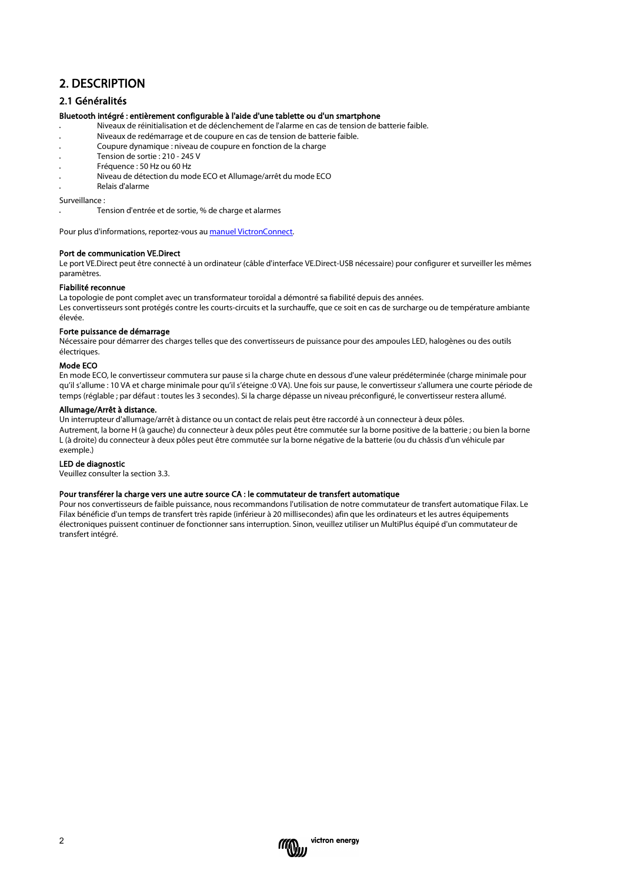## 2. DESCRIPTION

## 2.1 Généralités

#### Bluetooth intégré : entièrement configurable à l'aide d'une tablette ou d'un smartphone

- Niveaux de réinitialisation et de déclenchement de l'alarme en cas de tension de batterie faible.
- Niveaux de redémarrage et de coupure en cas de tension de batterie faible.
- Coupure dynamique : niveau de coupure en fonction de la charge
- Tension de sortie : 210 245 V
- Fréquence : 50 Hz ou 60 Hz
- Niveau de détection du mode ECO et Allumage/arrêt du mode ECO
- Relais d'alarme

#### Surveillance :

• Tension d'entrée et de sortie, % de charge et alarmes

Pour plus d'informations, reportez-vous a[u manuel VictronConnect.](https://www.victronenergy.com/live/victronconnect:start)

#### Port de communication VE.Direct

Le port VE.Direct peut être connecté à un ordinateur (câble d'interface VE.Direct-USB nécessaire) pour configurer et surveiller les mêmes paramètres.

#### Fiabilité reconnue

La topologie de pont complet avec un transformateur toroïdal a démontré sa fiabilité depuis des années. Les convertisseurs sont protégés contre les courts-circuits et la surchauffe, que ce soit en cas de surcharge ou de température ambiante élevée.

#### Forte puissance de démarrage

Nécessaire pour démarrer des charges telles que des convertisseurs de puissance pour des ampoules LED, halogènes ou des outils électriques.

#### Mode ECO

En mode ECO, le convertisseur commutera sur pause si la charge chute en dessous d'une valeur prédéterminée (charge minimale pour qu'il s'allume : 10 VA et charge minimale pour qu'il s'éteigne :0 VA). Une fois sur pause, le convertisseur s'allumera une courte période de temps (réglable ; par défaut : toutes les 3 secondes). Si la charge dépasse un niveau préconfiguré, le convertisseur restera allumé.

#### Allumage/Arrêt à distance.

Un interrupteur d'allumage/arrêt à distance ou un contact de relais peut être raccordé à un connecteur à deux pôles. Autrement, la borne H (à gauche) du connecteur à deux pôles peut être commutée sur la borne positive de la batterie ; ou bien la borne L (à droite) du connecteur à deux pôles peut être commutée sur la borne négative de la batterie (ou du châssis d'un véhicule par exemple.)

## LED de diagnostic

Veuillez consulter la section 3.3.

#### Pour transférer la charge vers une autre source CA : le commutateur de transfert automatique

Pour nos convertisseurs de faible puissance, nous recommandons l'utilisation de notre commutateur de transfert automatique Filax. Le Filax bénéficie d'un temps de transfert très rapide (inférieur à 20 millisecondes) afin que les ordinateurs et les autres équipements électroniques puissent continuer de fonctionner sans interruption. Sinon, veuillez utiliser un MultiPlus équipé d'un commutateur de transfert intégré.

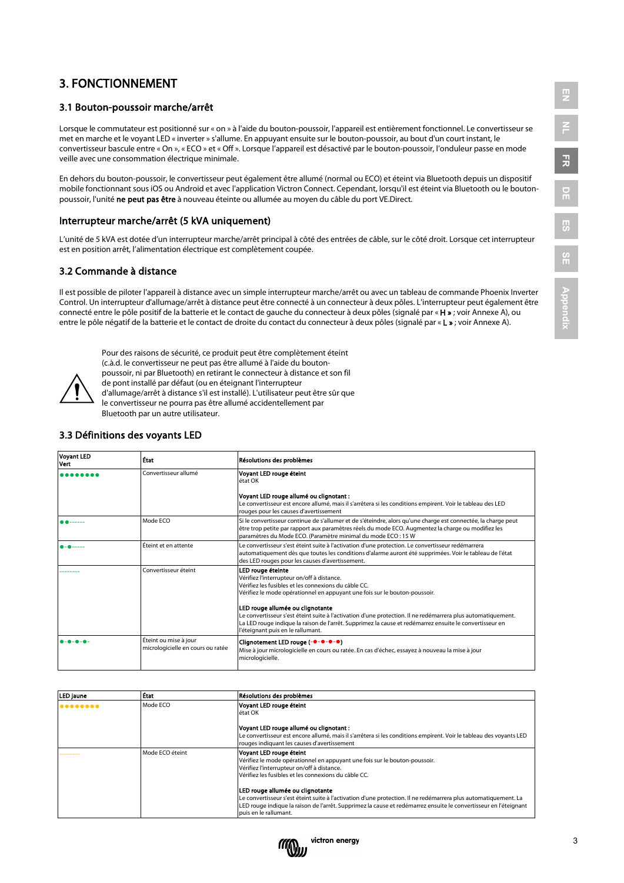## 3. FONCTIONNEMENT

## 3.1 Bouton-poussoir marche/arrêt

Lorsque le commutateur est positionné sur « on » à l'aide du bouton-poussoir, l'appareil est entièrement fonctionnel. Le convertisseur se met en marche et le voyant LED « inverter » s'allume. En appuyant ensuite sur le bouton-poussoir, au bout d'un court instant, le convertisseur bascule entre « On », « ECO » et « Off ». Lorsque l'appareil est désactivé par le bouton-poussoir, l'onduleur passe en mode veille avec une consommation électrique minimale.

En dehors du bouton-poussoir, le convertisseur peut également être allumé (normal ou ECO) et éteint via Bluetooth depuis un dispositif mobile fonctionnant sous iOS ou Android et avec l'application Victron Connect. Cependant, lorsqu'il est éteint via Bluetooth ou le boutonpoussoir, l'unité ne peut pas être à nouveau éteinte ou allumée au moyen du câble du port VE.Direct.

### Interrupteur marche/arrêt (5 kVA uniquement)

L'unité de 5 kVA est dotée d'un interrupteur marche/arrêt principal à côté des entrées de câble, sur le côté droit. Lorsque cet interrupteur est en position arrêt, l'alimentation électrique est complètement coupée.

### 3.2 Commande à distance

Il est possible de piloter l'appareil à distance avec un simple interrupteur marche/arrêt ou avec un tableau de commande Phoenix Inverter Control. Un interrupteur d'allumage/arrêt à distance peut être connecté à un connecteur à deux pôles. L'interrupteur peut également être connecté entre le pôle positif de la batterie et le contact de gauche du connecteur à deux pôles (signalé par « H » ; voir Annexe A), ou entre le pôle négatif de la batterie et le contact de droite du contact du connecteur à deux pôles (signalé par « L » ; voir Annexe A).



Pour des raisons de sécurité, ce produit peut être complètement éteint (c.à.d. le convertisseur ne peut pas être allumé à l'aide du boutonpoussoir, ni par Bluetooth) en retirant le connecteur à distance et son fil de pont installé par défaut (ou en éteignant l'interrupteur d'allumage/arrêt à distance s'il est installé). L'utilisateur peut être sûr que

le convertisseur ne pourra pas être allumé accidentellement par Bluetooth par un autre utilisateur.

### 3.3 Définitions des voyants LED

| <b>Voyant LED</b><br>Vert | <b>État</b>                                                | Résolutions des problèmes                                                                                                                                                                                                                                                                                                                                                                                                                                                                                 |
|---------------------------|------------------------------------------------------------|-----------------------------------------------------------------------------------------------------------------------------------------------------------------------------------------------------------------------------------------------------------------------------------------------------------------------------------------------------------------------------------------------------------------------------------------------------------------------------------------------------------|
| $0.000000000$             | Convertisseur allumé                                       | Voyant LED rouge éteint<br>état OK                                                                                                                                                                                                                                                                                                                                                                                                                                                                        |
|                           |                                                            | Voyant LED rouge allumé ou clignotant :<br>Le convertisseur est encore allumé, mais il s'arrêtera si les conditions empirent. Voir le tableau des LED<br>rouges pour les causes d'avertissement                                                                                                                                                                                                                                                                                                           |
|                           | Mode ECO                                                   | Si le convertisseur continue de s'allumer et de s'éteindre, alors qu'une charge est connectée, la charge peut<br>être trop petite par rapport aux paramètres réels du mode ECO. Augmentez la charge ou modifiez les<br>paramètres du Mode ECO. (Paramètre minimal du mode ECO : 15 W                                                                                                                                                                                                                      |
|                           | Éteint et en attente                                       | Le convertisseur s'est éteint suite à l'activation d'une protection. Le convertisseur redémarrera<br>automatiquement dès que toutes les conditions d'alarme auront été supprimées. Voir le tableau de l'état<br>des LED rouges pour les causes d'avertissement.                                                                                                                                                                                                                                           |
|                           | Convertisseur éteint                                       | LED rouge éteinte<br>Vérifiez l'interrupteur on/off à distance.<br>Vérifiez les fusibles et les connexions du câble CC.<br>Vérifiez le mode opérationnel en appuyant une fois sur le bouton-poussoir.<br>LED rouge allumée ou clignotante<br>Le convertisseur s'est éteint suite à l'activation d'une protection. Il ne redémarrera plus automatiquement.<br>La LED rouge indique la raison de l'arrêt. Supprimez la cause et redémarrez ensuite le convertisseur en<br>l'éteignant puis en le rallumant. |
|                           | Éteint ou mise à jour<br>micrologicielle en cours ou ratée | Clignotement LED rouge (-●-●-●-●)<br>Mise à jour micrologicielle en cours ou ratée. En cas d'échec, essayez à nouveau la mise à jour<br>micrologicielle.                                                                                                                                                                                                                                                                                                                                                  |

| LED jaune | État            | Résolutions des problèmes                                                                                                                                                                                                                                                                        |
|-----------|-----------------|--------------------------------------------------------------------------------------------------------------------------------------------------------------------------------------------------------------------------------------------------------------------------------------------------|
|           | Mode ECO        | Vovant LED rouge éteint<br>état OK                                                                                                                                                                                                                                                               |
|           |                 | Voyant LED rouge allumé ou clignotant :<br>Le convertisseur est encore allumé, mais il s'arrêtera si les conditions empirent. Voir le tableau des voyants LED<br>rouges indiguant les causes d'avertissement                                                                                     |
|           | Mode ECO éteint | Voyant LED rouge éteint<br>Vérifiez le mode opérationnel en appuyant une fois sur le bouton-poussoir.<br>Vérifiez l'interrupteur on/off à distance.<br>Vérifiez les fusibles et les connexions du câble CC.                                                                                      |
|           |                 | LED rouge allumée ou clignotante<br>Le convertisseur s'est éteint suite à l'activation d'une protection. Il ne redémarrera plus automatiquement. La<br>LED rouge indique la raison de l'arrêt. Supprimez la cause et redémarrez ensuite le convertisseur en l'éteignant<br>puis en le rallumant. |

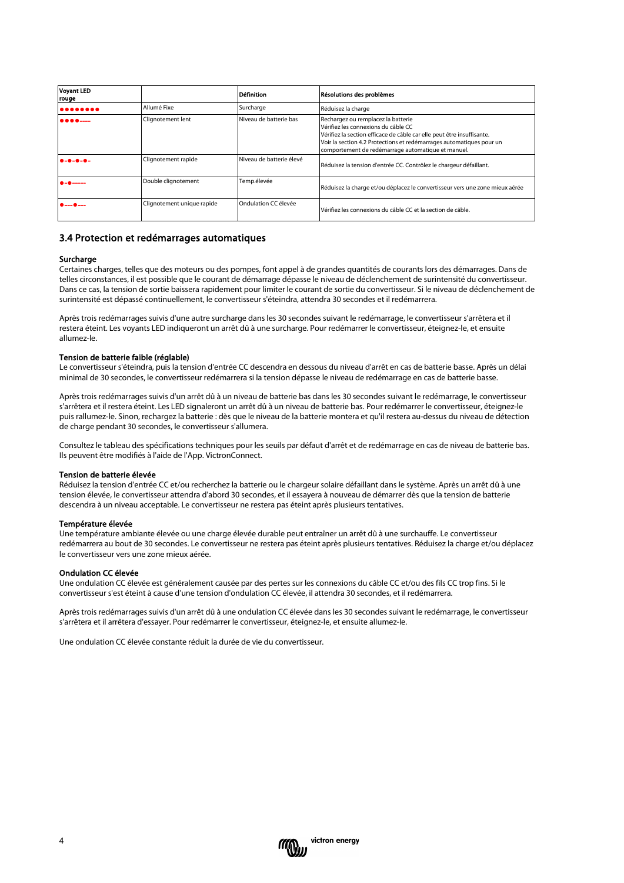| <b>Voyant LED</b><br>rouge |                            | Définition               | Résolutions des problèmes                                                                                                                                                                                                                                                         |
|----------------------------|----------------------------|--------------------------|-----------------------------------------------------------------------------------------------------------------------------------------------------------------------------------------------------------------------------------------------------------------------------------|
| $•••••••••$                | Allumé Fixe                | Surcharge                | Réduisez la charge                                                                                                                                                                                                                                                                |
|                            | Clignotement lent          | Niveau de batterie bas   | Rechargez ou remplacez la batterie<br>Vérifiez les connexions du câble CC<br>Vérifiez la section efficace de câble car elle peut être insuffisante.<br>Voir la section 4.2 Protections et redémarrages automatiques pour un<br>comportement de redémarrage automatique et manuel. |
| -----                      | Clignotement rapide        | Niveau de batterie élevé | Réduisez la tension d'entrée CC. Contrôlez le chargeur défaillant.                                                                                                                                                                                                                |
|                            | Double clignotement        | Temp.élevée              | Réduisez la charge et/ou déplacez le convertisseur vers une zone mieux aérée                                                                                                                                                                                                      |
| 8---8--                    | Clignotement unique rapide | Ondulation CC élevée     | Vérifiez les connexions du câble CC et la section de câble.                                                                                                                                                                                                                       |

### 3.4 Protection et redémarrages automatiques

#### Surcharge

Certaines charges, telles que des moteurs ou des pompes, font appel à de grandes quantités de courants lors des démarrages. Dans de telles circonstances, il est possible que le courant de démarrage dépasse le niveau de déclenchement de surintensité du convertisseur. Dans ce cas, la tension de sortie baissera rapidement pour limiter le courant de sortie du convertisseur. Si le niveau de déclenchement de surintensité est dépassé continuellement, le convertisseur s'éteindra, attendra 30 secondes et il redémarrera.

Après trois redémarrages suivis d'une autre surcharge dans les 30 secondes suivant le redémarrage, le convertisseur s'arrêtera et il restera éteint. Les voyants LED indiqueront un arrêt dû à une surcharge. Pour redémarrer le convertisseur, éteignez-le, et ensuite allumez-le.

#### Tension de batterie faible (réglable)

Le convertisseur s'éteindra, puis la tension d'entrée CC descendra en dessous du niveau d'arrêt en cas de batterie basse. Après un délai minimal de 30 secondes, le convertisseur redémarrera si la tension dépasse le niveau de redémarrage en cas de batterie basse.

Après trois redémarrages suivis d'un arrêt dû à un niveau de batterie bas dans les 30 secondes suivant le redémarrage, le convertisseur s'arrêtera et il restera éteint. Les LED signaleront un arrêt dû à un niveau de batterie bas. Pour redémarrer le convertisseur, éteignez-le puis rallumez-le. Sinon, rechargez la batterie : dès que le niveau de la batterie montera et qu'il restera au-dessus du niveau de détection de charge pendant 30 secondes, le convertisseur s'allumera.

Consultez le tableau des spécifications techniques pour les seuils par défaut d'arrêt et de redémarrage en cas de niveau de batterie bas. Ils peuvent être modifiés à l'aide de l'App. VictronConnect.

#### Tension de batterie élevée

Réduisez la tension d'entrée CC et/ou recherchez la batterie ou le chargeur solaire défaillant dans le système. Après un arrêt dû à une tension élevée, le convertisseur attendra d'abord 30 secondes, et il essayera à nouveau de démarrer dès que la tension de batterie descendra à un niveau acceptable. Le convertisseur ne restera pas éteint après plusieurs tentatives.

#### Température élevée

Une température ambiante élevée ou une charge élevée durable peut entraîner un arrêt dû à une surchauffe. Le convertisseur redémarrera au bout de 30 secondes. Le convertisseur ne restera pas éteint après plusieurs tentatives. Réduisez la charge et/ou déplacez le convertisseur vers une zone mieux aérée.

#### Ondulation CC élevée

Une ondulation CC élevée est généralement causée par des pertes sur les connexions du câble CC et/ou des fils CC trop fins. Si le convertisseur s'est éteint à cause d'une tension d'ondulation CC élevée, il attendra 30 secondes, et il redémarrera.

Après trois redémarrages suivis d'un arrêt dû à une ondulation CC élevée dans les 30 secondes suivant le redémarrage, le convertisseur s'arrêtera et il arrêtera d'essayer. Pour redémarrer le convertisseur, éteignez-le, et ensuite allumez-le.

Une ondulation CC élevée constante réduit la durée de vie du convertisseur.

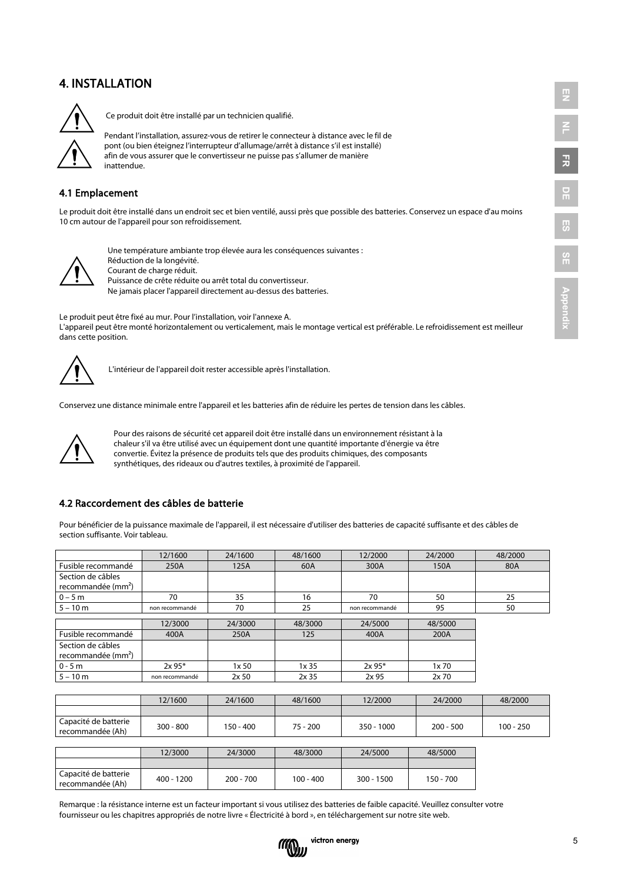## 4. INSTALLATION



Ce produit doit être installé par un technicien qualifié.

Pendant l'installation, assurez-vous de retirer le connecteur à distance avec le fil de pont (ou bien éteignez l'interrupteur d'allumage/arrêt à distance s'il est installé) afin de vous assurer que le convertisseur ne puisse pas s'allumer de manière inattendue.

## 4.1 Emplacement

Le produit doit être installé dans un endroit sec et bien ventilé, aussi près que possible des batteries. Conservez un espace d'au moins 10 cm autour de l'appareil pour son refroidissement.



Une température ambiante trop élevée aura les conséquences suivantes : Réduction de la longévité. Courant de charge réduit. Puissance de crête réduite ou arrêt total du convertisseur. Ne jamais placer l'appareil directement au-dessus des batteries.

Le produit peut être fixé au mur. Pour l'installation, voir l'annexe A. L'appareil peut être monté horizontalement ou verticalement, mais le montage vertical est préférable. Le refroidissement est meilleur dans cette position.



L'intérieur de l'appareil doit rester accessible après l'installation.

Conservez une distance minimale entre l'appareil et les batteries afin de réduire les pertes de tension dans les câbles.



Pour des raisons de sécurité cet appareil doit être installé dans un environnement résistant à la chaleur s'il va être utilisé avec un équipement dont une quantité importante d'énergie va être convertie. Évitez la présence de produits tels que des produits chimiques, des composants synthétiques, des rideaux ou d'autres textiles, à proximité de l'appareil.

## 4.2 Raccordement des câbles de batterie

Pour bénéficier de la puissance maximale de l'appareil, il est nécessaire d'utiliser des batteries de capacité suffisante et des câbles de section suffisante. Voir tableau.

|                                                     | 12/1600        | 24/1600 | 48/1600 | 12/2000        | 24/2000 | 48/2000 |
|-----------------------------------------------------|----------------|---------|---------|----------------|---------|---------|
| Fusible recommandé                                  | 250A           | 125A    | 60A     | 300A           | 150A    | 80A     |
| Section de câbles<br>recommandée (mm <sup>2</sup> ) |                |         |         |                |         |         |
| $0 - 5 m$                                           | 70             | 35      | 16      | 70             | 50      | 25      |
| $5 - 10 m$                                          | non recommandé | 70      | 25      | non recommandé | 95      | 50      |
|                                                     |                |         |         |                |         |         |
|                                                     | 12/3000        | 24/3000 | 48/3000 | 24/5000        | 48/5000 |         |
| Fusible recommandé                                  | 400A           | 250A    | 125     | 400A           | 200A    |         |
| Section de câbles                                   |                |         |         |                |         |         |
| recommandée (mm <sup>2</sup> )                      |                |         |         |                |         |         |
| $0 - 5 m$                                           | $2x 95*$       | 1x50    | 1x35    | 2x 95*         | 1x70    |         |
| $5 - 10m$                                           | non recommandé | 2x 50   | 2x35    | 2x95           | 2x70    |         |
|                                                     |                |         |         |                |         |         |

|                                          | 12/1600      | 24/1600     | 48/1600     | 12/2000      | 24/2000     | 48/2000     |
|------------------------------------------|--------------|-------------|-------------|--------------|-------------|-------------|
|                                          |              |             |             |              |             |             |
| Capacité de batterie<br>recommandée (Ah) | $300 - 800$  | 150 - 400   | $75 - 200$  | 350 - 1000   | $200 - 500$ | $100 - 250$ |
|                                          |              |             |             |              |             |             |
|                                          | 12/3000      | 24/3000     | 48/3000     | 24/5000      | 48/5000     |             |
|                                          |              |             |             |              |             |             |
| Capacité de batterie<br>recommandée (Ah) | $400 - 1200$ | $200 - 700$ | $100 - 400$ | $300 - 1500$ | 150 - 700   |             |

Remarque : la résistance interne est un facteur important si vous utilisez des batteries de faible capacité. Veuillez consulter votre fournisseur ou les chapitres appropriés de notre livre « Électricité à bord », en téléchargement sur notre site web.

**EN**

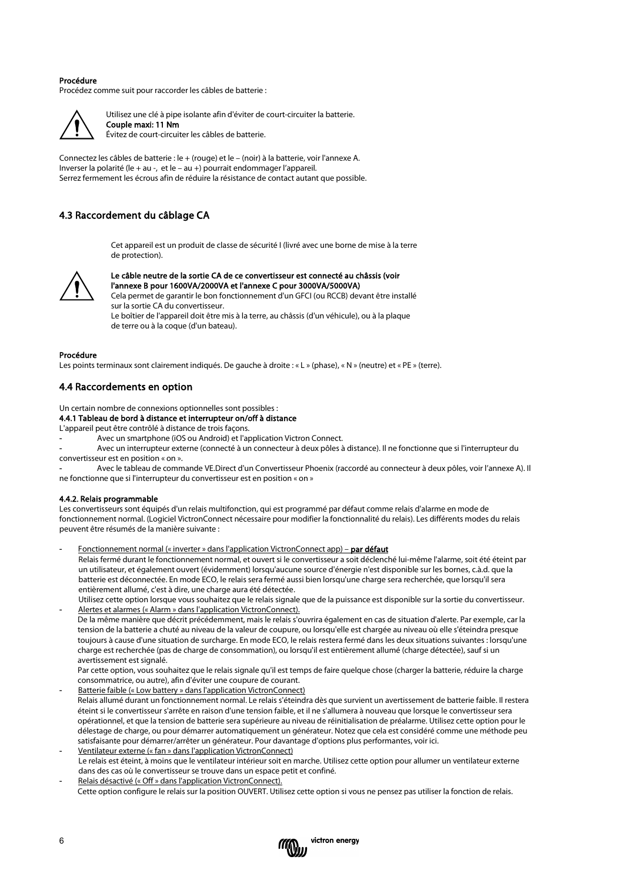#### Procédure

Procédez comme suit pour raccorder les câbles de batterie :



Utilisez une clé à pipe isolante afin d'éviter de court-circuiter la batterie. Couple maxi: 11 Nm Évitez de court-circuiter les câbles de batterie.

Connectez les câbles de batterie : le + (rouge) et le – (noir) à la batterie, voir l'annexe A. Inverser la polarité (le + au -, et le – au +) pourrait endommager l'appareil. Serrez fermement les écrous afin de réduire la résistance de contact autant que possible.

## 4.3 Raccordement du câblage CA

Cet appareil est un produit de classe de sécurité I (livré avec une borne de mise à la terre de protection).



Le câble neutre de la sortie CA de ce convertisseur est connecté au châssis (voir l'annexe B pour 1600VA/2000VA et l'annexe C pour 3000VA/5000VA) Cela permet de garantir le bon fonctionnement d'un GFCI (ou RCCB) devant être installé sur la sortie CA du convertisseur.

Le boîtier de l'appareil doit être mis à la terre, au châssis (d'un véhicule), ou à la plaque de terre ou à la coque (d'un bateau).

#### Procédure

Les points terminaux sont clairement indiqués. De gauche à droite : « L » (phase), « N » (neutre) et « PE » (terre).

### 4.4 Raccordements en option

Un certain nombre de connexions optionnelles sont possibles :

4.4.1 Tableau de bord à distance et interrupteur on/off à distance

- L'appareil peut être contrôlé à distance de trois façons.
- Avec un smartphone (iOS ou Android) et l'application Victron Connect.
- Avec un interrupteur externe (connecté à un connecteur à deux pôles à distance). Il ne fonctionne que si l'interrupteur du convertisseur est en position « on ».

- Avec le tableau de commande VE.Direct d'un Convertisseur Phoenix (raccordé au connecteur à deux pôles, voir l'annexe A). Il ne fonctionne que si l'interrupteur du convertisseur est en position « on »

#### 4.4.2. Relais programmable

Les convertisseurs sont équipés d'un relais multifonction, qui est programmé par défaut comme relais d'alarme en mode de fonctionnement normal. (Logiciel VictronConnect nécessaire pour modifier la fonctionnalité du relais). Les différents modes du relais peuvent être résumés de la manière suivante :

Fonctionnement normal (« inverter » dans l'application VictronConnect app) – par défaut Relais fermé durant le fonctionnement normal, et ouvert si le convertisseur a soit déclenché lui-même l'alarme, soit été éteint par un utilisateur, et également ouvert (évidemment) lorsqu'aucune source d'énergie n'est disponible sur les bornes, c.à.d. que la batterie est déconnectée. En mode ECO, le relais sera fermé aussi bien lorsqu'une charge sera recherchée, que lorsqu'il sera entièrement allumé, c'est à dire, une charge aura été détectée.

Utilisez cette option lorsque vous souhaitez que le relais signale que de la puissance est disponible sur la sortie du convertisseur. Alertes et alarmes (« Alarm » dans l'application VictronConnect).

De la même manière que décrit précédemment, mais le relais s'ouvrira également en cas de situation d'alerte. Par exemple, car la tension de la batterie a chuté au niveau de la valeur de coupure, ou lorsqu'elle est chargée au niveau où elle s'éteindra presque toujours à cause d'une situation de surcharge. En mode ECO, le relais restera fermé dans les deux situations suivantes : lorsqu'une charge est recherchée (pas de charge de consommation), ou lorsqu'il est entièrement allumé (charge détectée), sauf si un avertissement est signalé.

Par cette option, vous souhaitez que le relais signale qu'il est temps de faire quelque chose (charger la batterie, réduire la charge consommatrice, ou autre), afin d'éviter une coupure de courant.

Batterie faible (« Low battery » dans l'application VictronConnect) Relais allumé durant un fonctionnement normal. Le relais s'éteindra dès que survient un avertissement de batterie faible. Il restera éteint si le convertisseur s'arrête en raison d'une tension faible, et il ne s'allumera à nouveau que lorsque le convertisseur sera opérationnel, et que la tension de batterie sera supérieure au niveau de réinitialisation de préalarme. Utilisez cette option pour le délestage de charge, ou pour démarrer automatiquement un générateur. Notez que cela est considéré comme une méthode peu satisfaisante pour démarrer/arrêter un générateur. Pour davantage d'options plus performantes, voir ici.

- Ventilateur externe (« fan » dans l'application VictronConnect) Le relais est éteint, à moins que le ventilateur intérieur soit en marche. Utilisez cette option pour allumer un ventilateur externe dans des cas où le convertisseur se trouve dans un espace petit et confiné.

Relais désactivé (« Off » dans l'application VictronConnect). Cette option configure le relais sur la position OUVERT. Utilisez cette option si vous ne pensez pas utiliser la fonction de relais.

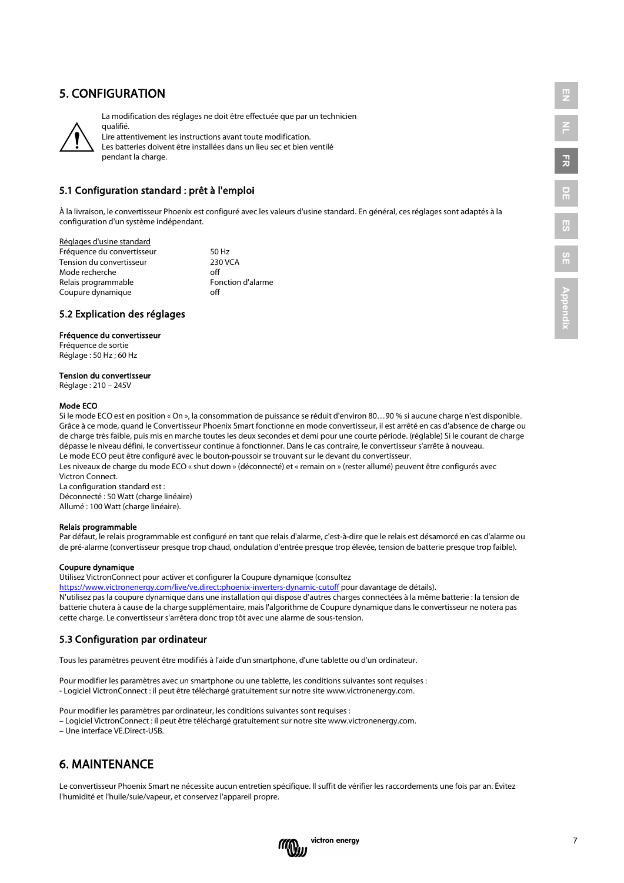## 5. CONFIGURATION



La modification des réglages ne doit être effectuée que par un technicien qualifié. Lire attentivement les instructions avant toute modification. Les batteries doivent être installées dans un lieu sec et bien ventilé

## 5.1 Configuration standard : prêt à l'emploi

pendant la charge.

À la livraison, le convertisseur Phoenix est configuré avec les valeurs d'usine standard. En général, ces réglages sont adaptés à la configuration d'un système indépendant.

#### Réglages d'usine standard

| 50 Hz             |
|-------------------|
| 230 VCA           |
| off               |
| Fonction d'alarme |
| off               |
|                   |

### 5.2 Explication des réglages

#### Fréquence du convertisseur

Fréquence de sortie Réglage : 50 Hz ; 60 Hz

#### Tension du convertisseur

Réglage : 210 – 245V

#### Mode ECO

Si le mode ECO est en position « On », la consommation de puissance se réduit d'environ 80…90 % si aucune charge n'est disponible. Grâce à ce mode, quand le Convertisseur Phoenix Smart fonctionne en mode convertisseur, il est arrêté en cas d'absence de charge ou de charge très faible, puis mis en marche toutes les deux secondes et demi pour une courte période. (réglable) Si le courant de charge dépasse le niveau défini, le convertisseur continue à fonctionner. Dans le cas contraire, le convertisseur s'arrête à nouveau. Le mode ECO peut être configuré avec le bouton-poussoir se trouvant sur le devant du convertisseur.

Les niveaux de charge du mode ECO « shut down » (déconnecté) et « remain on » (rester allumé) peuvent être configurés avec Victron Connect.

La configuration standard est :

Déconnecté : 50 Watt (charge linéaire) Allumé : 100 Watt (charge linéaire).

#### Relais programmable

Par défaut, le relais programmable est configuré en tant que relais d'alarme, c'est-à-dire que le relais est désamorcé en cas d'alarme ou de pré-alarme (convertisseur presque trop chaud, ondulation d'entrée presque trop élevée, tension de batterie presque trop faible).

#### Coupure dynamique

Utilisez VictronConnect pour activer et configurer la Coupure dynamique (consultez

<https://www.victronenergy.com/live/ve.direct:phoenix-inverters-dynamic-cutoff> pour davantage de détails). N'utilisez pas la coupure dynamique dans une installation qui dispose d'autres charges connectées à la même batterie : la tension de batterie chutera à cause de la charge supplémentaire, mais l'algorithme de Coupure dynamique dans le convertisseur ne notera pas cette charge. Le convertisseur s'arrêtera donc trop tôt avec une alarme de sous-tension.

## 5.3 Configuration par ordinateur

Tous les paramètres peuvent être modifiés à l'aide d'un smartphone, d'une tablette ou d'un ordinateur.

Pour modifier les paramètres avec un smartphone ou une tablette, les conditions suivantes sont requises : - Logiciel VictronConnect : il peut être téléchargé gratuitement sur notre site www.victronenergy.com.

Pour modifier les paramètres par ordinateur, les conditions suivantes sont requises :

– Logiciel VictronConnect : il peut être téléchargé gratuitement sur notre site www.victronenergy.com.

– Une interface VE.Direct-USB.

## 6. MAINTENANCE

Le convertisseur Phoenix Smart ne nécessite aucun entretien spécifique. Il suffit de vérifier les raccordements une fois par an. Évitez l'humidité et l'huile/suie/vapeur, et conservez l'appareil propre.

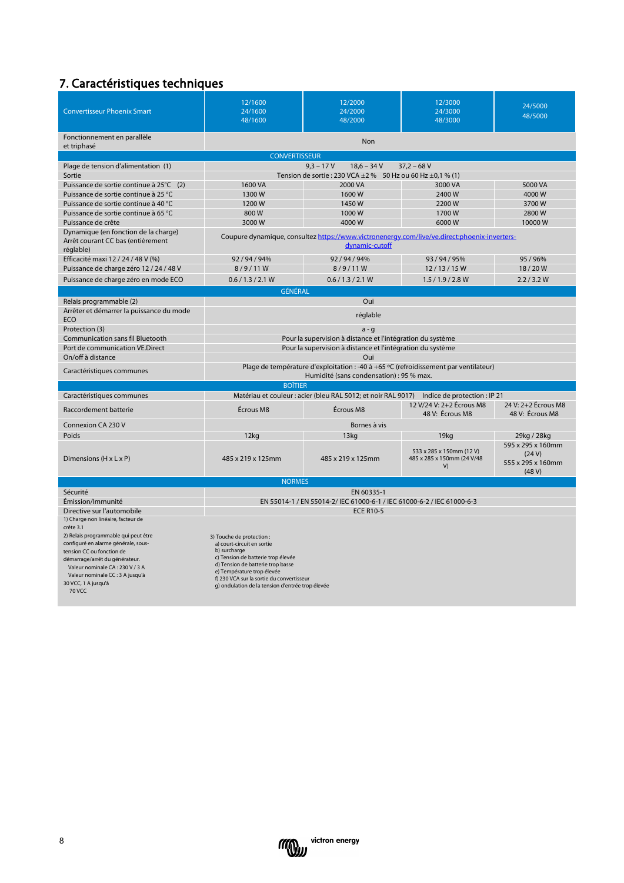# 7. Caractéristiques techniques

| <b>Convertisseur Phoenix Smart</b>                                                                                                                                                                                                                   | 12/1600<br>24/1600<br>48/1600                                                                                                                                                                                                 | 12/2000<br>24/2000<br>48/2000                                                                                                    | 12/3000<br>24/3000<br>48/3000               | 24/5000<br>48/5000                     |  |
|------------------------------------------------------------------------------------------------------------------------------------------------------------------------------------------------------------------------------------------------------|-------------------------------------------------------------------------------------------------------------------------------------------------------------------------------------------------------------------------------|----------------------------------------------------------------------------------------------------------------------------------|---------------------------------------------|----------------------------------------|--|
| Fonctionnement en parallèle<br>et triphasé                                                                                                                                                                                                           |                                                                                                                                                                                                                               | <b>Non</b>                                                                                                                       |                                             |                                        |  |
|                                                                                                                                                                                                                                                      | <b>CONVERTISSEUR</b>                                                                                                                                                                                                          |                                                                                                                                  |                                             |                                        |  |
| Plage de tension d'alimentation (1)                                                                                                                                                                                                                  |                                                                                                                                                                                                                               | $9,3 - 17V$<br>$18,6 - 34 V$                                                                                                     | $37,2 - 68$ V                               |                                        |  |
| Sortie                                                                                                                                                                                                                                               |                                                                                                                                                                                                                               | Tension de sortie: 230 VCA ± 2 % 50 Hz ou 60 Hz ± 0,1 % (1)                                                                      |                                             |                                        |  |
| Puissance de sortie continue à 25°C (2)                                                                                                                                                                                                              | 1600 VA                                                                                                                                                                                                                       | 2000 VA                                                                                                                          | 3000 VA                                     | 5000 VA                                |  |
| Puissance de sortie continue à 25 °C                                                                                                                                                                                                                 | 1300W                                                                                                                                                                                                                         | 1600W                                                                                                                            | 2400W                                       | 4000W                                  |  |
| Puissance de sortie continue à 40 °C                                                                                                                                                                                                                 | 1200W                                                                                                                                                                                                                         | 1450W                                                                                                                            | 2200W                                       | 3700W                                  |  |
| Puissance de sortie continue à 65 °C                                                                                                                                                                                                                 | 800W                                                                                                                                                                                                                          | 1000W                                                                                                                            | 1700W                                       | 2800W                                  |  |
| Puissance de crête                                                                                                                                                                                                                                   | 3000 W                                                                                                                                                                                                                        | 4000 W                                                                                                                           | 6000W                                       | 10000 W                                |  |
| Dynamique (en fonction de la charge)<br>Arrêt courant CC bas (entièrement<br>réglable)                                                                                                                                                               |                                                                                                                                                                                                                               | Coupure dynamique, consultez https://www.victronenergy.com/live/ve.direct:phoenix-inverters-<br>dynamic-cutoff                   |                                             |                                        |  |
| Efficacité maxi 12 / 24 / 48 V (%)                                                                                                                                                                                                                   | 92/94/94%                                                                                                                                                                                                                     | 92/94/94%                                                                                                                        | 93/94/95%                                   | 95/96%                                 |  |
| Puissance de charge zéro 12 / 24 / 48 V                                                                                                                                                                                                              | 8/9/11W                                                                                                                                                                                                                       | 8/9/11W                                                                                                                          | 12/13/15W                                   | 18/20W                                 |  |
| Puissance de charge zéro en mode ECO                                                                                                                                                                                                                 | 0.6 / 1.3 / 2.1 W                                                                                                                                                                                                             | 0.6 / 1.3 / 2.1 W                                                                                                                | 1.5/1.9/2.8 W                               | 2.2/3.2 W                              |  |
|                                                                                                                                                                                                                                                      | GÉNÉRAL                                                                                                                                                                                                                       |                                                                                                                                  |                                             |                                        |  |
| Relais programmable (2)                                                                                                                                                                                                                              |                                                                                                                                                                                                                               | Oui                                                                                                                              |                                             |                                        |  |
| Arrêter et démarrer la puissance du mode<br><b>ECO</b>                                                                                                                                                                                               | réglable                                                                                                                                                                                                                      |                                                                                                                                  |                                             |                                        |  |
| Protection (3)                                                                                                                                                                                                                                       |                                                                                                                                                                                                                               | $a - q$                                                                                                                          |                                             |                                        |  |
| Communication sans fil Bluetooth                                                                                                                                                                                                                     |                                                                                                                                                                                                                               | Pour la supervision à distance et l'intégration du système                                                                       |                                             |                                        |  |
| Port de communication VE.Direct                                                                                                                                                                                                                      |                                                                                                                                                                                                                               | Pour la supervision à distance et l'intégration du système                                                                       |                                             |                                        |  |
| On/off à distance                                                                                                                                                                                                                                    |                                                                                                                                                                                                                               | Oui                                                                                                                              |                                             |                                        |  |
| Caractéristiques communes                                                                                                                                                                                                                            |                                                                                                                                                                                                                               | Plage de température d'exploitation : -40 à +65 °C (refroidissement par ventilateur)<br>Humidité (sans condensation) : 95 % max. |                                             |                                        |  |
|                                                                                                                                                                                                                                                      | <b>BOÎTIER</b>                                                                                                                                                                                                                |                                                                                                                                  |                                             |                                        |  |
| Caractéristiques communes                                                                                                                                                                                                                            |                                                                                                                                                                                                                               | Matériau et couleur : acier (bleu RAL 5012; et noir RAL 9017) Indice de protection : IP 21                                       |                                             |                                        |  |
| Raccordement batterie                                                                                                                                                                                                                                | Écrous M8                                                                                                                                                                                                                     | Écrous M8                                                                                                                        | 12 V/24 V: 2+2 Écrous M8<br>48 V: Écrous M8 | 24 V: 2+2 Écrous M8<br>48 V: Écrous M8 |  |
| Connexion CA 230 V                                                                                                                                                                                                                                   |                                                                                                                                                                                                                               | Bornes à vis                                                                                                                     |                                             |                                        |  |
| Poids                                                                                                                                                                                                                                                | 12 <sub>kq</sub>                                                                                                                                                                                                              | 13 <sub>kq</sub>                                                                                                                 | 19kg                                        | 29kg / 28kg                            |  |
| Dimensions (H x L x P)                                                                                                                                                                                                                               | 595 x 295 x 160mm<br>533 x 285 x 150mm (12 V)<br>485 x 219 x 125mm<br>485 x 285 x 150mm (24 V/48)<br>485 x 219 x 125mm<br>555 x 295 x 160mm<br>V)                                                                             |                                                                                                                                  |                                             |                                        |  |
|                                                                                                                                                                                                                                                      | <b>NORMES</b>                                                                                                                                                                                                                 |                                                                                                                                  |                                             |                                        |  |
| Sécurité                                                                                                                                                                                                                                             |                                                                                                                                                                                                                               | EN 60335-1                                                                                                                       |                                             |                                        |  |
| Émission/Immunité                                                                                                                                                                                                                                    |                                                                                                                                                                                                                               | EN 55014-1 / EN 55014-2/ IEC 61000-6-1 / IEC 61000-6-2 / IEC 61000-6-3                                                           |                                             |                                        |  |
| Directive sur l'automobile<br>1) Charge non linéaire, facteur de                                                                                                                                                                                     | <b>ECE R10-5</b>                                                                                                                                                                                                              |                                                                                                                                  |                                             |                                        |  |
| crête 3.1<br>2) Relais programmable qui peut être<br>configuré en alarme générale, sous-<br>tension CC ou fonction de<br>démarrage/arrêt du générateur.<br>Valeur nominale CA: 230 V / 3 A<br>Valeur nominale CC: 3 A jusqu'à<br>30 VCC, 1 A jusqu'à | 3) Touche de protection :<br>a) court-circuit en sortie<br>b) surcharge<br>c) Tension de batterie trop élevée<br>d) Tension de batterie trop basse<br>e) Température trop élevée<br>f) 230 VCA sur la sortie du convertisseur |                                                                                                                                  |                                             |                                        |  |
| <b>70 VCC</b>                                                                                                                                                                                                                                        | g) ondulation de la tension d'entrée trop élevée                                                                                                                                                                              |                                                                                                                                  |                                             |                                        |  |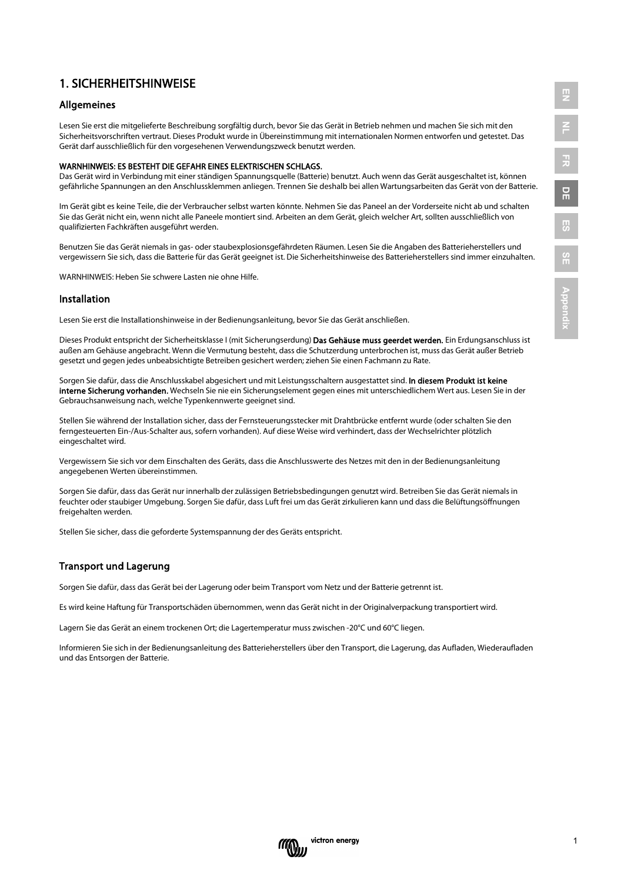## 1. SICHERHEITSHINWEISE

### Allgemeines

Lesen Sie erst die mitgelieferte Beschreibung sorgfältig durch, bevor Sie das Gerät in Betrieb nehmen und machen Sie sich mit den Sicherheitsvorschriften vertraut. Dieses Produkt wurde in Übereinstimmung mit internationalen Normen entworfen und getestet. Das Gerät darf ausschließlich für den vorgesehenen Verwendungszweck benutzt werden.

#### WARNHINWEIS: ES BESTEHT DIE GEFAHR EINES ELEKTRISCHEN SCHLAGS.

Das Gerät wird in Verbindung mit einer ständigen Spannungsquelle (Batterie) benutzt. Auch wenn das Gerät ausgeschaltet ist, können gefährliche Spannungen an den Anschlussklemmen anliegen. Trennen Sie deshalb bei allen Wartungsarbeiten das Gerät von der Batterie.

Im Gerät gibt es keine Teile, die der Verbraucher selbst warten könnte. Nehmen Sie das Paneel an der Vorderseite nicht ab und schalten Sie das Gerät nicht ein, wenn nicht alle Paneele montiert sind. Arbeiten an dem Gerät, gleich welcher Art, sollten ausschließlich von qualifizierten Fachkräften ausgeführt werden.

Benutzen Sie das Gerät niemals in gas- oder staubexplosionsgefährdeten Räumen. Lesen Sie die Angaben des Batterieherstellers und vergewissern Sie sich, dass die Batterie für das Gerät geeignet ist. Die Sicherheitshinweise des Batterieherstellers sind immer einzuhalten.

WARNHINWEIS: Heben Sie schwere Lasten nie ohne Hilfe.

### Installation

Lesen Sie erst die Installationshinweise in der Bedienungsanleitung, bevor Sie das Gerät anschließen.

Dieses Produkt entspricht der Sicherheitsklasse I (mit Sicherungserdung) Das Gehäuse muss geerdet werden. Ein Erdungsanschluss ist außen am Gehäuse angebracht. Wenn die Vermutung besteht, dass die Schutzerdung unterbrochen ist, muss das Gerät außer Betrieb gesetzt und gegen jedes unbeabsichtigte Betreiben gesichert werden; ziehen Sie einen Fachmann zu Rate.

Sorgen Sie dafür, dass die Anschlusskabel abgesichert und mit Leistungsschaltern ausgestattet sind. In diesem Produkt ist keine interne Sicherung vorhanden. Wechseln Sie nie ein Sicherungselement gegen eines mit unterschiedlichem Wert aus. Lesen Sie in der Gebrauchsanweisung nach, welche Typenkennwerte geeignet sind.

Stellen Sie während der Installation sicher, dass der Fernsteuerungsstecker mit Drahtbrücke entfernt wurde (oder schalten Sie den ferngesteuerten Ein-/Aus-Schalter aus, sofern vorhanden). Auf diese Weise wird verhindert, dass der Wechselrichter plötzlich eingeschaltet wird.

Vergewissern Sie sich vor dem Einschalten des Geräts, dass die Anschlusswerte des Netzes mit den in der Bedienungsanleitung angegebenen Werten übereinstimmen.

Sorgen Sie dafür, dass das Gerät nur innerhalb der zulässigen Betriebsbedingungen genutzt wird. Betreiben Sie das Gerät niemals in feuchter oder staubiger Umgebung. Sorgen Sie dafür, dass Luft frei um das Gerät zirkulieren kann und dass die Belüftungsöffnungen freigehalten werden.

Stellen Sie sicher, dass die geforderte Systemspannung der des Geräts entspricht.

## Transport und Lagerung

Sorgen Sie dafür, dass das Gerät bei der Lagerung oder beim Transport vom Netz und der Batterie getrennt ist.

Es wird keine Haftung für Transportschäden übernommen, wenn das Gerät nicht in der Originalverpackung transportiert wird.

Lagern Sie das Gerät an einem trockenen Ort; die Lagertemperatur muss zwischen -20°C und 60°C liegen.

Informieren Sie sich in der Bedienungsanleitung des Batterieherstellers über den Transport, die Lagerung, das Aufladen, Wiederaufladen und das Entsorgen der Batterie.



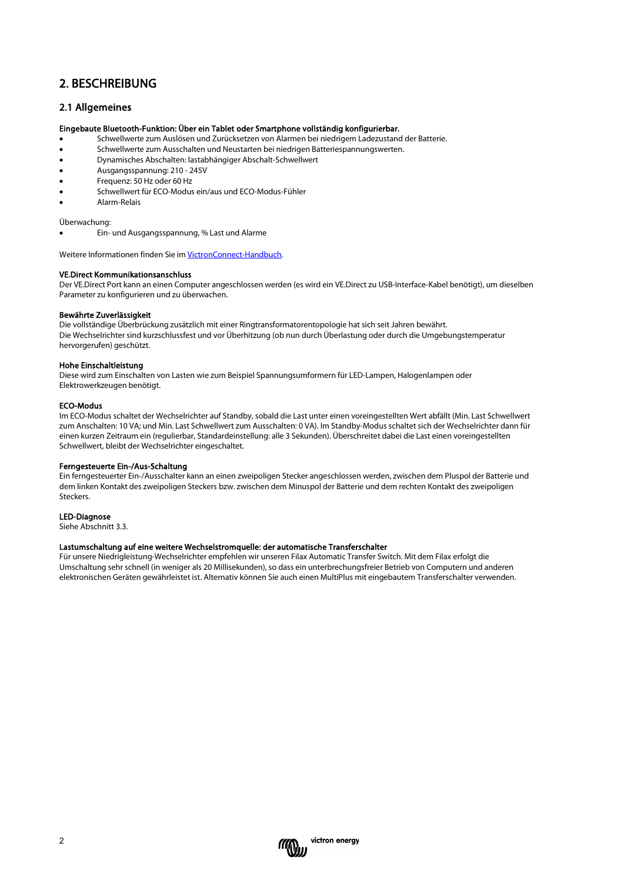## 2. BESCHREIBUNG

## 2.1 Allgemeines

#### Eingebaute Bluetooth-Funktion: Über ein Tablet oder Smartphone vollständig konfigurierbar.

- Schwellwerte zum Auslösen und Zurücksetzen von Alarmen bei niedrigem Ladezustand der Batterie.
- Schwellwerte zum Ausschalten und Neustarten bei niedrigen Batteriespannungswerten.
- Dynamisches Abschalten: lastabhängiger Abschalt-Schwellwert
- Ausgangsspannung: 210 245V
- Frequenz: 50 Hz oder 60 Hz
- Schwellwert für ECO-Modus ein/aus und ECO-Modus-Fühler
- Alarm-Relais

#### Überwachung:

• Ein- und Ausgangsspannung, % Last und Alarme

Weitere Informationen finden Sie i[m VictronConnect-Handbuch.](https://www.victronenergy.com/live/victronconnect:start) 

#### VE.Direct Kommunikationsanschluss

Der VE.Direct Port kann an einen Computer angeschlossen werden (es wird ein VE.Direct zu USB-Interface-Kabel benötigt), um dieselben Parameter zu konfigurieren und zu überwachen.

#### Bewährte Zuverlässigkeit

Die vollständige Überbrückung zusätzlich mit einer Ringtransformatorentopologie hat sich seit Jahren bewährt. Die Wechselrichter sind kurzschlussfest und vor Überhitzung (ob nun durch Überlastung oder durch die Umgebungstemperatur hervorgerufen) geschützt.

#### Hohe Einschaltleistung

Diese wird zum Einschalten von Lasten wie zum Beispiel Spannungsumformern für LED-Lampen, Halogenlampen oder Elektrowerkzeugen benötigt.

#### ECO-Modus

Im ECO-Modus schaltet der Wechselrichter auf Standby, sobald die Last unter einen voreingestellten Wert abfällt (Min. Last Schwellwert zum Anschalten: 10 VA; und Min. Last Schwellwert zum Ausschalten: 0 VA). Im Standby-Modus schaltet sich der Wechselrichter dann für einen kurzen Zeitraum ein (regulierbar, Standardeinstellung: alle 3 Sekunden). Überschreitet dabei die Last einen voreingestellten Schwellwert, bleibt der Wechselrichter eingeschaltet.

#### Ferngesteuerte Ein-/Aus-Schaltung

Ein ferngesteuerter Ein-/Ausschalter kann an einen zweipoligen Stecker angeschlossen werden, zwischen dem Pluspol der Batterie und dem linken Kontakt des zweipoligen Steckers bzw. zwischen dem Minuspol der Batterie und dem rechten Kontakt des zweipoligen Steckers.

#### LED-Diagnose

Siehe Abschnitt 3.3.

#### Lastumschaltung auf eine weitere Wechselstromquelle: der automatische Transferschalter

Für unsere Niedrigleistung-Wechselrichter empfehlen wir unseren Filax Automatic Transfer Switch. Mit dem Filax erfolgt die Umschaltung sehr schnell (in weniger als 20 Millisekunden), so dass ein unterbrechungsfreier Betrieb von Computern und anderen elektronischen Geräten gewährleistet ist. Alternativ können Sie auch einen MultiPlus mit eingebautem Transferschalter verwenden.

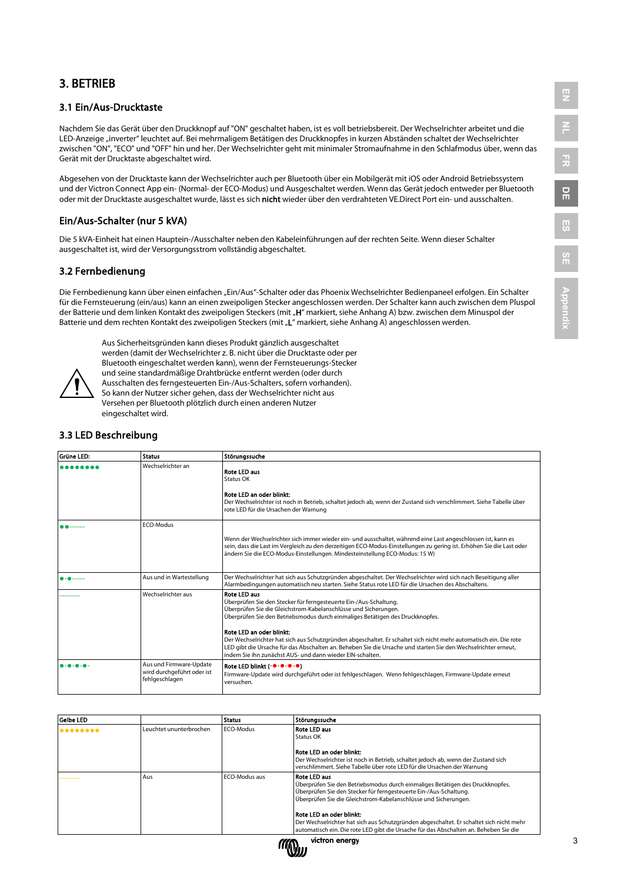## 3. BETRIEB

## 3.1 Ein/Aus-Drucktaste

Nachdem Sie das Gerät über den Druckknopf auf "ON" geschaltet haben, ist es voll betriebsbereit. Der Wechselrichter arbeitet und die LED-Anzeige "inverter" leuchtet auf. Bei mehrmaligem Betätigen des Druckknopfes in kurzen Abständen schaltet der Wechselrichter zwischen "ON", "ECO" und "OFF" hin und her. Der Wechselrichter geht mit minimaler Stromaufnahme in den Schlafmodus über, wenn das Gerät mit der Drucktaste abgeschaltet wird.

Abgesehen von der Drucktaste kann der Wechselrichter auch per Bluetooth über ein Mobilgerät mit iOS oder Android Betriebssystem und der Victron Connect App ein- (Normal- der ECO-Modus) und Ausgeschaltet werden. Wenn das Gerät jedoch entweder per Bluetooth oder mit der Drucktaste ausgeschaltet wurde, lässt es sich nicht wieder über den verdrahteten VE.Direct Port ein- und ausschalten.

## Ein/Aus-Schalter (nur 5 kVA)

Die 5 kVA-Einheit hat einen Hauptein-/Ausschalter neben den Kabeleinführungen auf der rechten Seite. Wenn dieser Schalter ausgeschaltet ist, wird der Versorgungsstrom vollständig abgeschaltet.

## 3.2 Fernbedienung

Die Fernbedienung kann über einen einfachen "Ein/Aus"-Schalter oder das Phoenix Wechselrichter Bedienpaneel erfolgen. Ein Schalter für die Fernsteuerung (ein/aus) kann an einen zweipoligen Stecker angeschlossen werden. Der Schalter kann auch zwischen dem Pluspol der Batterie und dem linken Kontakt des zweipoligen Steckers (mit "H" markiert, siehe Anhang A) bzw. zwischen dem Minuspol der Batterie und dem rechten Kontakt des zweipoligen Steckers (mit "L" markiert, siehe Anhang A) angeschlossen werden.



Aus Sicherheitsgründen kann dieses Produkt gänzlich ausgeschaltet werden (damit der Wechselrichter z. B. nicht über die Drucktaste oder per Bluetooth eingeschaltet werden kann), wenn der Fernsteuerungs-Stecker und seine standardmäßige Drahtbrücke entfernt werden (oder durch Ausschalten des ferngesteuerten Ein-/Aus-Schalters, sofern vorhanden). So kann der Nutzer sicher gehen, dass der Wechselrichter nicht aus Versehen per Bluetooth plötzlich durch einen anderen Nutzer eingeschaltet wird.

## 3.3 LED Beschreibung

| <b>Grüne LED:</b> | <b>Status</b>                                                           | Störungssuche                                                                                                                                                                                                                                                                                                                                                                                                                                                                                                                                                                |
|-------------------|-------------------------------------------------------------------------|------------------------------------------------------------------------------------------------------------------------------------------------------------------------------------------------------------------------------------------------------------------------------------------------------------------------------------------------------------------------------------------------------------------------------------------------------------------------------------------------------------------------------------------------------------------------------|
|                   | Wechselrichter an                                                       | Rote LED aus<br>Status OK<br>Rote LED an oder blinkt:<br>Der Wechselrichter ist noch in Betrieb, schaltet jedoch ab, wenn der Zustand sich verschlimmert. Siehe Tabelle über<br>rote LED für die Ursachen der Warnung                                                                                                                                                                                                                                                                                                                                                        |
|                   | <b>ECO-Modus</b>                                                        | Wenn der Wechselrichter sich immer wieder ein- und ausschaltet, während eine Last angeschlossen ist, kann es<br>sein, dass die Last im Vergleich zu den derzeitigen ECO-Modus-Einstellungen zu gering ist. Erhöhen Sie die Last oder<br>ändern Sie die ECO-Modus-Einstellungen. Mindesteinstellung ECO-Modus: 15 W)                                                                                                                                                                                                                                                          |
|                   | Aus und in Wartestellung                                                | Der Wechselrichter hat sich aus Schutzgründen abgeschaltet. Der Wechselrichter wird sich nach Beseitigung aller<br>Alarmbedingungen automatisch neu starten. Siehe Status rote LED für die Ursachen des Abschaltens.                                                                                                                                                                                                                                                                                                                                                         |
|                   | Wechselrichter aus                                                      | <b>Rote LED aus</b><br>Überprüfen Sie den Stecker für ferngesteuerte Ein-/Aus-Schaltung.<br>Überprüfen Sie die Gleichstrom-Kabelanschlüsse und Sicherungen.<br>Überprüfen Sie den Betriebsmodus durch einmaliges Betätigen des Druckknopfes.<br>Rote LED an oder blinkt:<br>Der Wechselrichter hat sich aus Schutzgründen abgeschaltet. Er schaltet sich nicht mehr automatisch ein. Die rote<br>LED gibt die Ursache für das Abschalten an. Beheben Sie die Ursache und starten Sie den Wechselrichter erneut,<br>indem Sie ihn zunächst AUS- und dann wieder EIN-schalten. |
|                   | Aus und Firmware-Update<br>wird durchgeführt oder ist<br>fehlgeschlagen | Rote LED blinkt (-●-●-●-●)<br>Firmware-Update wird durchgeführt oder ist fehlgeschlagen. Wenn fehlgeschlagen, Firmware-Update erneut<br>versuchen.                                                                                                                                                                                                                                                                                                                                                                                                                           |

| <b>Gelbe LED</b> |                         | <b>Status</b>    | Störungssuche                                                                                                                                                                                                                                                                                                                                                                                                                                                  |
|------------------|-------------------------|------------------|----------------------------------------------------------------------------------------------------------------------------------------------------------------------------------------------------------------------------------------------------------------------------------------------------------------------------------------------------------------------------------------------------------------------------------------------------------------|
| $••••••••••$     | Leuchtet ununterbrochen | <b>ECO-Modus</b> | <b>Rote LED aus</b><br>Status OK<br>Rote LED an oder blinkt:<br>Der Wechselrichter ist noch in Betrieb, schaltet jedoch ab, wenn der Zustand sich<br>verschlimmert. Siehe Tabelle über rote LED für die Ursachen der Warnung                                                                                                                                                                                                                                   |
|                  | Aus                     | ECO-Modus aus    | <b>Rote LED aus</b><br>Überprüfen Sie den Betriebsmodus durch einmaliges Betätigen des Druckknopfes.<br>Überprüfen Sie den Stecker für ferngesteuerte Ein-/Aus-Schaltung.<br>Überprüfen Sie die Gleichstrom-Kabelanschlüsse und Sicherungen.<br>l Rote LED an oder blinkt:<br>Der Wechselrichter hat sich aus Schutzgründen abgeschaltet. Er schaltet sich nicht mehr<br>automatisch ein. Die rote LED gibt die Ursache für das Abschalten an. Beheben Sie die |



**NL**

**FR**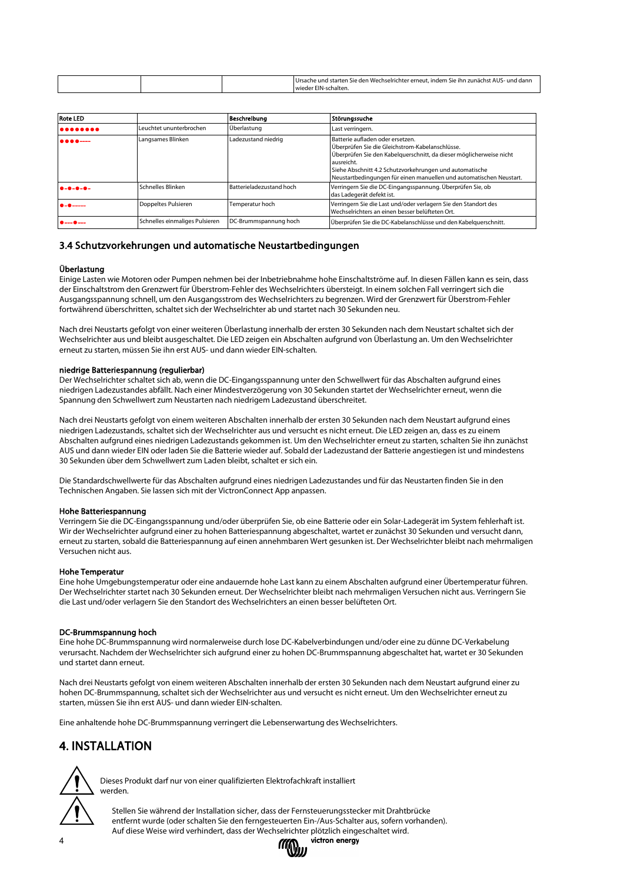|  | .<br>∙uno<br>starten.<br>Urs.<br>dann<br>on Wecht<br>ıhr<br>zunachst<br><b>COLO</b><br>. indem<br>hseirichte<br>5.115<br>erneut.<br>unc<br>- 10<br>:ne<br>$-$ mu<br>· EIN-schalter.<br><b>MIPOR</b> |
|--|-----------------------------------------------------------------------------------------------------------------------------------------------------------------------------------------------------|
|--|-----------------------------------------------------------------------------------------------------------------------------------------------------------------------------------------------------|

| <b>Rote LED</b> |                                | Beschreibung             | Störungssuche                                                                                                                                                                                                                                                                                              |
|-----------------|--------------------------------|--------------------------|------------------------------------------------------------------------------------------------------------------------------------------------------------------------------------------------------------------------------------------------------------------------------------------------------------|
| $••••••••••$    | Leuchtet ununterbrochen        | Überlastung              | Last verringern.                                                                                                                                                                                                                                                                                           |
|                 | Langsames Blinken              | Ladezustand niedrig      | Batterie aufladen oder ersetzen.<br>Überprüfen Sie die Gleichstrom-Kabelanschlüsse.<br>Überprüfen Sie den Kabelquerschnitt, da dieser möglicherweise nicht<br>ausreicht.<br>Siehe Abschnitt 4.2 Schutzvorkehrungen und automatische<br>Neustartbedingungen für einen manuellen und automatischen Neustart. |
| $-0-0-0-0-$     | <b>Schnelles Blinken</b>       | Batterieladezustand hoch | Verringern Sie die DC-Eingangsspannung. Überprüfen Sie, ob<br>das Ladegerät defekt ist.                                                                                                                                                                                                                    |
| ------          | Doppeltes Pulsieren            | Temperatur hoch          | Verringern Sie die Last und/oder verlagern Sie den Standort des<br>Wechselrichters an einen besser belüfteten Ort.                                                                                                                                                                                         |
| $0 - 0 -$       | Schnelles einmaliges Pulsieren | DC-Brummspannung hoch    | Überprüfen Sie die DC-Kabelanschlüsse und den Kabelquerschnitt.                                                                                                                                                                                                                                            |

### 3.4 Schutzvorkehrungen und automatische Neustartbedingungen

#### Überlastung

Einige Lasten wie Motoren oder Pumpen nehmen bei der Inbetriebnahme hohe Einschaltströme auf. In diesen Fällen kann es sein, dass der Einschaltstrom den Grenzwert für Überstrom-Fehler des Wechselrichters übersteigt. In einem solchen Fall verringert sich die Ausgangsspannung schnell, um den Ausgangsstrom des Wechselrichters zu begrenzen. Wird der Grenzwert für Überstrom-Fehler fortwährend überschritten, schaltet sich der Wechselrichter ab und startet nach 30 Sekunden neu.

Nach drei Neustarts gefolgt von einer weiteren Überlastung innerhalb der ersten 30 Sekunden nach dem Neustart schaltet sich der Wechselrichter aus und bleibt ausgeschaltet. Die LED zeigen ein Abschalten aufgrund von Überlastung an. Um den Wechselrichter erneut zu starten, müssen Sie ihn erst AUS- und dann wieder EIN-schalten.

#### niedrige Batteriespannung (regulierbar)

Der Wechselrichter schaltet sich ab, wenn die DC-Eingangsspannung unter den Schwellwert für das Abschalten aufgrund eines niedrigen Ladezustandes abfällt. Nach einer Mindestverzögerung von 30 Sekunden startet der Wechselrichter erneut, wenn die Spannung den Schwellwert zum Neustarten nach niedrigem Ladezustand überschreitet.

Nach drei Neustarts gefolgt von einem weiteren Abschalten innerhalb der ersten 30 Sekunden nach dem Neustart aufgrund eines niedrigen Ladezustands, schaltet sich der Wechselrichter aus und versucht es nicht erneut. Die LED zeigen an, dass es zu einem Abschalten aufgrund eines niedrigen Ladezustands gekommen ist. Um den Wechselrichter erneut zu starten, schalten Sie ihn zunächst AUS und dann wieder EIN oder laden Sie die Batterie wieder auf. Sobald der Ladezustand der Batterie angestiegen ist und mindestens 30 Sekunden über dem Schwellwert zum Laden bleibt, schaltet er sich ein.

Die Standardschwellwerte für das Abschalten aufgrund eines niedrigen Ladezustandes und für das Neustarten finden Sie in den Technischen Angaben. Sie lassen sich mit der VictronConnect App anpassen.

#### Hohe Batteriespannung

Verringern Sie die DC-Eingangsspannung und/oder überprüfen Sie, ob eine Batterie oder ein Solar-Ladegerät im System fehlerhaft ist. Wir der Wechselrichter aufgrund einer zu hohen Batteriespannung abgeschaltet, wartet er zunächst 30 Sekunden und versucht dann, erneut zu starten, sobald die Batteriespannung auf einen annehmbaren Wert gesunken ist. Der Wechselrichter bleibt nach mehrmaligen Versuchen nicht aus.

#### Hohe Temperatur

Eine hohe Umgebungstemperatur oder eine andauernde hohe Last kann zu einem Abschalten aufgrund einer Übertemperatur führen. Der Wechselrichter startet nach 30 Sekunden erneut. Der Wechselrichter bleibt nach mehrmaligen Versuchen nicht aus. Verringern Sie die Last und/oder verlagern Sie den Standort des Wechselrichters an einen besser belüfteten Ort.

#### DC-Brummspannung hoch

Eine hohe DC-Brummspannung wird normalerweise durch lose DC-Kabelverbindungen und/oder eine zu dünne DC-Verkabelung verursacht. Nachdem der Wechselrichter sich aufgrund einer zu hohen DC-Brummspannung abgeschaltet hat, wartet er 30 Sekunden und startet dann erneut.

Nach drei Neustarts gefolgt von einem weiteren Abschalten innerhalb der ersten 30 Sekunden nach dem Neustart aufgrund einer zu hohen DC-Brummspannung, schaltet sich der Wechselrichter aus und versucht es nicht erneut. Um den Wechselrichter erneut zu starten, müssen Sie ihn erst AUS- und dann wieder EIN-schalten.

Eine anhaltende hohe DC-Brummspannung verringert die Lebenserwartung des Wechselrichters.

## 4. INSTALLATION



Dieses Produkt darf nur von einer qualifizierten Elektrofachkraft installiert werden.



Stellen Sie während der Installation sicher, dass der Fernsteuerungsstecker mit Drahtbrücke entfernt wurde (oder schalten Sie den ferngesteuerten Ein-/Aus-Schalter aus, sofern vorhanden). Auf diese Weise wird verhindert, dass der Wechselrichter plötzlich eingeschaltet wird.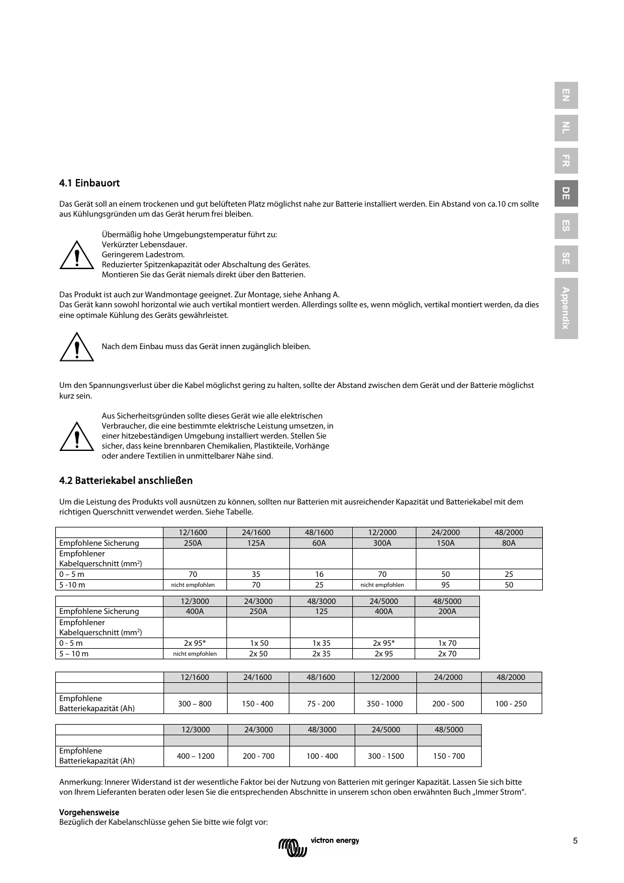### 4.1 Einbauort

Das Gerät soll an einem trockenen und gut belüfteten Platz möglichst nahe zur Batterie installiert werden. Ein Abstand von ca.10 cm sollte aus Kühlungsgründen um das Gerät herum frei bleiben.



Übermäßig hohe Umgebungstemperatur führt zu: Verkürzter Lebensdauer. Geringerem Ladestrom.

Reduzierter Spitzenkapazität oder Abschaltung des Gerätes. Montieren Sie das Gerät niemals direkt über den Batterien.

Das Produkt ist auch zur Wandmontage geeignet. Zur Montage, siehe Anhang A. Das Gerät kann sowohl horizontal wie auch vertikal montiert werden. Allerdings sollte es, wenn möglich, vertikal montiert werden, da dies eine optimale Kühlung des Geräts gewährleistet.



Nach dem Einbau muss das Gerät innen zugänglich bleiben.

Um den Spannungsverlust über die Kabel möglichst gering zu halten, sollte der Abstand zwischen dem Gerät und der Batterie möglichst kurz sein.



Aus Sicherheitsgründen sollte dieses Gerät wie alle elektrischen Verbraucher, die eine bestimmte elektrische Leistung umsetzen, in einer hitzebeständigen Umgebung installiert werden. Stellen Sie sicher, dass keine brennbaren Chemikalien, Plastikteile, Vorhänge oder andere Textilien in unmittelbarer Nähe sind.

## 4.2 Batteriekabel anschließen

Um die Leistung des Produkts voll ausnützen zu können, sollten nur Batterien mit ausreichender Kapazität und Batteriekabel mit dem richtigen Querschnitt verwendet werden. Siehe Tabelle.

|                                     | 12/1600         | 24/1600          | 48/1600 | 12/2000         | 24/2000 | 48/2000 |
|-------------------------------------|-----------------|------------------|---------|-----------------|---------|---------|
| Empfohlene Sicherung                | 250A            | 125A             | 60A     | 300A            | 150A    | 80A     |
| Empfohlener                         |                 |                  |         |                 |         |         |
| Kabelguerschnitt (mm <sup>2</sup> ) |                 |                  |         |                 |         |         |
| $0 - 5 m$                           | 70              | 35               | 16      | 70              | 50      | 25      |
| $5 - 10 m$                          | nicht empfohlen | 70               | 25      | nicht empfohlen | 95      | 50      |
|                                     |                 |                  |         |                 |         |         |
|                                     | 12/3000         | 24/3000          | 48/3000 | 24/5000         | 48/5000 |         |
| Empfohlene Sicherung                | 400A            | 250A             | 125     | 400A            | 200A    |         |
| Empfohlener                         |                 |                  |         |                 |         |         |
| Kabelguerschnitt (mm <sup>2</sup> ) |                 |                  |         |                 |         |         |
| $0 - 5 m$                           | 2x 95*          | 1x50             | 1x35    | $2x$ 95 $*$     | 1x70    |         |
| $5 - 10 m$                          | nicht empfohlen | 2x <sub>50</sub> | 2x35    | 2x95            | 2x70    |         |
|                                     |                 |                  |         |                 |         |         |
|                                     | 12/1600         | 24/1600          | 48/1600 | 12/2000         | 24/2000 | 48/2000 |
|                                     |                 |                  |         |                 |         |         |

| Empfohlene<br>Batteriekapazität (Ah) | $300 - 800$ | $150 - 400$ | $75 - 200$ | 350 - 1000 | $200 - 500$ | 100 - 250 |
|--------------------------------------|-------------|-------------|------------|------------|-------------|-----------|
|                                      |             |             |            |            |             |           |

|                                      | 12/3000      | 24/3000     | 48/3000     | 24/5000      | 48/5000   |
|--------------------------------------|--------------|-------------|-------------|--------------|-----------|
|                                      |              |             |             |              |           |
| Empfohlene<br>Batteriekapazität (Ah) | $400 - 1200$ | $200 - 700$ | $100 - 400$ | $300 - 1500$ | 150 - 700 |

Anmerkung: Innerer Widerstand ist der wesentliche Faktor bei der Nutzung von Batterien mit geringer Kapazität. Lassen Sie sich bitte von Ihrem Lieferanten beraten oder lesen Sie die entsprechenden Abschnitte in unserem schon oben erwähnten Buch "Immer Strom".

#### Vorgehensweise

Bezüglich der Kabelanschlüsse gehen Sie bitte wie folgt vor:

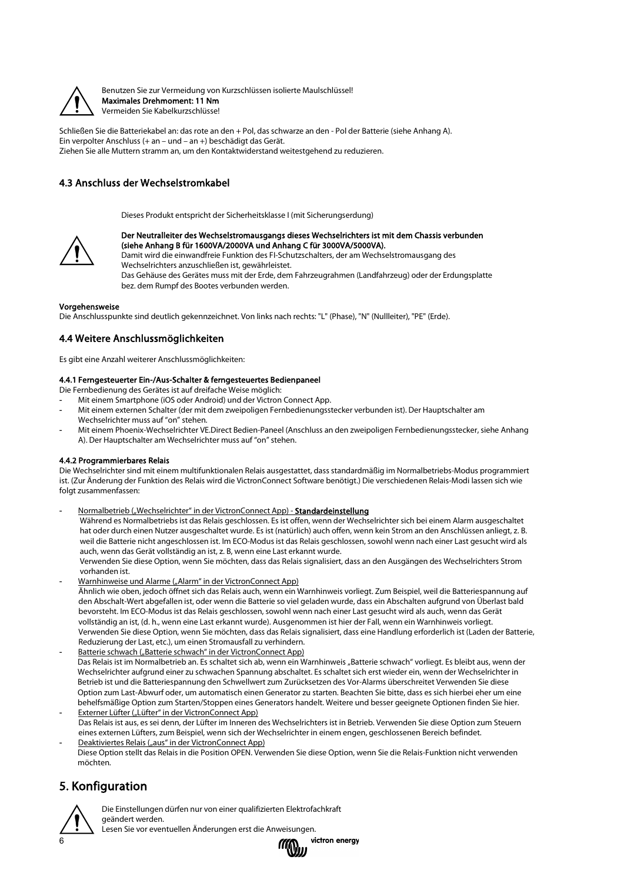

Benutzen Sie zur Vermeidung von Kurzschlüssen isolierte Maulschlüssel! Maximales Drehmoment: 11 Nm Vermeiden Sie Kabelkurzschlüsse!

Schließen Sie die Batteriekabel an: das rote an den + Pol, das schwarze an den - Pol der Batterie (siehe Anhang A). Ein verpolter Anschluss (+ an – und – an +) beschädigt das Gerät. Ziehen Sie alle Muttern stramm an, um den Kontaktwiderstand weitestgehend zu reduzieren.

## 4.3 Anschluss der Wechselstromkabel

Dieses Produkt entspricht der Sicherheitsklasse I (mit Sicherungserdung)



Der Neutralleiter des Wechselstromausgangs dieses Wechselrichters ist mit dem Chassis verbunden (siehe Anhang B für 1600VA/2000VA und Anhang C für 3000VA/5000VA).

Damit wird die einwandfreie Funktion des FI-Schutzschalters, der am Wechselstromausgang des Wechselrichters anzuschließen ist, gewährleistet. Das Gehäuse des Gerätes muss mit der Erde, dem Fahrzeugrahmen (Landfahrzeug) oder der Erdungsplatte bez. dem Rumpf des Bootes verbunden werden.

#### Vorgehensweise

Die Anschlusspunkte sind deutlich gekennzeichnet. Von links nach rechts: "L" (Phase), "N" (Nullleiter), "PE" (Erde).

## 4.4 Weitere Anschlussmöglichkeiten

Es gibt eine Anzahl weiterer Anschlussmöglichkeiten:

#### 4.4.1 Ferngesteuerter Ein-/Aus-Schalter & ferngesteuertes Bedienpaneel

Die Fernbedienung des Gerätes ist auf dreifache Weise möglich:

- Mit einem Smartphone (iOS oder Android) und der Victron Connect App.
- Mit einem externen Schalter (der mit dem zweipoligen Fernbedienungsstecker verbunden ist). Der Hauptschalter am Wechselrichter muss auf "on" stehen.
- Mit einem Phoenix-Wechselrichter VE.Direct Bedien-Paneel (Anschluss an den zweipoligen Fernbedienungsstecker, siehe Anhang A). Der Hauptschalter am Wechselrichter muss auf "on" stehen.

#### 4.4.2 Programmierbares Relais

Die Wechselrichter sind mit einem multifunktionalen Relais ausgestattet, dass standardmäßig im Normalbetriebs-Modus programmiert ist. (Zur Änderung der Funktion des Relais wird die VictronConnect Software benötigt.) Die verschiedenen Relais-Modi lassen sich wie folgt zusammenfassen:

#### Normalbetrieb ("Wechselrichter" in der VictronConnect App) - Standardeinstellung

Während es Normalbetriebs ist das Relais geschlossen. Es ist offen, wenn der Wechselrichter sich bei einem Alarm ausgeschaltet hat oder durch einen Nutzer ausgeschaltet wurde. Es ist (natürlich) auch offen, wenn kein Strom an den Anschlüssen anliegt, z. B. weil die Batterie nicht angeschlossen ist. Im ECO-Modus ist das Relais geschlossen, sowohl wenn nach einer Last gesucht wird als auch, wenn das Gerät vollständig an ist, z. B, wenn eine Last erkannt wurde.

Verwenden Sie diese Option, wenn Sie möchten, dass das Relais signalisiert, dass an den Ausgängen des Wechselrichters Strom vorhanden ist.

Warnhinweise und Alarme ("Alarm" in der VictronConnect App)

Ähnlich wie oben, jedoch öffnet sich das Relais auch, wenn ein Warnhinweis vorliegt. Zum Beispiel, weil die Batteriespannung auf den Abschalt-Wert abgefallen ist, oder wenn die Batterie so viel geladen wurde, dass ein Abschalten aufgrund von Überlast bald bevorsteht. Im ECO-Modus ist das Relais geschlossen, sowohl wenn nach einer Last gesucht wird als auch, wenn das Gerät vollständig an ist, (d. h., wenn eine Last erkannt wurde). Ausgenommen ist hier der Fall, wenn ein Warnhinweis vorliegt. Verwenden Sie diese Option, wenn Sie möchten, dass das Relais signalisiert, dass eine Handlung erforderlich ist (Laden der Batterie, Reduzierung der Last, etc.), um einen Stromausfall zu verhindern.

Batterie schwach ("Batterie schwach" in der VictronConnect App)

Das Relais ist im Normalbetrieb an. Es schaltet sich ab, wenn ein Warnhinweis "Batterie schwach" vorliegt. Es bleibt aus, wenn der Wechselrichter aufgrund einer zu schwachen Spannung abschaltet. Es schaltet sich erst wieder ein, wenn der Wechselrichter in Betrieb ist und die Batteriespannung den Schwellwert zum Zurücksetzen des Vor-Alarms überschreitet Verwenden Sie diese Option zum Last-Abwurf oder, um automatisch einen Generator zu starten. Beachten Sie bitte, dass es sich hierbei eher um eine behelfsmäßige Option zum Starten/Stoppen eines Generators handelt. Weitere und besser geeignete Optionen finden Sie hier.

Externer Lüfter ("Lüfter" in der VictronConnect App) Das Relais ist aus, es sei denn, der Lüfter im Inneren des Wechselrichters ist in Betrieb. Verwenden Sie diese Option zum Steuern eines externen Lüfters, zum Beispiel, wenn sich der Wechselrichter in einem engen, geschlossenen Bereich befindet.

Deaktiviertes Relais ("aus" in der VictronConnect App) Diese Option stellt das Relais in die Position OPEN. Verwenden Sie diese Option, wenn Sie die Relais-Funktion nicht verwenden möchten.

## 5. Konfiguration



Die Einstellungen dürfen nur von einer qualifizierten Elektrofachkraft geändert werden.

Lesen Sie vor eventuellen Änderungen erst die Anweisungen.

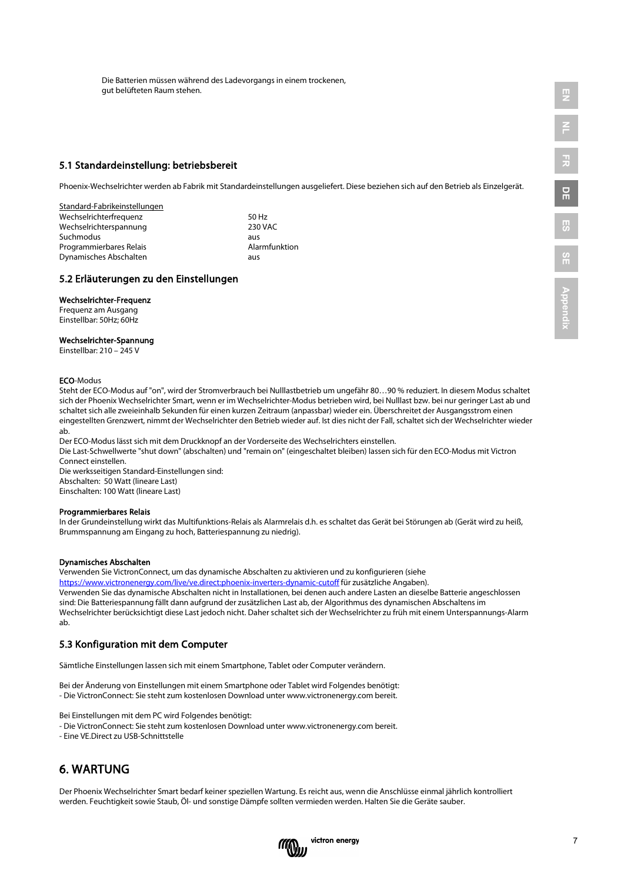Die Batterien müssen während des Ladevorgangs in einem trockenen, gut belüfteten Raum stehen.

## 5.1 Standardeinstellung: betriebsbereit

Phoenix-Wechselrichter werden ab Fabrik mit Standardeinstellungen ausgeliefert. Diese beziehen sich auf den Betrieb als Einzelgerät.

Standard-Fabrikeinstellungen Wechselrichterfrequenz<br>
Wechselrichterspannung<br>
230 VAC Wechselrichterspannung Suchmodus<br>Programmierbares Relais aus aus aus aus aus aus Rhandelbares Relais Programmierbares Relais Dynamisches Abschalten aus aus

### 5.2 Erläuterungen zu den Einstellungen

#### Wechselrichter-Frequenz

Frequenz am Ausgang Einstellbar: 50Hz; 60Hz

#### Wechselrichter-Spannung

Einstellbar: 210 – 245 V

#### ECO-Modus

Steht der ECO-Modus auf "on", wird der Stromverbrauch bei Nulllastbetrieb um ungefähr 80…90 % reduziert. In diesem Modus schaltet sich der Phoenix Wechselrichter Smart, wenn er im Wechselrichter-Modus betrieben wird, bei Nulllast bzw. bei nur geringer Last ab und schaltet sich alle zweieinhalb Sekunden für einen kurzen Zeitraum (anpassbar) wieder ein. Überschreitet der Ausgangsstrom einen eingestellten Grenzwert, nimmt der Wechselrichter den Betrieb wieder auf. Ist dies nicht der Fall, schaltet sich der Wechselrichter wieder ab.

Der ECO-Modus lässt sich mit dem Druckknopf an der Vorderseite des Wechselrichters einstellen. Die Last-Schwellwerte "shut down" (abschalten) und "remain on" (eingeschaltet bleiben) lassen sich für den ECO-Modus mit Victron

Connect einstellen. Die werksseitigen Standard-Einstellungen sind: Abschalten: 50 Watt (lineare Last)

Einschalten: 100 Watt (lineare Last)

#### Programmierbares Relais

In der Grundeinstellung wirkt das Multifunktions-Relais als Alarmrelais d.h. es schaltet das Gerät bei Störungen ab (Gerät wird zu heiß, Brummspannung am Eingang zu hoch, Batteriespannung zu niedrig).

#### Dynamisches Abschalten

Verwenden Sie VictronConnect, um das dynamische Abschalten zu aktivieren und zu konfigurieren (siehe <https://www.victronenergy.com/live/ve.direct:phoenix-inverters-dynamic-cutoff> für zusätzliche Angaben). Verwenden Sie das dynamische Abschalten nicht in Installationen, bei denen auch andere Lasten an dieselbe Batterie angeschlossen sind: Die Batteriespannung fällt dann aufgrund der zusätzlichen Last ab, der Algorithmus des dynamischen Abschaltens im Wechselrichter berücksichtigt diese Last jedoch nicht. Daher schaltet sich der Wechselrichter zu früh mit einem Unterspannungs-Alarm ab.

### 5.3 Konfiguration mit dem Computer

Sämtliche Einstellungen lassen sich mit einem Smartphone, Tablet oder Computer verändern.

Bei der Änderung von Einstellungen mit einem Smartphone oder Tablet wird Folgendes benötigt: - Die VictronConnect: Sie steht zum kostenlosen Download unter www.victronenergy.com bereit.

Bei Einstellungen mit dem PC wird Folgendes benötigt:

- Die VictronConnect: Sie steht zum kostenlosen Download unter www.victronenergy.com bereit.

- Eine VE.Direct zu USB-Schnittstelle

## 6. WARTUNG

Der Phoenix Wechselrichter Smart bedarf keiner speziellen Wartung. Es reicht aus, wenn die Anschlüsse einmal jährlich kontrolliert werden. Feuchtigkeit sowie Staub, Öl- und sonstige Dämpfe sollten vermieden werden. Halten Sie die Geräte sauber.

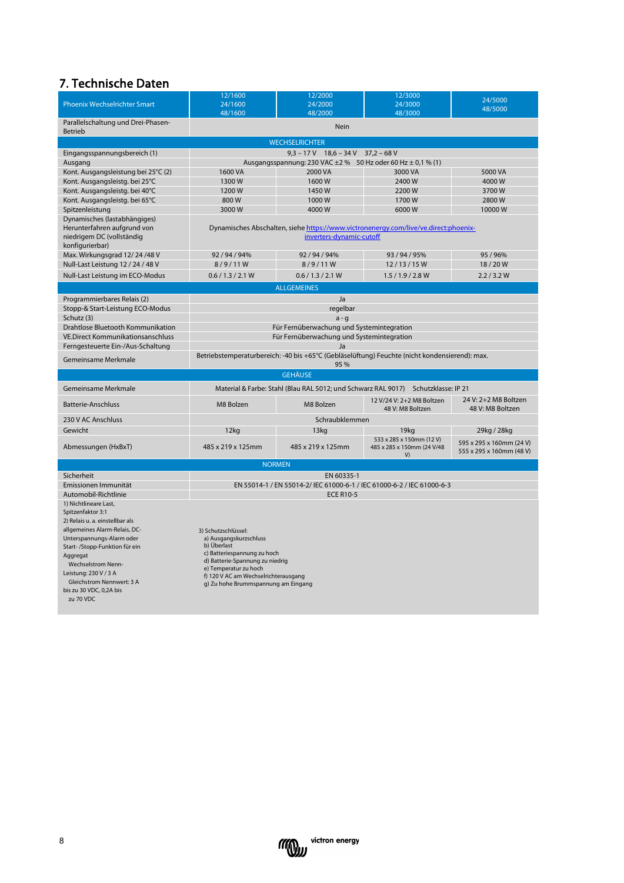## 7. Technische Daten

| <b>Phoenix Wechselrichter Smart</b><br>24/1600<br>24/2000<br>24/3000<br>48/5000<br>48/1600<br>48/2000<br>48/3000<br>Parallelschaltung und Drei-Phasen-<br><b>Nein</b><br><b>Betrieb</b> |  |  |  |  |  |
|-----------------------------------------------------------------------------------------------------------------------------------------------------------------------------------------|--|--|--|--|--|
|                                                                                                                                                                                         |  |  |  |  |  |
|                                                                                                                                                                                         |  |  |  |  |  |
| <b>WECHSELRICHTER</b>                                                                                                                                                                   |  |  |  |  |  |
| $9,3 - 17$ V $18,6 - 34$ V $37,2 - 68$ V<br>Eingangsspannungsbereich (1)                                                                                                                |  |  |  |  |  |
| Ausgangsspannung: 230 VAC $\pm 2$ % 50 Hz oder 60 Hz $\pm$ 0,1 % (1)<br>Ausgang                                                                                                         |  |  |  |  |  |
| Kont. Ausgangsleistung bei 25°C (2)<br>1600 VA<br>2000 VA<br>3000 VA<br>5000 VA                                                                                                         |  |  |  |  |  |
| Kont. Ausgangsleistg. bei 25°C<br>1600W<br>2400W<br>4000W<br>1300W                                                                                                                      |  |  |  |  |  |
| Kont. Ausgangsleistg. bei 40°C<br>1200W<br>1450W<br>2200W<br>3700W                                                                                                                      |  |  |  |  |  |
| Kont. Ausgangsleistg. bei 65°C<br>1000W<br>1700W<br>800W<br>2800W                                                                                                                       |  |  |  |  |  |
| 3000W<br>4000W<br>6000W<br>10000W<br>Spitzenleistung                                                                                                                                    |  |  |  |  |  |
| Dynamisches (lastabhängiges)<br>Herunterfahren aufgrund von<br>Dynamisches Abschalten, siehe https://www.victronenergy.com/live/ve.direct:phoenix-                                      |  |  |  |  |  |
| niedrigem DC (vollständig<br>inverters-dynamic-cutoff<br>konfigurierbar)                                                                                                                |  |  |  |  |  |
| Max. Wirkungsgrad 12/24/48 V<br>92 / 94 / 94%<br>92 / 94 / 94%<br>93/94/95%<br>95 / 96%                                                                                                 |  |  |  |  |  |
| Null-Last Leistung 12 / 24 / 48 V<br>8/9/11W<br>12/13/15W<br>18/20W<br>8/9/11W                                                                                                          |  |  |  |  |  |
| Null-Last Leistung im ECO-Modus<br>0.6 / 1.3 / 2.1 W<br>0.6 / 1.3 / 2.1 W<br>$1.5/1.9/2.8$ W<br>2.2 / 3.2 W                                                                             |  |  |  |  |  |
| <b>ALLGEMEINES</b>                                                                                                                                                                      |  |  |  |  |  |
|                                                                                                                                                                                         |  |  |  |  |  |
| Programmierbares Relais (2)<br>Ja                                                                                                                                                       |  |  |  |  |  |
| Stopp-& Start-Leistung ECO-Modus<br>regelbar                                                                                                                                            |  |  |  |  |  |
| Schutz (3)<br>$a - q$                                                                                                                                                                   |  |  |  |  |  |
| Drahtlose Bluetooth Kommunikation<br>Für Fernüberwachung und Systemintegration                                                                                                          |  |  |  |  |  |
| <b>VE.Direct Kommunikationsanschluss</b><br>Für Fernüberwachung und Systemintegration                                                                                                   |  |  |  |  |  |
| Ferngesteuerte Ein-/Aus-Schaltung<br>Ja                                                                                                                                                 |  |  |  |  |  |
| Betriebstemperaturbereich: -40 bis +65°C (Gebläselüftung) Feuchte (nicht kondensierend): max.<br>Gemeinsame Merkmale<br>95 %                                                            |  |  |  |  |  |
| <b>GEHÄUSE</b>                                                                                                                                                                          |  |  |  |  |  |
| Gemeinsame Merkmale<br>Material & Farbe: Stahl (Blau RAL 5012; und Schwarz RAL 9017) Schutzklasse: IP 21                                                                                |  |  |  |  |  |
| 24 V: 2+2 M8 Boltzen<br>12 V/24 V: 2+2 M8 Boltzen<br><b>Batterie-Anschluss</b><br>M8 Bolzen<br>M8 Bolzen<br>48 V: M8 Boltzen<br>48 V: M8 Boltzen                                        |  |  |  |  |  |
| 230 V AC Anschluss<br>Schraubklemmen                                                                                                                                                    |  |  |  |  |  |
| Gewicht<br>12kg<br>13kg<br>29kg / 28kg<br>19kg                                                                                                                                          |  |  |  |  |  |
| 533 x 285 x 150mm (12 V)<br>595 x 295 x 160mm (24 V)<br>Abmessungen (HxBxT)<br>485 x 219 x 125mm<br>485 x 219 x 125mm<br>485 x 285 x 150mm (24 V/48<br>555 x 295 x 160mm (48 V)<br>V)   |  |  |  |  |  |
| <b>NORMEN</b>                                                                                                                                                                           |  |  |  |  |  |
| Sicherheit<br>EN 60335-1                                                                                                                                                                |  |  |  |  |  |
| Emissionen Immunität<br>EN 55014-1 / EN 55014-2/ IEC 61000-6-1 / IEC 61000-6-2 / IEC 61000-6-3                                                                                          |  |  |  |  |  |
| Automobil-Richtlinie<br><b>ECE R10-5</b>                                                                                                                                                |  |  |  |  |  |
| 1) Nichtlineare Last,                                                                                                                                                                   |  |  |  |  |  |
| Spitzenfaktor 3:1                                                                                                                                                                       |  |  |  |  |  |
| 2) Relais u. a. einstellbar als                                                                                                                                                         |  |  |  |  |  |
| allgemeines Alarm-Relais, DC-<br>3) Schutzschlüssel:                                                                                                                                    |  |  |  |  |  |
| Unterspannungs-Alarm oder<br>a) Ausgangskurzschluss<br>b) Überlast<br>Start-/Stopp-Funktion für ein                                                                                     |  |  |  |  |  |
| c) Batteriespannung zu hoch<br>Aggregat                                                                                                                                                 |  |  |  |  |  |
| d) Batterie-Spannung zu niedrig<br>Wechselstrom Nenn-                                                                                                                                   |  |  |  |  |  |
| e) Temperatur zu hoch<br>Leistung: 230 V / 3 A<br>f) 120 V AC am Wechselrichterausgang                                                                                                  |  |  |  |  |  |
| Gleichstrom Nennwert: 3 A<br>g) Zu hohe Brummspannung am Eingang<br>bis zu 30 VDC, 0,2A bis                                                                                             |  |  |  |  |  |

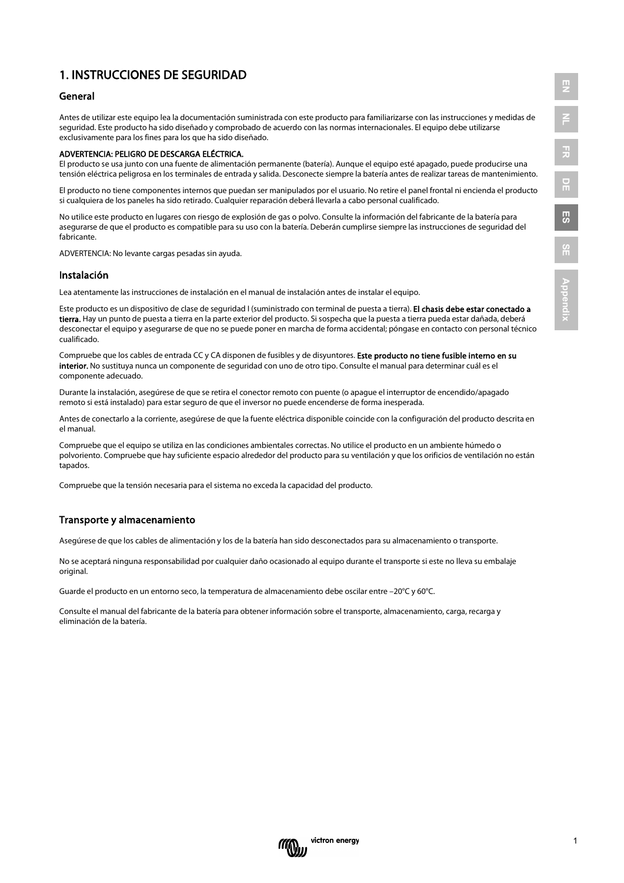## 1. INSTRUCCIONES DE SEGURIDAD

#### General

Antes de utilizar este equipo lea la documentación suministrada con este producto para familiarizarse con las instrucciones y medidas de seguridad. Este producto ha sido diseñado y comprobado de acuerdo con las normas internacionales. El equipo debe utilizarse exclusivamente para los fines para los que ha sido diseñado.

### ADVERTENCIA: PELIGRO DE DESCARGA ELÉCTRICA.

El producto se usa junto con una fuente de alimentación permanente (batería). Aunque el equipo esté apagado, puede producirse una tensión eléctrica peligrosa en los terminales de entrada y salida. Desconecte siempre la batería antes de realizar tareas de mantenimiento.

El producto no tiene componentes internos que puedan ser manipulados por el usuario. No retire el panel frontal ni encienda el producto si cualquiera de los paneles ha sido retirado. Cualquier reparación deberá llevarla a cabo personal cualificado.

No utilice este producto en lugares con riesgo de explosión de gas o polvo. Consulte la información del fabricante de la batería para asegurarse de que el producto es compatible para su uso con la batería. Deberán cumplirse siempre las instrucciones de seguridad del fabricante.

ADVERTENCIA: No levante cargas pesadas sin ayuda.

#### Instalación

Lea atentamente las instrucciones de instalación en el manual de instalación antes de instalar el equipo.

Este producto es un dispositivo de clase de seguridad I (suministrado con terminal de puesta a tierra). El chasis debe estar conectado a tierra. Hay un punto de puesta a tierra en la parte exterior del producto. Si sospecha que la puesta a tierra pueda estar dañada, deberá desconectar el equipo y asegurarse de que no se puede poner en marcha de forma accidental; póngase en contacto con personal técnico cualificado.

Compruebe que los cables de entrada CC y CA disponen de fusibles y de disyuntores. Este producto no tiene fusible interno en su interior. No sustituya nunca un componente de seguridad con uno de otro tipo. Consulte el manual para determinar cuál es el componente adecuado.

Durante la instalación, asegúrese de que se retira el conector remoto con puente (o apague el interruptor de encendido/apagado remoto si está instalado) para estar seguro de que el inversor no puede encenderse de forma inesperada.

Antes de conectarlo a la corriente, asegúrese de que la fuente eléctrica disponible coincide con la configuración del producto descrita en el manual.

Compruebe que el equipo se utiliza en las condiciones ambientales correctas. No utilice el producto en un ambiente húmedo o polvoriento. Compruebe que hay suficiente espacio alrededor del producto para su ventilación y que los orificios de ventilación no están tapados.

Compruebe que la tensión necesaria para el sistema no exceda la capacidad del producto.

## Transporte y almacenamiento

Asegúrese de que los cables de alimentación y los de la batería han sido desconectados para su almacenamiento o transporte.

No se aceptará ninguna responsabilidad por cualquier daño ocasionado al equipo durante el transporte si este no lleva su embalaje original.

Guarde el producto en un entorno seco, la temperatura de almacenamiento debe oscilar entre –20°C y 60°C.

Consulte el manual del fabricante de la batería para obtener información sobre el transporte, almacenamiento, carga, recarga y eliminación de la batería.

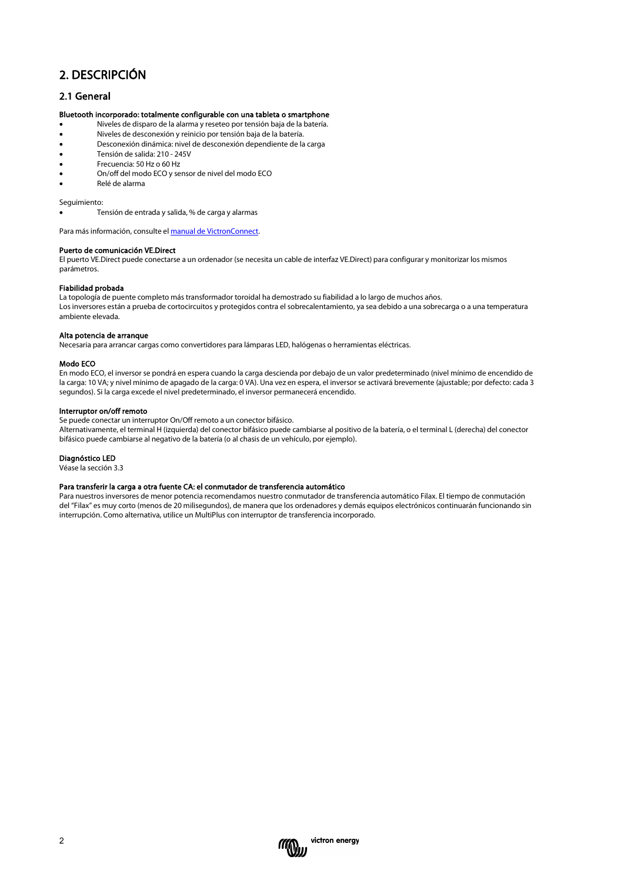## 2. DESCRIPCIÓN

## 2.1 General

#### Bluetooth incorporado: totalmente configurable con una tableta o smartphone

- Niveles de disparo de la alarma y reseteo por tensión baja de la batería.
- Niveles de desconexión y reinicio por tensión baja de la batería.
- Desconexión dinámica: nivel de desconexión dependiente de la carga
- Tensión de salida: 210 245V
- Frecuencia: 50 Hz o 60 Hz
- On/off del modo ECO y sensor de nivel del modo ECO
- Relé de alarma

#### Seguimiento:

• Tensión de entrada y salida, % de carga y alarmas

Para más información, consulte e[l manual de VictronConnect.](https://www.victronenergy.com/live/victronconnect:start)

#### Puerto de comunicación VE.Direct

El puerto VE.Direct puede conectarse a un ordenador (se necesita un cable de interfaz VE.Direct) para configurar y monitorizar los mismos parámetros.

#### Fiabilidad probada

La topología de puente completo más transformador toroidal ha demostrado su fiabilidad a lo largo de muchos años. Los inversores están a prueba de cortocircuitos y protegidos contra el sobrecalentamiento, ya sea debido a una sobrecarga o a una temperatura ambiente elevada.

#### Alta potencia de arranque

Necesaria para arrancar cargas como convertidores para lámparas LED, halógenas o herramientas eléctricas.

#### Modo ECO

En modo ECO, el inversor se pondrá en espera cuando la carga descienda por debajo de un valor predeterminado (nivel mínimo de encendido de la carga: 10 VA; y nivel mínimo de apagado de la carga: 0 VA). Una vez en espera, el inversor se activará brevemente (ajustable; por defecto: cada 3 segundos). Si la carga excede el nivel predeterminado, el inversor permanecerá encendido.

#### Interruptor on/off remoto

Se puede conectar un interruptor On/Off remoto a un conector bifásico.

Alternativamente, el terminal H (izquierda) del conector bifásico puede cambiarse al positivo de la batería, o el terminal L (derecha) del conector bifásico puede cambiarse al negativo de la batería (o al chasis de un vehículo, por ejemplo).

#### Diagnóstico LED

Véase la sección 3.3

#### Para transferir la carga a otra fuente CA: el conmutador de transferencia automático

Para nuestros inversores de menor potencia recomendamos nuestro conmutador de transferencia automático Filax. El tiempo de conmutación del "Filax" es muy corto (menos de 20 milisegundos), de manera que los ordenadores y demás equipos electrónicos continuarán funcionando sin interrupción. Como alternativa, utilice un MultiPlus con interruptor de transferencia incorporado.

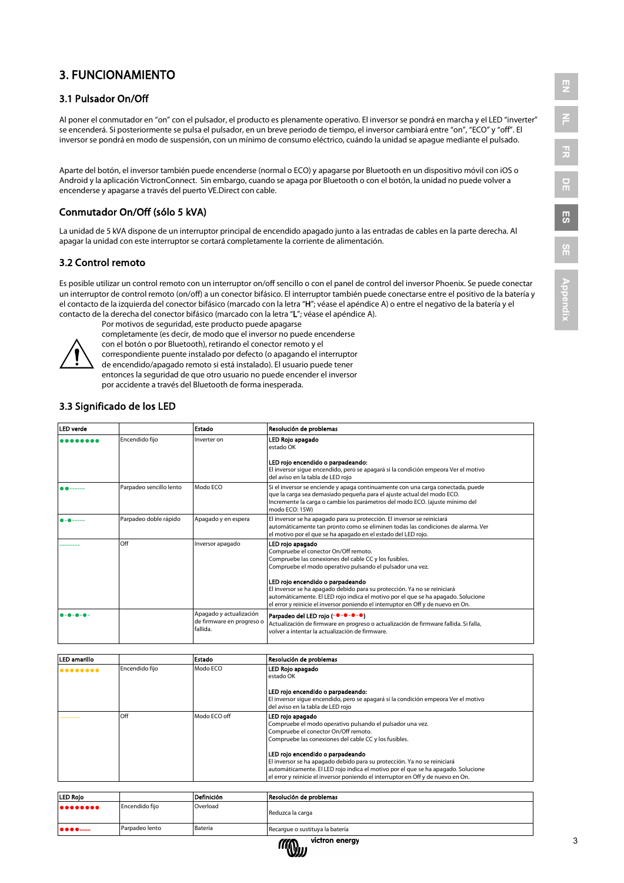## 3. FUNCIONAMIENTO

## 3.1 Pulsador On/Off

Al poner el conmutador en "on" con el pulsador, el producto es plenamente operativo. El inversor se pondrá en marcha y el LED "inverter" se encenderá. Si posteriormente se pulsa el pulsador, en un breve periodo de tiempo, el inversor cambiará entre "on", "ECO" y "off". El inversor se pondrá en modo de suspensión, con un mínimo de consumo eléctrico, cuándo la unidad se apague mediante el pulsado.

Aparte del botón, el inversor también puede encenderse (normal o ECO) y apagarse por Bluetooth en un dispositivo móvil con iOS o Android y la aplicación VictronConnect. Sin embargo, cuando se apaga por Bluetooth o con el botón, la unidad no puede volver a encenderse y apagarse a través del puerto VE.Direct con cable.

## Conmutador On/Off (sólo 5 kVA)

La unidad de 5 kVA dispone de un interruptor principal de encendido apagado junto a las entradas de cables en la parte derecha. Al apagar la unidad con este interruptor se cortará completamente la corriente de alimentación.

## 3.2 Control remoto

Es posible utilizar un control remoto con un interruptor on/off sencillo o con el panel de control del inversor Phoenix. Se puede conectar un interruptor de control remoto (on/off) a un conector bifásico. El interruptor también puede conectarse entre el positivo de la batería y el contacto de la izquierda del conector bifásico (marcado con la letra "H"; véase el apéndice A) o entre el negativo de la batería y el contacto de la derecha del conector bifásico (marcado con la letra "L"; véase el apéndice A).



Por motivos de seguridad, este producto puede apagarse completamente (es decir, de modo que el inversor no puede encenderse con el botón o por Bluetooth), retirando el conector remoto y el

correspondiente puente instalado por defecto (o apagando el interruptor

de encendido/apagado remoto si está instalado). El usuario puede tener entonces la seguridad de que otro usuario no puede encender el inversor por accidente a través del Bluetooth de forma inesperada.

## 3.3 Significado de los LED

| <b>LED</b> verde |                         | Estado                                                           | Resolución de problemas                                                                                                                                                                                                                                                                        |
|------------------|-------------------------|------------------------------------------------------------------|------------------------------------------------------------------------------------------------------------------------------------------------------------------------------------------------------------------------------------------------------------------------------------------------|
| .                | Encendido fijo          | Inverter on                                                      | LED Rojo apagado<br>estado OK                                                                                                                                                                                                                                                                  |
|                  |                         |                                                                  | LED rojo encendido o parpadeando:<br>El inversor sigue encendido, pero se apagará si la condición empeora Ver el motivo<br>del aviso en la tabla de LED rojo                                                                                                                                   |
|                  | Parpadeo sencillo lento | Modo ECO                                                         | Si el inversor se enciende y apaga continuamente con una carga conectada, puede<br>que la carga sea demasiado pequeña para el ajuste actual del modo ECO.<br>Incremente la carga o cambie los parámetros del modo ECO. (ajuste mínimo del<br>modo ECO: 15W)                                    |
|                  | Parpadeo doble rápido   | Apagado y en espera                                              | El inversor se ha apagado para su protección. El inversor se reiniciará<br>automáticamente tan pronto como se eliminen todas las condiciones de alarma. Ver<br>el motivo por el que se ha apagado en el estado del LED rojo.                                                                   |
|                  | Off                     | Inversor apagado                                                 | LED rojo apagado<br>Compruebe el conector On/Off remoto.<br>Compruebe las conexiones del cable CC y los fusibles.<br>Compruebe el modo operativo pulsando el pulsador una vez.<br>LED rojo encendido o parpadeando<br>El inversor se ha apagado debido para su protección. Ya no se reiniciará |
|                  |                         |                                                                  | automáticamente. El LED rojo indica el motivo por el que se ha apagado. Solucione<br>el error y reinicie el inversor poniendo el interruptor en Off y de nuevo en On.                                                                                                                          |
|                  |                         | Apagado y actualización<br>de firmware en progreso o<br>fallida. | Parpadeo del LED rojo (-0-0-0-0)<br>Actualización de firmware en progreso o actualización de firmware fallida. Si falla,<br>volver a intentar la actualización de firmware.                                                                                                                    |

| LED amarillo |                | <b>Estado</b> | Resolución de problemas                                                                                                                                                                                                                                                                                                                                                                                                                                                 |
|--------------|----------------|---------------|-------------------------------------------------------------------------------------------------------------------------------------------------------------------------------------------------------------------------------------------------------------------------------------------------------------------------------------------------------------------------------------------------------------------------------------------------------------------------|
|              | Encendido fijo | Modo ECO      | LED Rojo apagado<br>estado OK                                                                                                                                                                                                                                                                                                                                                                                                                                           |
|              |                |               | LED rojo encendido o parpadeando:<br>El inversor sique encendido, pero se apagará si la condición empeora Ver el motivo<br>del aviso en la tabla de LED rojo                                                                                                                                                                                                                                                                                                            |
|              | Off            | Modo ECO off  | LED rojo apagado<br>Compruebe el modo operativo pulsando el pulsador una vez.<br>Compruebe el conector On/Off remoto.<br>Compruebe las conexiones del cable CC y los fusibles.<br>LED rojo encendido o parpadeando<br>El inversor se ha apagado debido para su protección. Ya no se reiniciará<br>automáticamente. El LED rojo indica el motivo por el que se ha apagado. Solucione<br>el error y reinicie el inversor poniendo el interruptor en Off y de nuevo en On. |

| <b>LED Rojo</b> |                | Definición | Resolución de problemas         |
|-----------------|----------------|------------|---------------------------------|
| $••••••••••$    | Encendido fiio | Overload   | Reduzca la carga                |
|                 | Parpadeo lento | Batería    | Recargue o sustituya la batería |



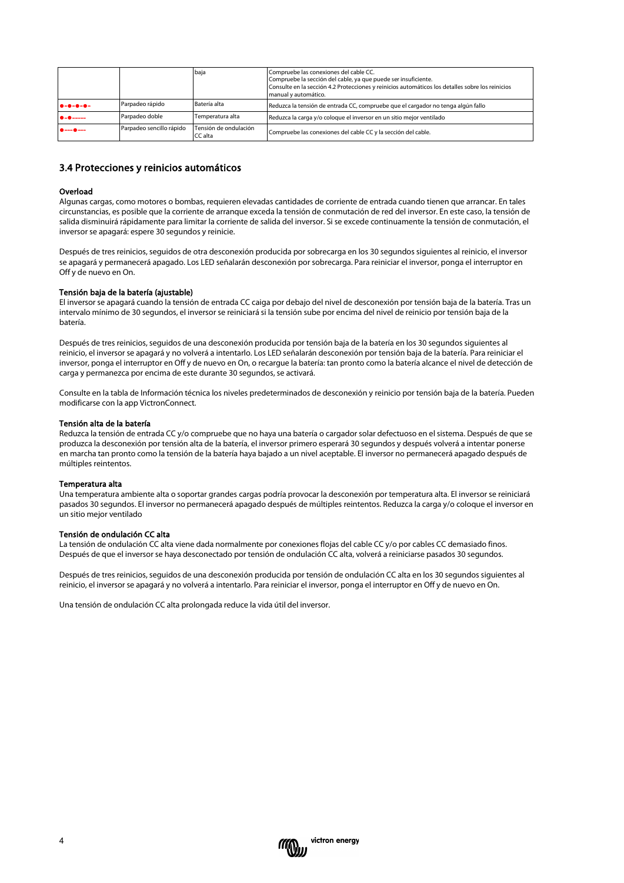|                                 |                          | baja                             | Compruebe las conexiones del cable CC.<br>Compruebe la sección del cable, ya que puede ser insuficiente.<br>Consulte en la sección 4.2 Protecciones y reinicios automáticos los detalles sobre los reinicios<br>manual y automático. |
|---------------------------------|--------------------------|----------------------------------|--------------------------------------------------------------------------------------------------------------------------------------------------------------------------------------------------------------------------------------|
| $- - - - - -$                   | Parpadeo rápido          | Batería alta                     | Reduzca la tensión de entrada CC, compruebe que el cargador no tenga algún fallo                                                                                                                                                     |
| $\bullet - \bullet - - - - -$   | Parpadeo doble           | Temperatura alta                 | Reduzca la carga y/o cologue el inversor en un sitio mejor ventilado                                                                                                                                                                 |
| $\bullet \cdots \bullet \cdots$ | Parpadeo sencillo rápido | Tensión de ondulación<br>CC alta | Compruebe las conexiones del cable CC y la sección del cable.                                                                                                                                                                        |

#### 3.4 Protecciones y reinicios automáticos

#### Overload

Algunas cargas, como motores o bombas, requieren elevadas cantidades de corriente de entrada cuando tienen que arrancar. En tales circunstancias, es posible que la corriente de arranque exceda la tensión de conmutación de red del inversor. En este caso, la tensión de salida disminuirá rápidamente para limitar la corriente de salida del inversor. Si se excede continuamente la tensión de conmutación, el inversor se apagará: espere 30 segundos y reinicie.

Después de tres reinicios, seguidos de otra desconexión producida por sobrecarga en los 30 segundos siguientes al reinicio, el inversor se apagará y permanecerá apagado. Los LED señalarán desconexión por sobrecarga. Para reiniciar el inversor, ponga el interruptor en Off y de nuevo en On.

#### Tensión baja de la batería (ajustable)

El inversor se apagará cuando la tensión de entrada CC caiga por debajo del nivel de desconexión por tensión baja de la batería. Tras un intervalo mínimo de 30 segundos, el inversor se reiniciará si la tensión sube por encima del nivel de reinicio por tensión baja de la batería.

Después de tres reinicios, seguidos de una desconexión producida por tensión baja de la batería en los 30 segundos siguientes al reinicio, el inversor se apagará y no volverá a intentarlo. Los LED señalarán desconexión por tensión baja de la batería. Para reiniciar el inversor, ponga el interruptor en Off y de nuevo en On, o recargue la batería: tan pronto como la batería alcance el nivel de detección de carga y permanezca por encima de este durante 30 segundos, se activará.

Consulte en la tabla de Información técnica los niveles predeterminados de desconexión y reinicio por tensión baja de la batería. Pueden modificarse con la app VictronConnect.

#### Tensión alta de la batería

Reduzca la tensión de entrada CC y/o compruebe que no haya una batería o cargador solar defectuoso en el sistema. Después de que se produzca la desconexión por tensión alta de la batería, el inversor primero esperará 30 segundos y después volverá a intentar ponerse en marcha tan pronto como la tensión de la batería haya bajado a un nivel aceptable. El inversor no permanecerá apagado después de múltiples reintentos.

#### Temperatura alta

Una temperatura ambiente alta o soportar grandes cargas podría provocar la desconexión por temperatura alta. El inversor se reiniciará pasados 30 segundos. El inversor no permanecerá apagado después de múltiples reintentos. Reduzca la carga y/o coloque el inversor en un sitio mejor ventilado

#### Tensión de ondulación CC alta

La tensión de ondulación CC alta viene dada normalmente por conexiones flojas del cable CC y/o por cables CC demasiado finos. Después de que el inversor se haya desconectado por tensión de ondulación CC alta, volverá a reiniciarse pasados 30 segundos.

Después de tres reinicios, seguidos de una desconexión producida por tensión de ondulación CC alta en los 30 segundos siguientes al reinicio, el inversor se apagará y no volverá a intentarlo. Para reiniciar el inversor, ponga el interruptor en Off y de nuevo en On.

Una tensión de ondulación CC alta prolongada reduce la vida útil del inversor.

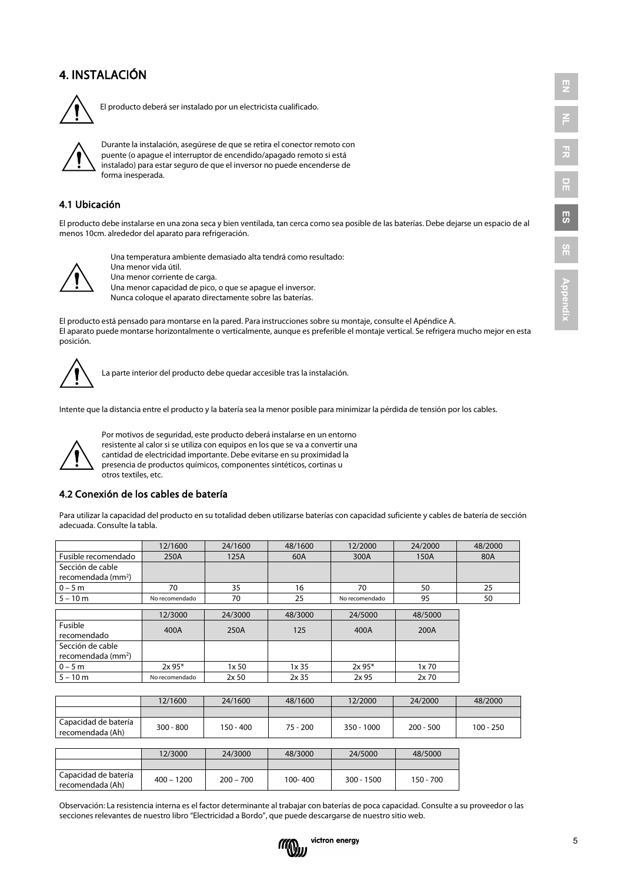## 4. INSTALACIÓN



El producto deberá ser instalado por un electricista cualificado.

Durante la instalación, asegúrese de que se retira el conector remoto con puente (o apague el interruptor de encendido/apagado remoto si está instalado) para estar seguro de que el inversor no puede encenderse de forma inesperada.

### 4.1 Ubicación

El producto debe instalarse en una zona seca y bien ventilada, tan cerca como sea posible de las baterías. Debe dejarse un espacio de al menos 10cm. alrededor del aparato para refrigeración.



Una temperatura ambiente demasiado alta tendrá como resultado: Una menor vida útil. Una menor corriente de carga. Una menor capacidad de pico, o que se apague el inversor.

Nunca coloque el aparato directamente sobre las baterías.

El producto está pensado para montarse en la pared. Para instrucciones sobre su montaje, consulte el Apéndice A. El aparato puede montarse horizontalmente o verticalmente, aunque es preferible el montaje vertical. Se refrigera mucho mejor en esta posición.



La parte interior del producto debe quedar accesible tras la instalación.

Intente que la distancia entre el producto y la batería sea la menor posible para minimizar la pérdida de tensión por los cables.



Por motivos de seguridad, este producto deberá instalarse en un entorno

resistente al calor si se utiliza con equipos en los que se va a convertir una

cantidad de electricidad importante. Debe evitarse en su proximidad la presencia de productos químicos, componentes sintéticos, cortinas u

otros textiles, etc.

### 4.2 Conexión de los cables de batería

Para utilizar la capacidad del producto en su totalidad deben utilizarse baterías con capacidad suficiente y cables de batería de sección adecuada. Consulte la tabla.

|                                                    | 12/1600        | 24/1600     | 48/1600    | 12/2000        | 24/2000     | 48/2000     |
|----------------------------------------------------|----------------|-------------|------------|----------------|-------------|-------------|
| Fusible recomendado                                | 250A           | 125A        | 60A        | 300A           | 150A        | 80A         |
| Sección de cable                                   |                |             |            |                |             |             |
| recomendada (mm <sup>2</sup> )                     |                |             |            |                |             |             |
| $0 - 5 m$                                          | 70             | 35          | 16         | 70             | 50          | 25          |
| $5 - 10 m$                                         | No recomendado | 70          | 25         | No recomendado | 95          | 50          |
|                                                    | 12/3000        | 24/3000     | 48/3000    | 24/5000        | 48/5000     |             |
| Fusible<br>recomendado                             | 400A           | 250A        | 125        | 400A           | 200A        |             |
| Sección de cable<br>recomendada (mm <sup>2</sup> ) |                |             |            |                |             |             |
| $0 - 5 m$                                          | $2x 95*$       | 1x50        | 1x35       | $2x 95*$       | 1x 70       |             |
| $5 - 10m$                                          | No recomendado | 2x 50       | 2x35       | 2x 95          | 2x 70       |             |
|                                                    |                |             |            |                |             |             |
|                                                    | 12/1600        | 24/1600     | 48/1600    | 12/2000        | 24/2000     | 48/2000     |
|                                                    |                |             |            |                |             |             |
| Capacidad de batería<br>recomendada (Ah)           | $300 - 800$    | $150 - 400$ | $75 - 200$ | 350 - 1000     | $200 - 500$ | $100 - 250$ |

|                                            | 12/3000      | 24/3000     | 48/3000 | 24/5000      | 48/5000   |
|--------------------------------------------|--------------|-------------|---------|--------------|-----------|
|                                            |              |             |         |              |           |
| Capacidad de batería<br>l recomendada (Ah) | $400 - 1200$ | $200 - 700$ | 100-400 | $300 - 1500$ | 150 - 700 |

Observación: La resistencia interna es el factor determinante al trabajar con baterías de poca capacidad. Consulte a su proveedor o las secciones relevantes de nuestro libro "Electricidad a Bordo", que puede descargarse de nuestro sitio web.

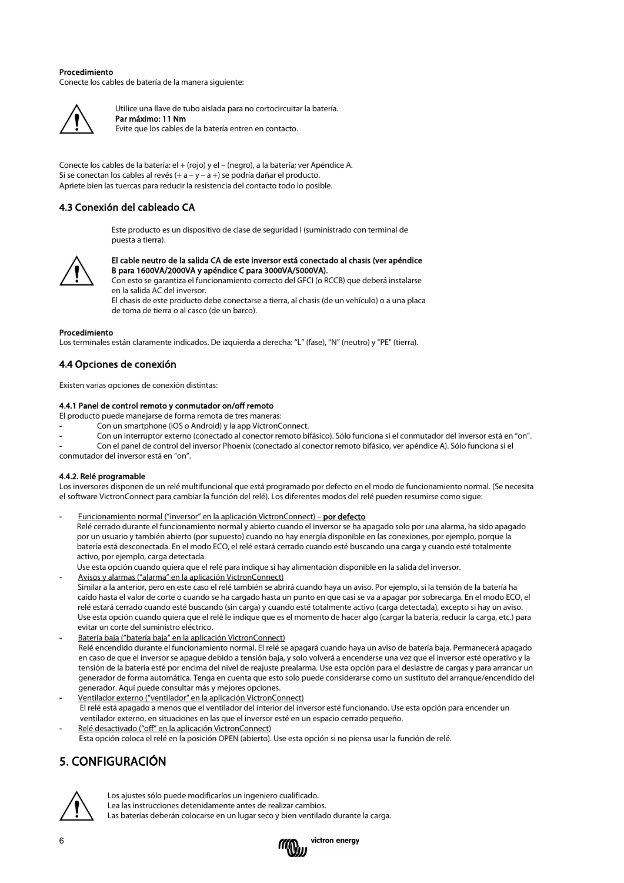#### Procedimiento

Conecte los cables de batería de la manera siguiente:



Utilice una llave de tubo aislada para no cortocircuitar la batería. Par máximo: 11 Nm Evite que los cables de la batería entren en contacto.

Conecte los cables de la batería: el + (rojo) y el – (negro), a la batería; ver Apéndice A. Si se conectan los cables al revés (+ a – y – a +) se podría dañar el producto. Apriete bien las tuercas para reducir la resistencia del contacto todo lo posible.

## 4.3 Conexión del cableado CA

Este producto es un dispositivo de clase de seguridad I (suministrado con terminal de puesta a tierra).



#### El cable neutro de la salida CA de este inversor está conectado al chasis (ver apéndice B para 1600VA/2000VA y apéndice C para 3000VA/5000VA).

Con esto se garantiza el funcionamiento correcto del GFCI (o RCCB) que deberá instalarse en la salida AC del inversor.

El chasis de este producto debe conectarse a tierra, al chasis (de un vehículo) o a una placa de toma de tierra o al casco (de un barco).

#### Procedimiento

Los terminales están claramente indicados. De izquierda a derecha: "L" (fase), "N" (neutro) y "PE" (tierra).

#### 4.4 Opciones de conexión

Existen varias opciones de conexión distintas:

#### 4.4.1 Panel de control remoto y conmutador on/off remoto

El producto puede manejarse de forma remota de tres maneras:

- Con un smartphone (iOS o Android) y la app VictronConnect.
	- Con un interruptor externo (conectado al conector remoto bifásico). Sólo funciona si el conmutador del inversor está en "on".
- Con el panel de control del inversor Phoenix (conectado al conector remoto bifásico, ver apéndice A). Sólo funciona si el conmutador del inversor está en "on".

#### 4.4.2. Relé programable

Los inversores disponen de un relé multifuncional que está programado por defecto en el modo de funcionamiento normal. (Se necesita el software VictronConnect para cambiar la función del relé). Los diferentes modos del relé pueden resumirse como sigue:

Funcionamiento normal ("inversor" en la aplicación VictronConnect) - por defecto

Relé cerrado durante el funcionamiento normal y abierto cuando el inversor se ha apagado solo por una alarma, ha sido apagado por un usuario y también abierto (por supuesto) cuando no hay energía disponible en las conexiones, por ejemplo, porque la batería está desconectada. En el modo ECO, el relé estará cerrado cuando esté buscando una carga y cuando esté totalmente activo, por ejemplo, carga detectada.

Use esta opción cuando quiera que el relé para indique si hay alimentación disponible en la salida del inversor.

- Avisos y alarmas ("alarma" en la aplicación VictronConnect) Similar a la anterior, pero en este caso el relé también se abrirá cuando haya un aviso. Por ejemplo, si la tensión de la batería ha caído hasta el valor de corte o cuando se ha cargado hasta un punto en que casi se va a apagar por sobrecarga. En el modo ECO, el relé estará cerrado cuando esté buscando (sin carga) y cuando esté totalmente activo (carga detectada), excepto si hay un aviso. Use esta opción cuando quiera que el relé le indique que es el momento de hacer algo (cargar la batería, reducir la carga, etc.) para evitar un corte del suministro eléctrico.
- Batería baja ("batería baja" en la aplicación VictronConnect) Relé encendido durante el funcionamiento normal. El relé se apagará cuando haya un aviso de batería baja. Permanecerá apagado en caso de que el inversor se apague debido a tensión baja, y solo volverá a encenderse una vez que el inversor esté operativo y la tensión de la batería esté por encima del nivel de reajuste prealarma. Use esta opción para el deslastre de cargas y para arrancar un generador de forma automática. Tenga en cuenta que esto solo puede considerarse como un sustituto del arranque/encendido del generador. Aquí puede consultar más y mejores opciones.
- Ventilador externo ("ventilador" en la aplicación VictronConnect) El relé está apagado a menos que el ventilador del interior del inversor esté funcionando. Use esta opción para encender un ventilador externo, en situaciones en las que el inversor esté en un espacio cerrado pequeño.
- Relé desactivado ("off" en la aplicación VictronConnect) Esta opción coloca el relé en la posición OPEN (abierto). Use esta opción si no piensa usar la función de relé.

## 5. CONFIGURACIÓN



Los ajustes sólo puede modificarlos un ingeniero cualificado.

Lea las instrucciones detenidamente antes de realizar cambios.

Las baterías deberán colocarse en un lugar seco y bien ventilado durante la carga.

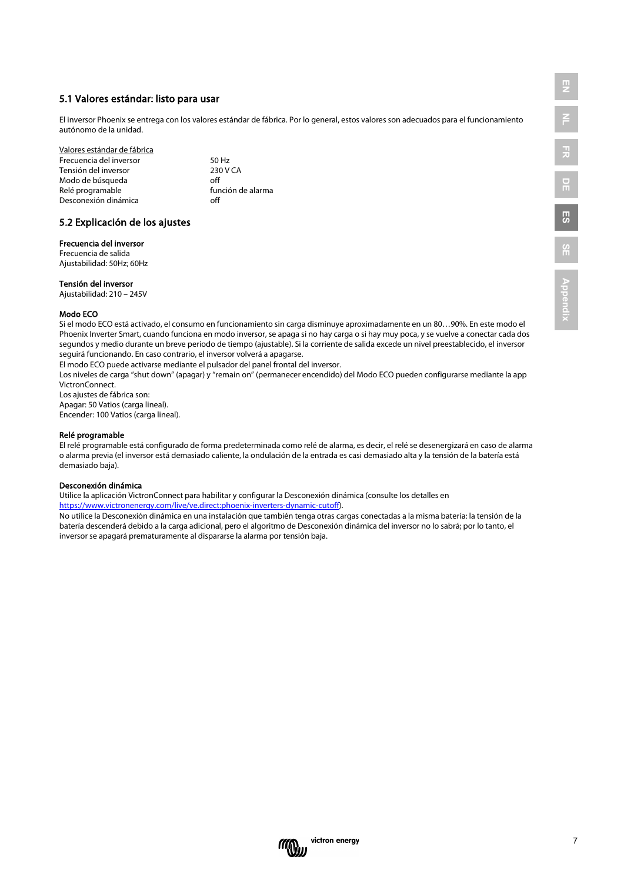## 5.1 Valores estándar: listo para usar

El inversor Phoenix se entrega con los valores estándar de fábrica. Por lo general, estos valores son adecuados para el funcionamiento autónomo de la unidad.

### Valores estándar de fábrica

| 50 Hz             |
|-------------------|
| 230 V CA          |
| off               |
| función de alarma |
| off               |
|                   |

### 5.2 Explicación de los ajustes

#### Frecuencia del inversor

Frecuencia de salida Ajustabilidad: 50Hz; 60Hz

#### Tensión del inversor

Ajustabilidad: 210 – 245V

#### Modo ECO

Si el modo ECO está activado, el consumo en funcionamiento sin carga disminuye aproximadamente en un 80…90%. En este modo el Phoenix Inverter Smart, cuando funciona en modo inversor, se apaga si no hay carga o si hay muy poca, y se vuelve a conectar cada dos segundos y medio durante un breve periodo de tiempo (ajustable). Si la corriente de salida excede un nivel preestablecido, el inversor seguirá funcionando. En caso contrario, el inversor volverá a apagarse.

El modo ECO puede activarse mediante el pulsador del panel frontal del inversor.

Los niveles de carga "shut down" (apagar) y "remain on" (permanecer encendido) del Modo ECO pueden configurarse mediante la app VictronConnect.

Los ajustes de fábrica son:

Apagar: 50 Vatios (carga lineal).

Encender: 100 Vatios (carga lineal).

#### Relé programable

El relé programable está configurado de forma predeterminada como relé de alarma, es decir, el relé se desenergizará en caso de alarma o alarma previa (el inversor está demasiado caliente, la ondulación de la entrada es casi demasiado alta y la tensión de la batería está demasiado baja).

#### Desconexión dinámica

Utilice la aplicación VictronConnect para habilitar y configurar la Desconexión dinámica (consulte los detalles en [https://www.victronenergy.com/live/ve.direct:phoenix-inverters-dynamic-cutoff\).](https://www.victronenergy.com/live/ve.direct:phoenix-inverters-dynamic-cutoff)

No utilice la Desconexión dinámica en una instalación que también tenga otras cargas conectadas a la misma batería: la tensión de la batería descenderá debido a la carga adicional, pero el algoritmo de Desconexión dinámica del inversor no lo sabrá; por lo tanto, el inversor se apagará prematuramente al dispararse la alarma por tensión baja.

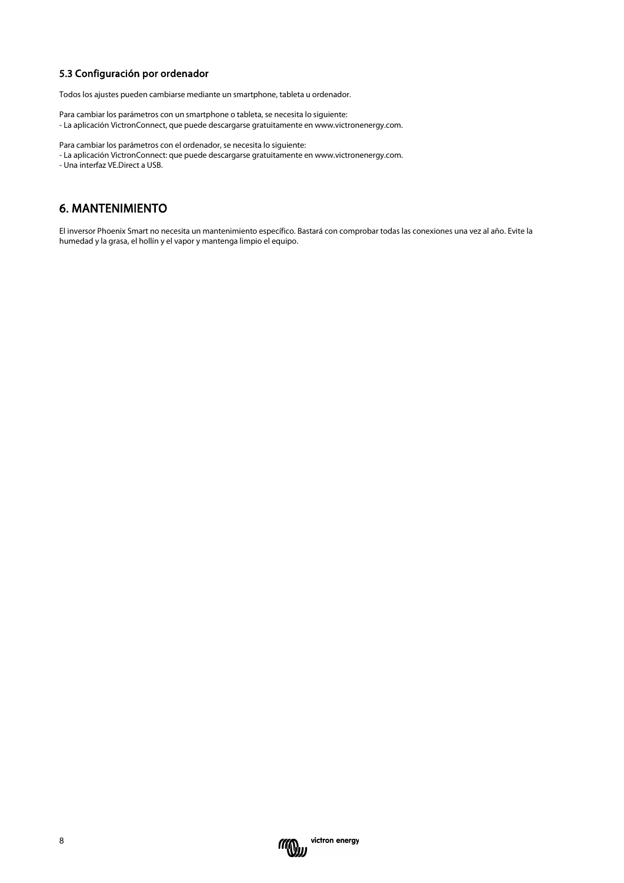## 5.3 Configuración por ordenador

Todos los ajustes pueden cambiarse mediante un smartphone, tableta u ordenador.

Para cambiar los parámetros con un smartphone o tableta, se necesita lo siguiente: - La aplicación VictronConnect, que puede descargarse gratuitamente en www.victronenergy.com.

Para cambiar los parámetros con el ordenador, se necesita lo siguiente:

- La aplicación VictronConnect: que puede descargarse gratuitamente en www.victronenergy.com.
- Una interfaz VE.Direct a USB.

## 6. MANTENIMIENTO

El inversor Phoenix Smart no necesita un mantenimiento específico. Bastará con comprobar todas las conexiones una vez al año. Evite la humedad y la grasa, el hollín y el vapor y mantenga limpio el equipo.

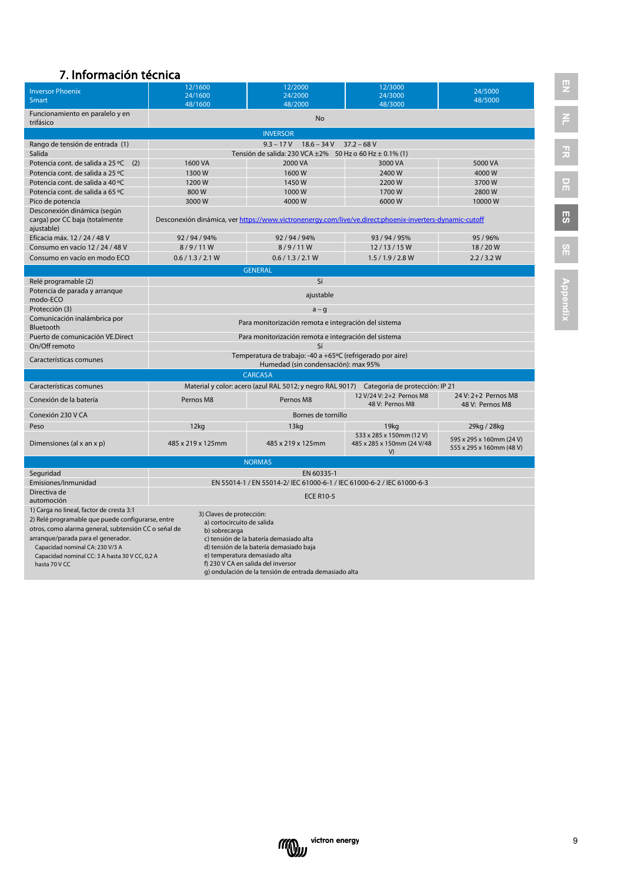## 7. Información técnica

| <b>Inversor Phoenix</b>                                                                                                                  | 12/1600                    | 12/2000                                                                                                                                                   | 12/3000                                                      | 24/5000                                              |
|------------------------------------------------------------------------------------------------------------------------------------------|----------------------------|-----------------------------------------------------------------------------------------------------------------------------------------------------------|--------------------------------------------------------------|------------------------------------------------------|
| <b>Smart</b>                                                                                                                             | 24/1600                    | 24/2000<br>48/2000                                                                                                                                        | 24/3000<br>48/3000                                           | 48/5000                                              |
| Funcionamiento en paralelo y en                                                                                                          | 48/1600                    |                                                                                                                                                           |                                                              |                                                      |
| trifásico                                                                                                                                |                            | <b>No</b>                                                                                                                                                 |                                                              |                                                      |
|                                                                                                                                          |                            | <b>INVERSOR</b>                                                                                                                                           |                                                              |                                                      |
| Rango de tensión de entrada (1)                                                                                                          |                            | $9.3 - 17V$ 18.6 - 34 V                                                                                                                                   | $37.2 - 68$ V                                                |                                                      |
| Salida                                                                                                                                   |                            | Tensión de salida: 230 VCA ± 2% 50 Hz o 60 Hz ± 0.1% (1)                                                                                                  |                                                              |                                                      |
| Potencia cont. de salida a 25 °C (2)                                                                                                     | 1600 VA                    | 2000 VA                                                                                                                                                   | 3000 VA                                                      | 5000 VA                                              |
| Potencia cont. de salida a 25 °C                                                                                                         | 1300W                      | 1600W                                                                                                                                                     | 2400 W                                                       | 4000W                                                |
| Potencia cont. de salida a 40 °C                                                                                                         | 1200W                      | 1450W                                                                                                                                                     | 2200 W                                                       | 3700W                                                |
| Potencia cont. de salida a 65 °C                                                                                                         | 800W                       | 1000W                                                                                                                                                     | 1700W                                                        | 2800W                                                |
| Pico de potencia                                                                                                                         | 3000 W                     | 4000 W                                                                                                                                                    | 6000 W                                                       | 10000 W                                              |
| Desconexión dinámica (según                                                                                                              |                            |                                                                                                                                                           |                                                              |                                                      |
| carga) por CC baja (totalmente<br>ajustable)                                                                                             |                            | Desconexión dinámica, ver https://www.victronenergy.com/live/ve.direct:phoenix-inverters-dynamic-cutoff                                                   |                                                              |                                                      |
| Eficacia máx. 12 / 24 / 48 V                                                                                                             | 92/94/94%                  | 92/94/94%                                                                                                                                                 | 93 / 94 / 95%                                                | 95/96%                                               |
| Consumo en vacío 12 / 24 / 48 V                                                                                                          | 8/9/11W                    | 8/9/11W                                                                                                                                                   | 12/13/15W                                                    | 18/20W                                               |
| Consumo en vacío en modo ECO                                                                                                             | 0.6 / 1.3 / 2.1 W          | 0.6 / 1.3 / 2.1 W                                                                                                                                         | $1.5/1.9/2.8$ W                                              | 2.2 / 3.2 W                                          |
|                                                                                                                                          |                            | <b>GENERAL</b>                                                                                                                                            |                                                              |                                                      |
| Relé programable (2)                                                                                                                     |                            | Sí                                                                                                                                                        |                                                              |                                                      |
| Potencia de parada y arranque<br>modo-ECO                                                                                                |                            | ajustable                                                                                                                                                 |                                                              |                                                      |
| Protección (3)                                                                                                                           |                            | $a - q$                                                                                                                                                   |                                                              |                                                      |
| Comunicación inalámbrica por<br>Bluetooth                                                                                                |                            | Para monitorización remota e integración del sistema                                                                                                      |                                                              |                                                      |
| Puerto de comunicación VE.Direct                                                                                                         |                            | Para monitorización remota e integración del sistema                                                                                                      |                                                              |                                                      |
| On/Off remoto                                                                                                                            |                            | Sí                                                                                                                                                        |                                                              |                                                      |
| Características comunes                                                                                                                  |                            | Temperatura de trabajo: -40 a +65°C (refrigerado por aire)<br>Humedad (sin condensación): max 95%                                                         |                                                              |                                                      |
|                                                                                                                                          |                            | <b>CARCASA</b>                                                                                                                                            |                                                              |                                                      |
| Características comunes                                                                                                                  |                            | Material y color: acero (azul RAL 5012; y negro RAL 9017) Categoría de protección: IP 21                                                                  |                                                              |                                                      |
| Conexión de la batería                                                                                                                   | Pernos M8                  | Pernos M8                                                                                                                                                 | 12 V/24 V: 2+2 Pernos M8<br>48 V: Pernos M8                  | 24 V: 2+2 Pernos M8<br>48 V: Pernos M8               |
| Conexión 230 V CA                                                                                                                        |                            | Bornes de tornillo                                                                                                                                        |                                                              |                                                      |
| Peso                                                                                                                                     | 12kg                       | 13kg                                                                                                                                                      | 19kg                                                         | 29kg / 28kg                                          |
| Dimensiones (al x an x p)                                                                                                                | 485 x 219 x 125mm          | 485 x 219 x 125mm                                                                                                                                         | 533 x 285 x 150mm (12 V)<br>485 x 285 x 150mm (24 V/48<br>V) | 595 x 295 x 160mm (24 V)<br>555 x 295 x 160mm (48 V) |
|                                                                                                                                          |                            | <b>NORMAS</b>                                                                                                                                             |                                                              |                                                      |
| Seguridad                                                                                                                                |                            | EN 60335-1                                                                                                                                                |                                                              |                                                      |
| Emisiones/Inmunidad                                                                                                                      |                            | EN 55014-1 / EN 55014-2/ IEC 61000-6-1 / IEC 61000-6-2 / IEC 61000-6-3                                                                                    |                                                              |                                                      |
| Directiva de<br>automoción                                                                                                               |                            | <b>ECE R10-5</b>                                                                                                                                          |                                                              |                                                      |
| 1) Carga no lineal, factor de cresta 3:1                                                                                                 | 3) Claves de protección:   |                                                                                                                                                           |                                                              |                                                      |
| 2) Relé programable que puede configurarse, entre                                                                                        | a) cortocircuito de salida |                                                                                                                                                           |                                                              |                                                      |
| otros, como alarma general, subtensión CC o señal de                                                                                     | b) sobrecarga              |                                                                                                                                                           |                                                              |                                                      |
| arranque/parada para el generador.<br>Capacidad nominal CA: 230 V/3 A<br>Capacidad nominal CC: 3 A hasta 30 V CC, 0,2 A<br>hasta 70 V CC |                            | c) tensión de la batería demasiado alta<br>d) tensión de la batería demasiado baja<br>e) temperatura demasiado alta<br>f) 230 V CA en salida del inversor |                                                              |                                                      |
|                                                                                                                                          |                            | g) ondulación de la tensión de entrada demasiado alta                                                                                                     |                                                              |                                                      |

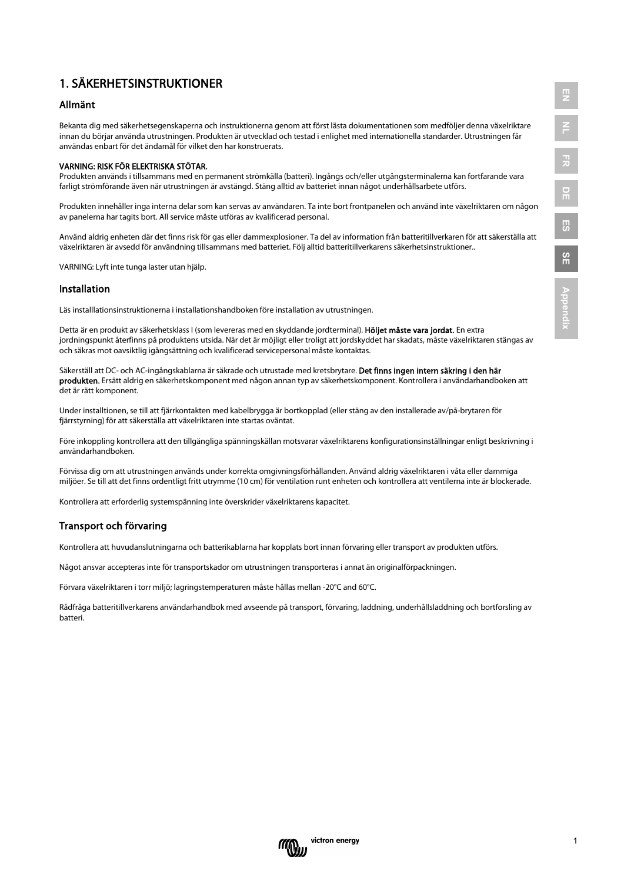## 1. SÄKERHETSINSTRUKTIONER

### Allmänt

Bekanta dig med säkerhetsegenskaperna och instruktionerna genom att först lästa dokumentationen som medföljer denna växelriktare innan du börjar använda utrustningen. Produkten är utvecklad och testad i enlighet med internationella standarder. Utrustningen får användas enbart för det ändamål för vilket den har konstruerats.

#### VARNING: RISK FÖR ELEKTRISKA STÖTAR.

Produkten används i tillsammans med en permanent strömkälla (batteri). Ingångs och/eller utgångsterminalerna kan fortfarande vara farligt strömförande även när utrustningen är avstängd. Stäng alltid av batteriet innan något underhållsarbete utförs.

Produkten innehåller inga interna delar som kan servas av användaren. Ta inte bort frontpanelen och använd inte växelriktaren om någon av panelerna har tagits bort. All service måste utföras av kvalificerad personal.

Använd aldrig enheten där det finns risk för gas eller dammexplosioner. Ta del av information från batteritillverkaren för att säkerställa att växelriktaren är avsedd för användning tillsammans med batteriet. Följ alltid batteritillverkarens säkerhetsinstruktioner..

VARNING: Lyft inte tunga laster utan hjälp.

### Installation

Läs installlationsinstruktionerna i installationshandboken före installation av utrustningen.

Detta är en produkt av säkerhetsklass I (som levereras med en skyddande jordterminal). Höljet måste vara jordat. En extra jordningspunkt återfinns på produktens utsida. När det är möjligt eller troligt att jordskyddet har skadats, måste växelriktaren stängas av och säkras mot oavsiktlig igångsättning och kvalificerad servicepersonal måste kontaktas.

Säkerställ att DC- och AC-ingångskablarna är säkrade och utrustade med kretsbrytare. Det finns ingen intern säkring i den här produkten. Ersätt aldrig en säkerhetskomponent med någon annan typ av säkerhetskomponent. Kontrollera i användarhandboken att det är rätt komponent.

Under installtionen, se till att fjärrkontakten med kabelbrygga är bortkopplad (eller stäng av den installerade av/på-brytaren för fjärrstyrning) för att säkerställa att växelriktaren inte startas oväntat.

Före inkoppling kontrollera att den tillgängliga spänningskällan motsvarar växelriktarens konfigurationsinställningar enligt beskrivning i användarhandboken.

Förvissa dig om att utrustningen används under korrekta omgivningsförhållanden. Använd aldrig växelriktaren i våta eller dammiga miljöer. Se till att det finns ordentligt fritt utrymme (10 cm) för ventilation runt enheten och kontrollera att ventilerna inte är blockerade.

Kontrollera att erforderlig systemspänning inte överskrider växelriktarens kapacitet.

## Transport och förvaring

Kontrollera att huvudanslutningarna och batterikablarna har kopplats bort innan förvaring eller transport av produkten utförs.

Något ansvar accepteras inte för transportskador om utrustningen transporteras i annat än originalförpackningen.

Förvara växelriktaren i torr miljö; lagringstemperaturen måste hållas mellan -20°C and 60°C.

Rådfråga batteritillverkarens användarhandbok med avseende på transport, förvaring, laddning, underhållsladdning och bortforsling av batteri.

victron energy

**MOW** 





**EN NL FR DE ES SE** Appendix **Appendix**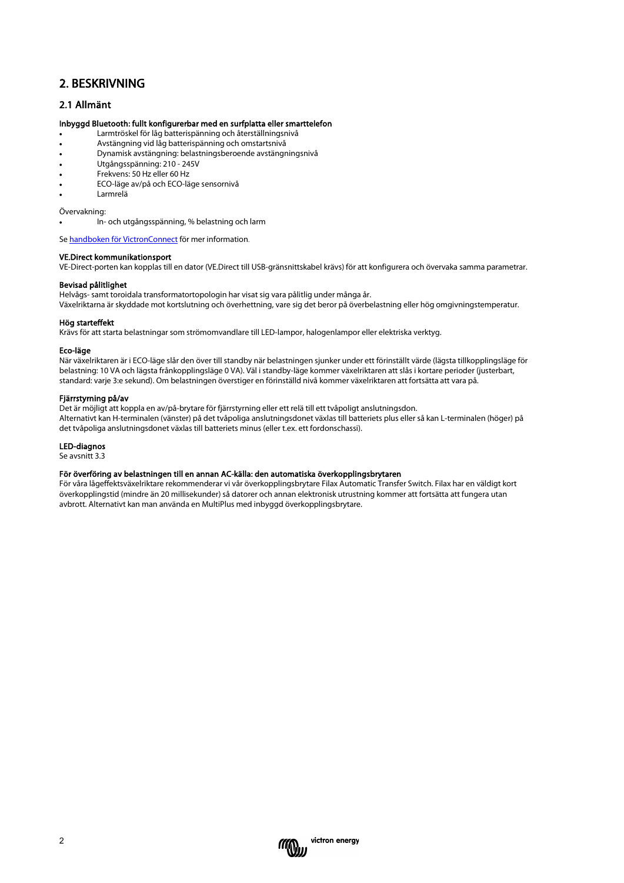## 2. BESKRIVNING

## 2.1 Allmänt

#### Inbyggd Bluetooth: fullt konfigurerbar med en surfplatta eller smarttelefon

- Larmtröskel för låg batterispänning och återställningsnivå
- Avstängning vid låg batterispänning och omstartsnivå
- Dynamisk avstängning: belastningsberoende avstängningsnivå
- Utgångsspänning: 210 245V
- Frekvens: 50 Hz eller 60 Hz
- ECO-läge av/på och ECO-läge sensornivå
- Larmrelä

#### Övervakning:

• In- och utgångsspänning, % belastning och larm

S[e handboken för VictronConnect](https://www.victronenergy.com/live/victronconnect:start) för mer information.

#### VE.Direct kommunikationsport

VE-Direct-porten kan kopplas till en dator (VE.Direct till USB-gränsnittskabel krävs) för att konfigurera och övervaka samma parametrar.

#### Bevisad pålitlighet

Helvågs- samt toroidala transformatortopologin har visat sig vara pålitlig under många år.

Växelriktarna är skyddade mot kortslutning och överhettning, vare sig det beror på överbelastning eller hög omgivningstemperatur.

#### Hög starteffekt

Krävs för att starta belastningar som strömomvandlare till LED-lampor, halogenlampor eller elektriska verktyg.

#### Eco-läge

När växelriktaren är i ECO-läge slår den över till standby när belastningen sjunker under ett förinställt värde (lägsta tillkopplingsläge för belastning: 10 VA och lägsta frånkopplingsläge 0 VA). Väl i standby-läge kommer växelriktaren att slås i kortare perioder (justerbart, standard: varje 3:e sekund). Om belastningen överstiger en förinställd nivå kommer växelriktaren att fortsätta att vara på.

#### Fjärrstyrning på/av

Det är möjligt att koppla en av/på-brytare för fjärrstyrning eller ett relä till ett tvåpoligt anslutningsdon. Alternativt kan H-terminalen (vänster) på det tvåpoliga anslutningsdonet växlas till batteriets plus eller så kan L-terminalen (höger) på det tvåpoliga anslutningsdonet växlas till batteriets minus (eller t.ex. ett fordonschassi).

#### LED-diagnos

Se avsnitt 3.3

#### För överföring av belastningen till en annan AC-källa: den automatiska överkopplingsbrytaren

För våra lågeffektsväxelriktare rekommenderar vi vår överkopplingsbrytare Filax Automatic Transfer Switch. Filax har en väldigt kort överkopplingstid (mindre än 20 millisekunder) så datorer och annan elektronisk utrustning kommer att fortsätta att fungera utan avbrott. Alternativt kan man använda en MultiPlus med inbyggd överkopplingsbrytare.

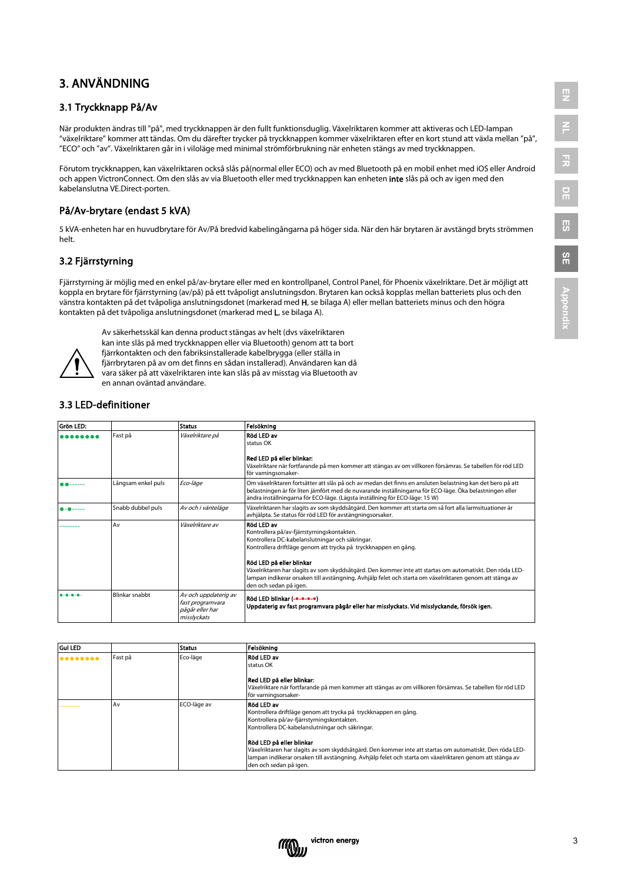## 3. ANVÄNDNING

## 3.1 Tryckknapp På/Av

När produkten ändras till "på", med tryckknappen är den fullt funktionsduglig. Växelriktaren kommer att aktiveras och LED-lampan "växelriktare" kommer att tändas. Om du därefter trycker på tryckknappen kommer växelriktaren efter en kort stund att växla mellan "på", "ECO" och "av". Växelriktaren går in i viloläge med minimal strömförbrukning när enheten stängs av med tryckknappen.

Förutom tryckknappen, kan växelriktaren också slås på(normal eller ECO) och av med Bluetooth på en mobil enhet med iOS eller Android och appen VictronConnect. Om den slås av via Bluetooth eller med tryckknappen kan enheten inte slås på och av igen med den kabelanslutna VE.Direct-porten.

## På/Av-brytare (endast 5 kVA)

5 kVA-enheten har en huvudbrytare för Av/På bredvid kabelingångarna på höger sida. När den här brytaren är avstängd bryts strömmen helt.

## 3.2 Fjärrstyrning

Fjärrstyrning är möjlig med en enkel på/av-brytare eller med en kontrollpanel, Control Panel, för Phoenix växelriktare. Det är möjligt att koppla en brytare för fjärrstyrning (av/på) på ett tvåpoligt anslutningsdon. Brytaren kan också kopplas mellan batteriets plus och den vänstra kontakten på det tvåpoliga anslutningsdonet (markerad med H, se bilaga A) eller mellan batteriets minus och den högra kontakten på det tvåpoliga anslutningsdonet (markerad med L, se bilaga A).



Av säkerhetsskäl kan denna product stängas av helt (dvs växelriktaren kan inte slås på med tryckknappen eller via Bluetooth) genom att ta bort fjärrkontakten och den fabriksinstallerade kabelbrygga (eller ställa in fjärrbrytaren på av om det finns en sådan installerad). Användaren kan då vara säker på att växelriktaren inte kan slås på av misstag via Bluetooth av en annan oväntad användare.

## 3.3 LED-definitioner

| Grön LED:       |                    | <b>Status</b>                                                              | Felsökning                                                                                                                                                                                                                                                                                                                                                                                                                                                          |
|-----------------|--------------------|----------------------------------------------------------------------------|---------------------------------------------------------------------------------------------------------------------------------------------------------------------------------------------------------------------------------------------------------------------------------------------------------------------------------------------------------------------------------------------------------------------------------------------------------------------|
|                 | Fast på            | Växelriktare på                                                            | Röd LED av<br>status OK<br>Red LED på eller blinkar:                                                                                                                                                                                                                                                                                                                                                                                                                |
|                 |                    |                                                                            | Växelriktare när fortfarande på men kommer att stängas av om villkoren försämras. Se tabellen för röd LED<br>för varningsorsaker-                                                                                                                                                                                                                                                                                                                                   |
|                 | Långsam enkel puls | Eco-läge                                                                   | Om växelriktaren fortsätter att slås på och av medan det finns en ansluten belastning kan det bero på att<br>belastningen är för liten jämfört med de nuvarande inställningarna för ECO-läge. Öka belastningen eller<br>ändra inställningarna för ECO-läge. (Lägsta inställning för ECO-läge: 15 W)                                                                                                                                                                 |
|                 | Snabb dubbel puls  | Av och i vänteläge                                                         | Växelriktaren har slagits av som skyddsåtgärd. Den kommer att starta om så fort alla larmsituationer är<br>avhjälpta. Se status för röd LED för avstängningsorsaker.                                                                                                                                                                                                                                                                                                |
|                 | Av                 | Växelriktare av                                                            | Röd LED av<br>Kontrollera på/av-fjärrstyrningskontakten.<br>Kontrollera DC-kabelanslutningar och säkringar.<br>Kontrollera driftläge genom att trycka på tryckknappen en gång.<br><b>Röd LED på eller blinkar</b><br>Växelriktaren har slagits av som skyddsåtgärd. Den kommer inte att startas om automatiskt. Den röda LED-<br>lampan indikerar orsaken till avstängning. Avhjälp felet och starta om växelriktaren genom att stänga av<br>den och sedan på igen. |
| $0 - 0 - 0 - 0$ | Blinkar snabbt     | Av och uppdaterig av<br>fast programvara<br>pågår eller har<br>misslyckats | Röd LED blinkar (-•-•-•-•)<br>Uppdaterig av fast programvara pågår eller har misslyckats. Vid misslyckande, försök igen.                                                                                                                                                                                                                                                                                                                                            |

| <b>Gul LED</b> |         | <b>Status</b> | Felsökning                                                                                                                                                                                                                                                                 |
|----------------|---------|---------------|----------------------------------------------------------------------------------------------------------------------------------------------------------------------------------------------------------------------------------------------------------------------------|
| $••••••••••$   | Fast på | Eco-läge      | Röd LED av<br>status OK                                                                                                                                                                                                                                                    |
|                |         |               | Red LED på eller blinkar:<br>Växelriktare när fortfarande på men kommer att stängas av om villkoren försämras. Se tabellen för röd LED<br>för varningsorsaker-                                                                                                             |
|                | Av      | ECO-läge av   | <b>Röd LED av</b><br>Kontrollera driftläge genom att trycka på tryckknappen en gång.<br>Kontrollera på/av-fjärrstyrningskontakten.<br>Kontrollera DC-kabelanslutningar och säkringar.                                                                                      |
|                |         |               | Röd LED på eller blinkar<br>Växelriktaren har slagits av som skyddsåtgärd. Den kommer inte att startas om automatiskt. Den röda LED-<br>lampan indikerar orsaken till avstängning. Avhjälp felet och starta om växelriktaren genom att stänga av<br>den och sedan på igen. |

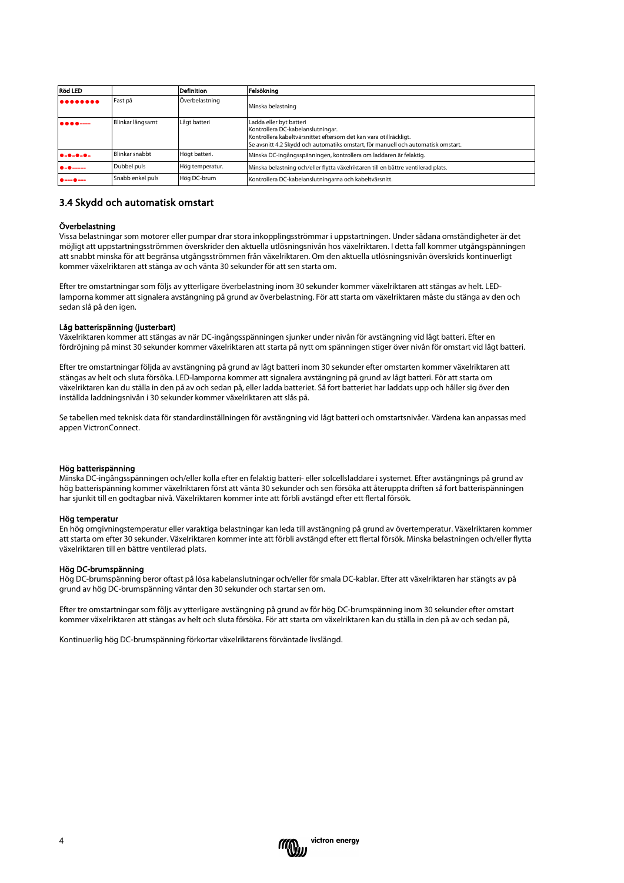| <b>Röd LED</b>                             |                  | Definition      | Felsökning                                                                                                                                                                                                            |
|--------------------------------------------|------------------|-----------------|-----------------------------------------------------------------------------------------------------------------------------------------------------------------------------------------------------------------------|
| $•••••••••$                                | Fast på          | Överbelastning  | Minska belastning                                                                                                                                                                                                     |
| $\bullet\bullet\bullet\bullet\cdots\cdots$ | Blinkar långsamt | Lågt batteri    | Ladda eller byt batteri<br>Kontrollera DC-kabelanslutningar.<br>Kontrollera kabeltvärsnittet eftersom det kan vara otillräckligt.<br>Se avsnitt 4.2 Skydd och automatiks omstart, för manuell och automatisk omstart. |
| $- - - - - -$                              | Blinkar snabbt   | Högt batteri.   | Minska DC-ingångsspänningen, kontrollera om laddaren är felaktig.                                                                                                                                                     |
| $\bullet - \bullet - - - -$                | Dubbel puls      | Hög temperatur. | Minska belastning och/eller flytta växelriktaren till en bättre ventilerad plats.                                                                                                                                     |
| $\bullet \cdots \bullet \cdots$            | Snabb enkel puls | Hög DC-brum     | Kontrollera DC-kabelanslutningarna och kabeltvärsnitt.                                                                                                                                                                |

#### 3.4 Skydd och automatisk omstart

#### Överbelastning

Vissa belastningar som motorer eller pumpar drar stora inkopplingsströmmar i uppstartningen. Under sådana omständigheter är det möjligt att uppstartningsströmmen överskrider den aktuella utlösningsnivån hos växelriktaren. I detta fall kommer utgångspänningen att snabbt minska för att begränsa utgångsströmmen från växelriktaren. Om den aktuella utlösningsnivån överskrids kontinuerligt kommer växelriktaren att stänga av och vänta 30 sekunder för att sen starta om.

Efter tre omstartningar som följs av ytterligare överbelastning inom 30 sekunder kommer växelriktaren att stängas av helt. LEDlamporna kommer att signalera avstängning på grund av överbelastning. För att starta om växelriktaren måste du stänga av den och sedan slå på den igen.

#### Låg batterispänning (justerbart)

Växelriktaren kommer att stängas av när DC-ingångsspänningen sjunker under nivån för avstängning vid lågt batteri. Efter en fördröjning på minst 30 sekunder kommer växelriktaren att starta på nytt om spänningen stiger över nivån för omstart vid lågt batteri.

Efter tre omstartningar följda av avstängning på grund av lågt batteri inom 30 sekunder efter omstarten kommer växelriktaren att stängas av helt och sluta försöka. LED-lamporna kommer att signalera avstängning på grund av lågt batteri. För att starta om växelriktaren kan du ställa in den på av och sedan på, eller ladda batteriet. Så fort batteriet har laddats upp och håller sig över den inställda laddningsnivån i 30 sekunder kommer växelriktaren att slås på.

Se tabellen med teknisk data för standardinställningen för avstängning vid lågt batteri och omstartsnivåer. Värdena kan anpassas med appen VictronConnect.

#### Hög batterispänning

Minska DC-ingångsspänningen och/eller kolla efter en felaktig batteri- eller solcellsladdare i systemet. Efter avstängnings på grund av hög batterispänning kommer växelriktaren först att vänta 30 sekunder och sen försöka att återuppta driften så fort batterispänningen har sjunkit till en godtagbar nivå. Växelriktaren kommer inte att förbli avstängd efter ett flertal försök.

#### Hög temperatur

En hög omgivningstemperatur eller varaktiga belastningar kan leda till avstängning på grund av övertemperatur. Växelriktaren kommer att starta om efter 30 sekunder. Växelriktaren kommer inte att förbli avstängd efter ett flertal försök. Minska belastningen och/eller flytta växelriktaren till en bättre ventilerad plats.

#### Hög DC-brumspänning

Hög DC-brumspänning beror oftast på lösa kabelanslutningar och/eller för smala DC-kablar. Efter att växelriktaren har stängts av på grund av hög DC-brumspänning väntar den 30 sekunder och startar sen om.

Efter tre omstartningar som följs av ytterligare avstängning på grund av för hög DC-brumspänning inom 30 sekunder efter omstart kommer växelriktaren att stängas av helt och sluta försöka. För att starta om växelriktaren kan du ställa in den på av och sedan på,

Kontinuerlig hög DC-brumspänning förkortar växelriktarens förväntade livslängd.

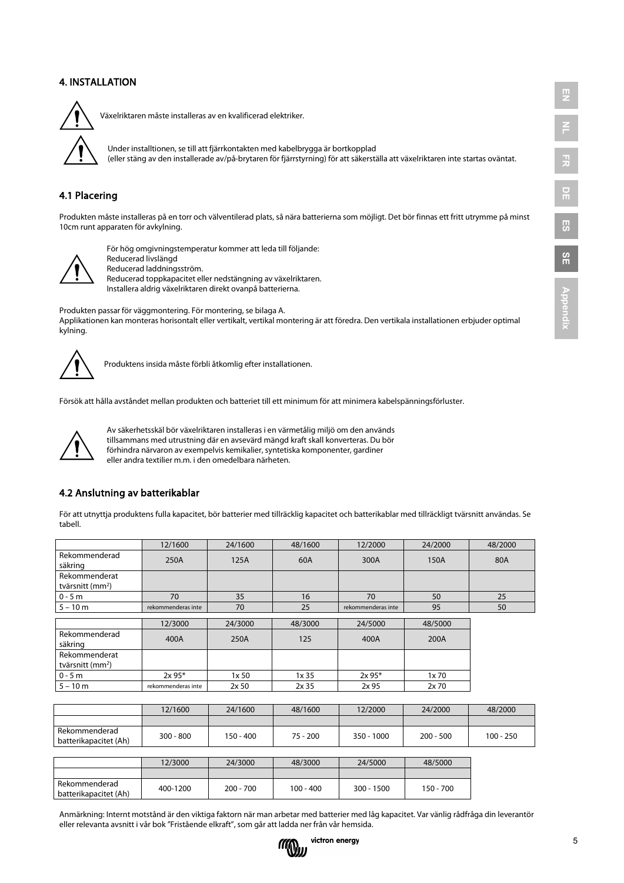## 4. INSTALLATION



Växelriktaren måste installeras av en kvalificerad elektriker.

Under installtionen, se till att fjärrkontakten med kabelbrygga är bortkopplad (eller stäng av den installerade av/på-brytaren för fjärrstyrning) för att säkerställa att växelriktaren inte startas oväntat.

### 4.1 Placering

Produkten måste installeras på en torr och välventilerad plats, så nära batterierna som möjligt. Det bör finnas ett fritt utrymme på minst 10cm runt apparaten för avkylning.



För hög omgivningstemperatur kommer att leda till följande: Reducerad livslängd Reducerad laddningsström. Reducerad toppkapacitet eller nedstängning av växelriktaren. Installera aldrig växelriktaren direkt ovanpå batterierna.

Produkten passar för väggmontering. För montering, se bilaga A. Applikationen kan monteras horisontalt eller vertikalt, vertikal montering är att föredra. Den vertikala installationen erbjuder optimal kylning.



Produktens insida måste förbli åtkomlig efter installationen.

Försök att hålla avståndet mellan produkten och batteriet till ett minimum för att minimera kabelspänningsförluster.



Av säkerhetsskäl bör växelriktaren installeras i en värmetålig miljö om den används tillsammans med utrustning där en avsevärd mängd kraft skall konverteras. Du bör förhindra närvaron av exempelvis kemikalier, syntetiska komponenter, gardiner eller andra textilier m.m. i den omedelbara närheten.

### 4.2 Anslutning av batterikablar

För att utnyttja produktens fulla kapacitet, bör batterier med tillräcklig kapacitet och batterikablar med tillräckligt tvärsnitt användas. Se tabell.

|                                               | 12/1600            | 24/1600          | 48/1600 | 12/2000            | 24/2000 | 48/2000 |
|-----------------------------------------------|--------------------|------------------|---------|--------------------|---------|---------|
| Rekommenderad<br>säkring                      | 250A               | 125A             | 60A     | 300A               | 150A    | 80A     |
| Rekommenderat<br>tvärsnitt (mm <sup>2</sup> ) |                    |                  |         |                    |         |         |
| $0 - 5 m$                                     | 70                 | 35               | 16      | 70                 | 50      | 25      |
| $5 - 10m$                                     | rekommenderas inte | 70               | 25      | rekommenderas inte | 95      | 50      |
|                                               |                    |                  |         |                    |         |         |
|                                               | 12/3000            | 24/3000          | 48/3000 | 24/5000            | 48/5000 |         |
| Rekommenderad<br>säkring                      | 400A               | 250A             | 125     | 400A               | 200A    |         |
| Rekommenderat<br>tvärsnitt (mm <sup>2</sup> ) |                    |                  |         |                    |         |         |
| $0 - 5 m$                                     | 2x 95*             | 1x50             | 1x35    | $2x 95*$           | 1x70    |         |
| $5 - 10 m$                                    | rekommenderas inte | 2x <sub>50</sub> | 2x35    | 2x95               | 2x70    |         |

|                                        | 12/1600     | 24/1600     | 48/1600     | 12/2000      | 24/2000     | 48/2000     |
|----------------------------------------|-------------|-------------|-------------|--------------|-------------|-------------|
|                                        |             |             |             |              |             |             |
| Rekommenderad<br>batterikapacitet (Ah) | $300 - 800$ | $150 - 400$ | $75 - 200$  | $350 - 1000$ | $200 - 500$ | $100 - 250$ |
|                                        |             |             |             |              |             |             |
|                                        | 12/3000     | 24/3000     | 48/3000     | 24/5000      | 48/5000     |             |
|                                        |             |             |             |              |             |             |
| Rekommenderad<br>batterikapacitet (Ah) | 400-1200    | $200 - 700$ | $100 - 400$ | 300 - 1500   | 150 - 700   |             |

Anmärkning: Internt motstånd är den viktiga faktorn när man arbetar med batterier med låg kapacitet. Var vänlig rådfråga din leverantör eller relevanta avsnitt i vår bok "Fristående elkraft", som går att ladda ner från vår hemsida.



 $\overline{2}$ 

**NL**

**FR**

**DE**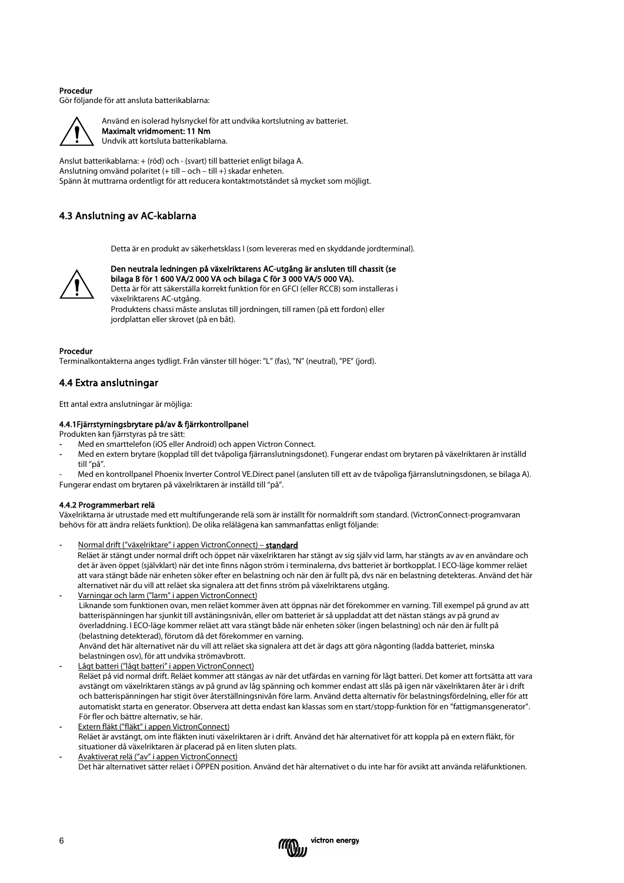#### Procedur

Gör följande för att ansluta batterikablarna:



Använd en isolerad hylsnyckel för att undvika kortslutning av batteriet. Maximalt vridmoment: 11 Nm Undvik att kortsluta batterikablarna.

Anslut batterikablarna: + (röd) och - (svart) till batteriet enligt bilaga A. Anslutning omvänd polaritet (+ till – och – till +) skadar enheten. Spänn åt muttrarna ordentligt för att reducera kontaktmotståndet så mycket som möjligt.

## 4.3 Anslutning av AC-kablarna

Detta är en produkt av säkerhetsklass I (som levereras med en skyddande jordterminal).



Den neutrala ledningen på växelriktarens AC-utgång är ansluten till chassit (se bilaga B för 1 600 VA/2 000 VA och bilaga C för 3 000 VA/5 000 VA). Detta är för att säkerställa korrekt funktion för en GFCI (eller RCCB) som installeras i växelriktarens AC-utgång. Produktens chassi måste anslutas till jordningen, till ramen (på ett fordon) eller jordplattan eller skrovet (på en båt).

#### Procedur

Terminalkontakterna anges tydligt. Från vänster till höger: "L" (fas), "N" (neutral), "PE" (jord).

### 4.4 Extra anslutningar

Ett antal extra anslutningar är möjliga:

#### 4.4.1Fjärrstyrningsbrytare på/av & fjärrkontrollpanel

- Produkten kan fjärrstyras på tre sätt:
- Med en smarttelefon (iOS eller Android) och appen Victron Connect.
- Med en extern brytare (kopplad till det tvåpoliga fjärranslutningsdonet). Fungerar endast om brytaren på växelriktaren är inställd till "på".

- Med en kontrollpanel Phoenix Inverter Control VE.Direct panel (ansluten till ett av de tvåpoliga fjärranslutningsdonen, se bilaga A). Fungerar endast om brytaren på växelriktaren är inställd till "på".

#### 4.4.2 Programmerbart relä

Växelriktarna är utrustade med ett multifungerande relä som är inställt för normaldrift som standard. (VictronConnect-programvaran behövs för att ändra reläets funktion). De olika relälägena kan sammanfattas enligt följande:

- Normal drift ("växelriktare" i appen VictronConnect) standard Reläet är stängt under normal drift och öppet när växelriktaren har stängt av sig själv vid larm, har stängts av av en användare och det är även öppet (självklart) när det inte finns någon ström i terminalerna, dvs batteriet är bortkopplat. I ECO-läge kommer reläet att vara stängt både när enheten söker efter en belastning och när den är fullt på, dvs när en belastning detekteras. Använd det här alternativet när du vill att reläet ska signalera att det finns ström på växelriktarens utgång.
- Varningar och larm ("larm" i appen VictronConnect) Liknande som funktionen ovan, men reläet kommer även att öppnas när det förekommer en varning. Till exempel på grund av att batterispänningen har sjunkit till avstäningsnivån, eller om batteriet är så uppladdat att det nästan stängs av på grund av överladdning. I ECO-läge kommer reläet att vara stängt både när enheten söker (ingen belastning) och när den är fullt på (belastning detekterad), förutom då det förekommer en varning. Använd det här alternativet när du vill att reläet ska signalera att det är dags att göra någonting (ladda batteriet, minska belastningen osv), för att undvika strömavbrott.
- Lågt batteri ("lågt batteri" i appen VictronConnect) Reläet på vid normal drift. Reläet kommer att stängas av när det utfärdas en varning för lågt batteri. Det komer att fortsätta att vara avstängt om växelriktaren stängs av på grund av låg spänning och kommer endast att slås på igen när växelriktaren åter är i drift och batterispänningen har stigit över återställningsnivån före larm. Använd detta alternativ för belastningsfördelning, eller för att automatiskt starta en generator. Observera att detta endast kan klassas som en start/stopp-funktion för en "fattigmansgenerator". För fler och bättre alternativ, se här.
- Extern fläkt ("fläkt" i appen VictronConnect) Reläet är avstängt, om inte fläkten inuti växelriktaren är i drift. Använd det här alternativet för att koppla på en extern fläkt, för situationer då växelriktaren är placerad på en liten sluten plats.
- Avaktiverat relä ("av" i appen VictronConnect) Det här alternativet sätter reläet i ÖPPEN position. Använd det här alternativet o du inte har för avsikt att använda reläfunktionen.

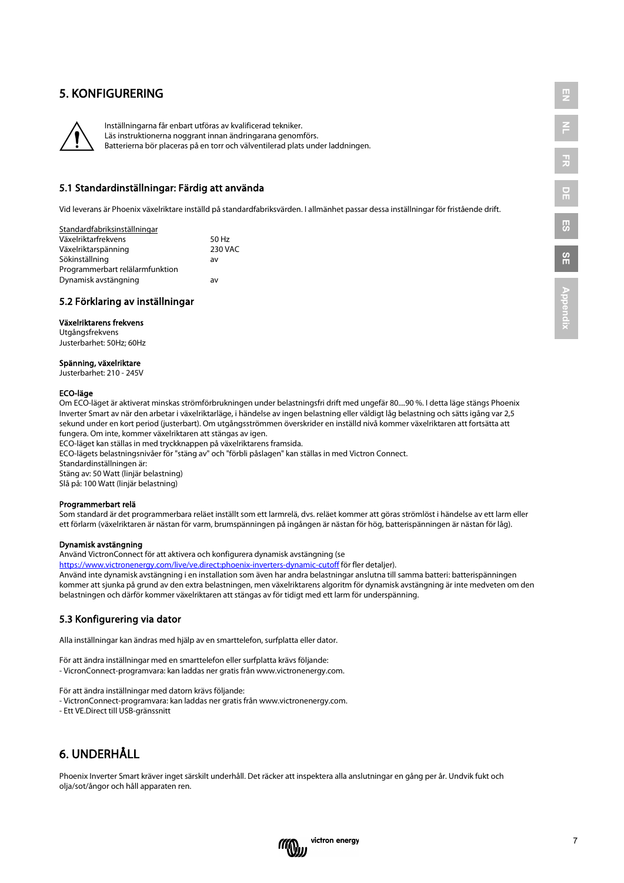## 5. KONFIGURERING

Inställningarna får enbart utföras av kvalificerad tekniker. Läs instruktionerna noggrant innan ändringarana genomförs. Batterierna bör placeras på en torr och välventilerad plats under laddningen.

### 5.1 Standardinställningar: Färdig att använda

Vid leverans är Phoenix växelriktare inställd på standardfabriksvärden. I allmänhet passar dessa inställningar för fristående drift.

| Standardfabriksinställningar    |         |
|---------------------------------|---------|
| Växelriktarfrekvens             | 50 Hz   |
| Växelriktarspänning             | 230 VAC |
| Sökinställning                  | av      |
| Programmerbart relälarmfunktion |         |
| Dynamisk avstängning            | av      |

#### 5.2 Förklaring av inställningar

#### Växelriktarens frekvens

Utgångsfrekvens Justerbarhet: 50Hz; 60Hz

#### Spänning, växelriktare

Justerbarhet: 210 - 245V

#### ECO-läge

Om ECO-läget är aktiverat minskas strömförbrukningen under belastningsfri drift med ungefär 80....90 %. I detta läge stängs Phoenix Inverter Smart av när den arbetar i växelriktarläge, i händelse av ingen belastning eller väldigt låg belastning och sätts igång var 2,5 sekund under en kort period (justerbart). Om utgångsströmmen överskrider en inställd nivå kommer växelriktaren att fortsätta att fungera. Om inte, kommer växelriktaren att stängas av igen.

ECO-läget kan ställas in med tryckknappen på växelriktarens framsida.

ECO-lägets belastningsnivåer för "stäng av" och "förbli påslagen" kan ställas in med Victron Connect.

Standardinställningen är:

Stäng av: 50 Watt (linjär belastning)

Slå på: 100 Watt (linjär belastning)

#### Programmerbart relä

Som standard är det programmerbara reläet inställt som ett larmrelä, dvs. reläet kommer att göras strömlöst i händelse av ett larm eller ett förlarm (växelriktaren är nästan för varm, brumspänningen på ingången är nästan för hög, batterispänningen är nästan för låg).

#### Dynamisk avstängning

Använd VictronConnect för att aktivera och konfigurera dynamisk avstängning (se

<https://www.victronenergy.com/live/ve.direct:phoenix-inverters-dynamic-cutoff> för fler detaljer).

Använd inte dynamisk avstängning i en installation som även har andra belastningar anslutna till samma batteri: batterispänningen kommer att sjunka på grund av den extra belastningen, men växelriktarens algoritm för dynamisk avstängning är inte medveten om den belastningen och därför kommer växelriktaren att stängas av för tidigt med ett larm för underspänning.

### 5.3 Konfigurering via dator

Alla inställningar kan ändras med hjälp av en smarttelefon, surfplatta eller dator.

För att ändra inställningar med en smarttelefon eller surfplatta krävs följande:

- VicronConnect-programvara: kan laddas ner gratis från www.victronenergy.com.

För att ändra inställningar med datorn krävs följande:

- VictronConnect-programvara: kan laddas ner gratis från www.victronenergy.com.

- Ett VE.Direct till USB-gränssnitt

## 6. UNDERHÅLL

Phoenix Inverter Smart kräver inget särskilt underhåll. Det räcker att inspektera alla anslutningar en gång per år. Undvik fukt och olja/sot/ångor och håll apparaten ren.

**MOW** 

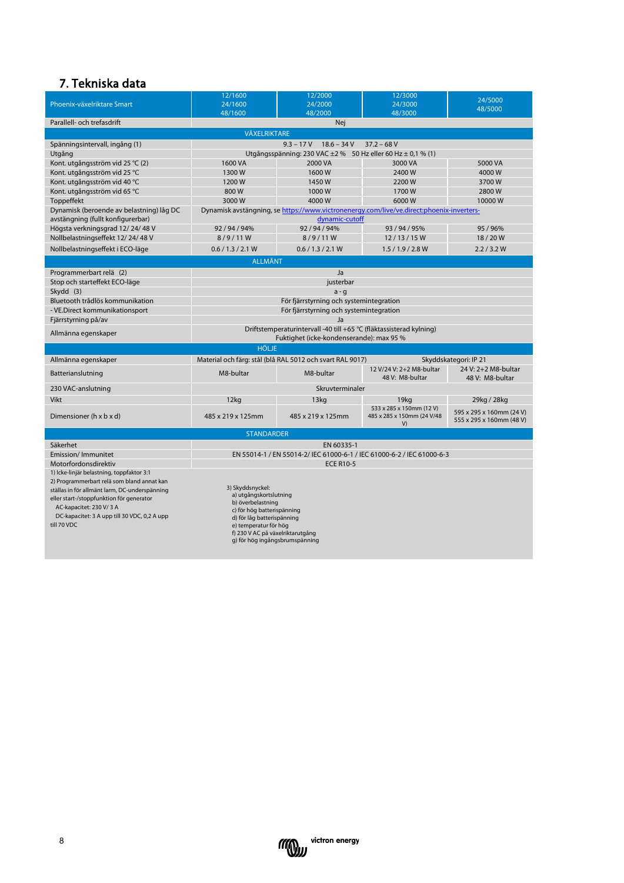## 7. Tekniska data

|                                               | 12/1600                                                   | 12/2000                                                              | 12/3000                                                                                  | 24/5000                                 |  |  |
|-----------------------------------------------|-----------------------------------------------------------|----------------------------------------------------------------------|------------------------------------------------------------------------------------------|-----------------------------------------|--|--|
| Phoenix-växelriktare Smart                    | 24/1600                                                   | 24/2000                                                              | 24/3000                                                                                  | 48/5000                                 |  |  |
|                                               | 48/1600                                                   | 48/2000                                                              | 48/3000                                                                                  |                                         |  |  |
| Parallell- och trefasdrift                    |                                                           | Nej                                                                  |                                                                                          |                                         |  |  |
|                                               | VÄXELRIKTARE                                              |                                                                      |                                                                                          |                                         |  |  |
| Spänningsintervall, ingång (1)                |                                                           | $9.3 - 17V$<br>$18.6 - 34 V$                                         | $37.2 - 68V$                                                                             |                                         |  |  |
| Utgång                                        |                                                           | Utgångsspänning: 230 VAC $\pm 2$ % 50 Hz eller 60 Hz $\pm$ 0,1 % (1) |                                                                                          |                                         |  |  |
| Kont. utgångsström vid 25 °C (2)              | 1600 VA                                                   | 2000 VA                                                              | 3000 VA                                                                                  | 5000 VA                                 |  |  |
| Kont. utgångsström vid 25 °C                  | 1300W                                                     | 1600W                                                                | 2400W                                                                                    | 4000W                                   |  |  |
| Kont. utgångsström vid 40 °C                  | 1200 W                                                    | 1450W                                                                | 2200W                                                                                    | 3700W                                   |  |  |
| Kont. utgångsström vid 65 °C                  | 800 W                                                     | 1000W                                                                | 1700W                                                                                    | 2800W                                   |  |  |
| Toppeffekt                                    | 3000W                                                     | 4000W                                                                | 6000W                                                                                    | 10000W                                  |  |  |
| Dynamisk (beroende av belastning) låg DC      |                                                           |                                                                      | Dynamisk avstängning, se https://www.victronenergy.com/live/ve.direct:phoenix-inverters- |                                         |  |  |
| avstängning (fullt konfigurerbar)             |                                                           | dynamic-cutoff                                                       |                                                                                          |                                         |  |  |
| Högsta verkningsgrad 12/24/48 V               | 92/94/94%                                                 | 92/94/94%                                                            | 93/94/95%                                                                                | 95 / 96%                                |  |  |
| Nollbelastningseffekt 12/24/48V               | 8/9/11W                                                   | 8/9/11W                                                              | $12/13/15$ W                                                                             | 18/20W                                  |  |  |
| Nollbelastningseffekt i ECO-läge              | 0.6 / 1.3 / 2.1 W                                         | 0.6 / 1.3 / 2.1 W                                                    | $1.5/1.9/2.8$ W                                                                          | 2.2/3.2 W                               |  |  |
|                                               | <b>ALLMÄNT</b>                                            |                                                                      |                                                                                          |                                         |  |  |
| Programmerbart relä (2)                       |                                                           | Ja                                                                   |                                                                                          |                                         |  |  |
| Stop och starteffekt ECO-läge                 | justerbar                                                 |                                                                      |                                                                                          |                                         |  |  |
| Skydd (3)                                     |                                                           | $a - q$                                                              |                                                                                          |                                         |  |  |
| Bluetooth trådlös kommunikation               |                                                           | För fjärrstyrning och systemintegration                              |                                                                                          |                                         |  |  |
| - VE.Direct kommunikationsport                |                                                           | För fjärrstyrning och systemintegration                              |                                                                                          |                                         |  |  |
| Fjärrstyrning på/av                           |                                                           | Ja                                                                   |                                                                                          |                                         |  |  |
| Allmänna egenskaper                           |                                                           | Driftstemperaturintervall -40 till +65 °C (fläktassisterad kylning)  |                                                                                          |                                         |  |  |
|                                               |                                                           | Fuktighet (icke-kondenserande): max 95 %                             |                                                                                          |                                         |  |  |
|                                               |                                                           |                                                                      |                                                                                          |                                         |  |  |
|                                               | <b>HÖLJE</b>                                              |                                                                      |                                                                                          |                                         |  |  |
| Allmänna egenskaper                           |                                                           | Material och färg: stål (blå RAL 5012 och svart RAL 9017)            |                                                                                          | Skyddskategori: IP 21                   |  |  |
| Batterianslutning                             | M8-bultar                                                 | M8-bultar                                                            | 12 V/24 V: 2+2 M8-bultar<br>48 V: M8-bultar                                              | 24 V: 2+2 M8-bultar<br>48 V: M8-bultar  |  |  |
| 230 VAC-anslutning                            |                                                           | Skruvterminaler                                                      |                                                                                          |                                         |  |  |
| <b>Vikt</b>                                   | 12 <sub>kq</sub>                                          | 13 <sub>kq</sub>                                                     | 19 <sub>kg</sub>                                                                         |                                         |  |  |
|                                               |                                                           |                                                                      | 533 x 285 x 150mm (12 V)                                                                 | 29kg / 28kg<br>595 x 295 x 160mm (24 V) |  |  |
| Dimensioner (h x b x d)                       | 485 x 219 x 125mm                                         | 485 x 219 x 125mm                                                    | 485 x 285 x 150mm (24 V/48<br>V)                                                         | 555 x 295 x 160mm (48 V)                |  |  |
|                                               | <b>STANDARDER</b>                                         |                                                                      |                                                                                          |                                         |  |  |
| Säkerhet                                      |                                                           | EN 60335-1                                                           |                                                                                          |                                         |  |  |
| Emission/Immunitet                            |                                                           |                                                                      | EN 55014-1 / EN 55014-2/ IEC 61000-6-1 / IEC 61000-6-2 / IEC 61000-6-3                   |                                         |  |  |
| Motorfordonsdirektiv                          |                                                           | <b>ECE R10-5</b>                                                     |                                                                                          |                                         |  |  |
| 1) Icke-linjär belastning, toppfaktor 3:1     |                                                           |                                                                      |                                                                                          |                                         |  |  |
| 2) Programmerbart relä som bland annat kan    |                                                           |                                                                      |                                                                                          |                                         |  |  |
| ställas in för allmänt larm, DC-underspänning | 3) Skyddsnyckel:                                          |                                                                      |                                                                                          |                                         |  |  |
| eller start-/stoppfunktion för generator      | a) utgångskortslutning<br>b) överbelastning               |                                                                      |                                                                                          |                                         |  |  |
| AC-kapacitet: 230 V/3 A                       | c) för hög batterispänning                                |                                                                      |                                                                                          |                                         |  |  |
| DC-kapacitet: 3 A upp till 30 VDC, 0,2 A upp  | d) för låg batterispänning                                |                                                                      |                                                                                          |                                         |  |  |
| till 70 VDC                                   | e) temperatur för hög<br>f) 230 V AC på växelriktarutgång |                                                                      |                                                                                          |                                         |  |  |

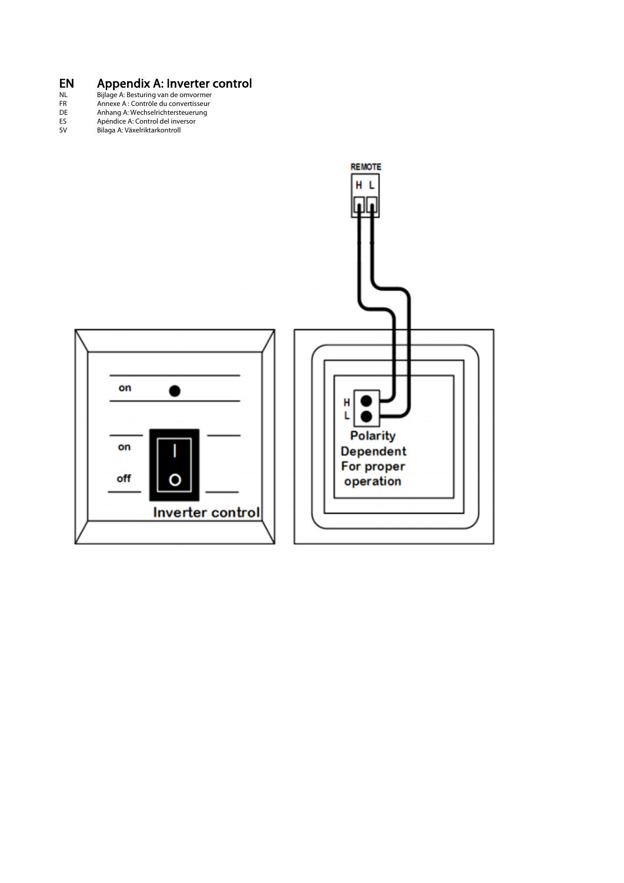# EN Appendix A: Inverter control<br>NL Bijlage A: Besturing van de omvormer

- FR Annexe A : Contrôle du convertisseur The American Constantine Constantine Constanting van de omvormer<br>
RR Annexe A : Contrôle du convertisseur<br>
DE Anhang A: Wechselrichtersteuerung<br>
ES Apéndice A: Control del inversor<br>
SV Bilaga A: Växelriktarkontroll
- 
- ES Apéndice A: Control del inversor
- SV Bilaga A: Växelriktarkontroll

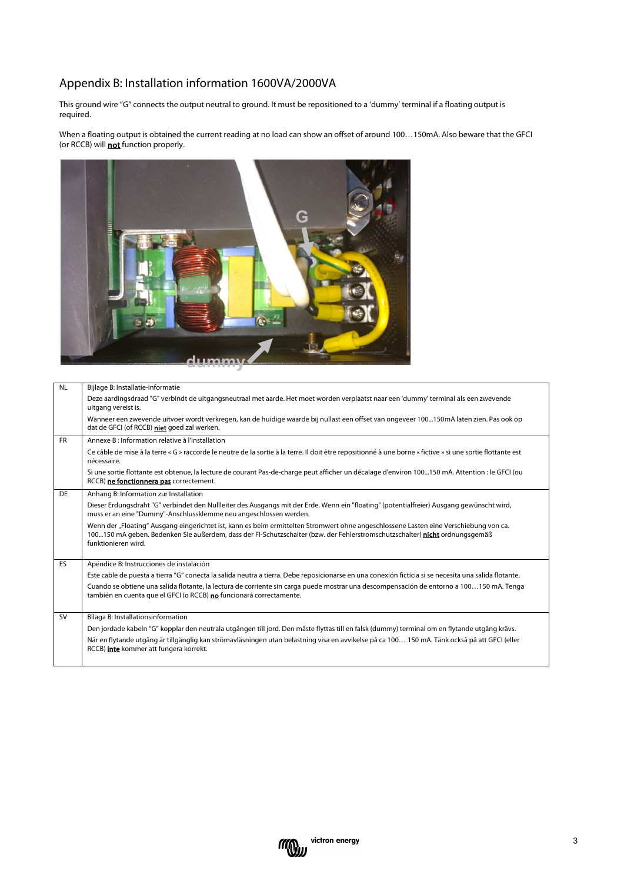## Appendix B: Installation information 1600VA/2000VA

This ground wire "G" connects the output neutral to ground. It must be repositioned to a 'dummy' terminal if a floating output is required.

When a floating output is obtained the current reading at no load can show an offset of around 100…150mA. Also beware that the GFCI (or RCCB) will **not** function properly.



| <b>NL</b> | Bijlage B: Installatie-informatie                                                                                                                                                                                                                                                           |
|-----------|---------------------------------------------------------------------------------------------------------------------------------------------------------------------------------------------------------------------------------------------------------------------------------------------|
|           | Deze aardingsdraad "G" verbindt de uitgangsneutraal met aarde. Het moet worden verplaatst naar een 'dummy' terminal als een zwevende<br>uitgang vereist is.                                                                                                                                 |
|           | Wanneer een zwevende uitvoer wordt verkregen, kan de huidige waarde bij nullast een offset van ongeveer 100150mA laten zien. Pas ook op<br>dat de GFCI (of RCCB) niet goed zal werken.                                                                                                      |
| <b>FR</b> | Annexe B: Information relative à l'installation                                                                                                                                                                                                                                             |
|           | Ce câble de mise à la terre « G » raccorde le neutre de la sortie à la terre. Il doit être repositionné à une borne « fictive » si une sortie flottante est<br>nécessaire.                                                                                                                  |
|           | Si une sortie flottante est obtenue, la lecture de courant Pas-de-charge peut afficher un décalage d'environ 100150 mA. Attention : le GFCI (ou<br>RCCB) ne fonctionnera pas correctement.                                                                                                  |
| <b>DE</b> | Anhang B: Information zur Installation                                                                                                                                                                                                                                                      |
|           | Dieser Erdungsdraht "G" verbindet den Nullleiter des Ausgangs mit der Erde. Wenn ein "floating" (potentialfreier) Ausgang gewünscht wird,<br>muss er an eine "Dummy"-Anschlussklemme neu angeschlossen werden.                                                                              |
|           | Wenn der "Floating" Ausgang eingerichtet ist, kann es beim ermittelten Stromwert ohne angeschlossene Lasten eine Verschiebung von ca.<br>100150 mA geben. Bedenken Sie außerdem, dass der FI-Schutzschalter (bzw. der Fehlerstromschutzschalter) nicht ordnungsgemäß<br>funktionieren wird. |
| ES        | Apéndice B: Instrucciones de instalación                                                                                                                                                                                                                                                    |
|           | Este cable de puesta a tierra "G" conecta la salida neutra a tierra. Debe reposicionarse en una conexión ficticia si se necesita una salida flotante.                                                                                                                                       |
|           | Cuando se obtiene una salida flotante, la lectura de corriente sin carga puede mostrar una descompensación de entorno a 100150 mA. Tenga<br>también en cuenta que el GFCI (o RCCB) no funcionará correctamente.                                                                             |
| <b>SV</b> | Bilaga B: Installationsinformation                                                                                                                                                                                                                                                          |
|           | Den jordade kabeln "G" kopplar den neutrala utgången till jord. Den måste flyttas till en falsk (dummy) terminal om en flytande utgång krävs.                                                                                                                                               |
|           | När en flytande utgång är tillgänglig kan strömavläsningen utan belastning visa en avvikelse på ca 100 150 mA. Tänk också på att GFCI (eller<br>RCCB) inte kommer att fungera korrekt.                                                                                                      |
|           |                                                                                                                                                                                                                                                                                             |

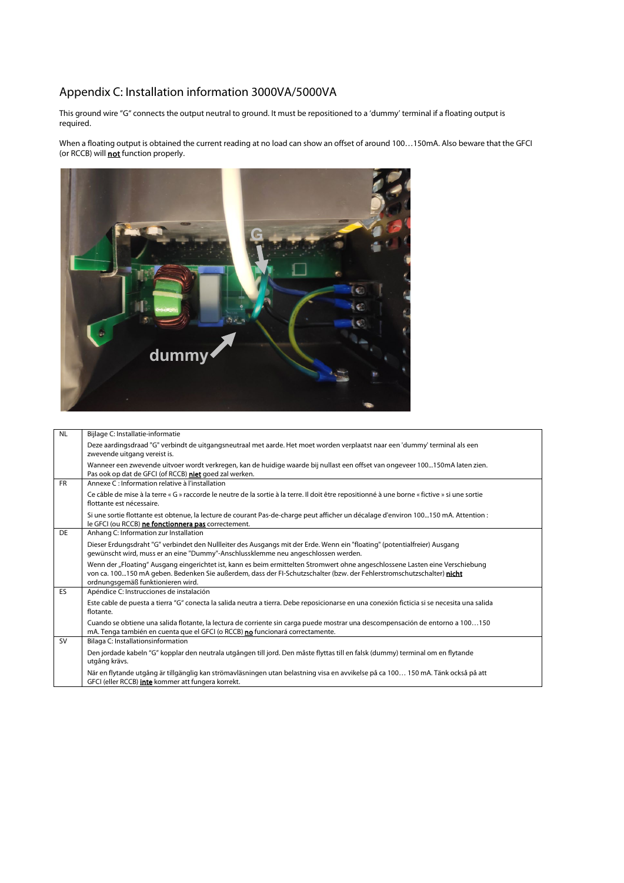## Appendix C: Installation information 3000VA/5000VA

This ground wire "G" connects the output neutral to ground. It must be repositioned to a 'dummy' terminal if a floating output is required.

When a floating output is obtained the current reading at no load can show an offset of around 100…150mA. Also beware that the GFCI (or RCCB) will not function properly.



| <b>NL</b> | Bijlage C: Installatie-informatie                                                                                                                                                                                                                                                           |
|-----------|---------------------------------------------------------------------------------------------------------------------------------------------------------------------------------------------------------------------------------------------------------------------------------------------|
|           | Deze aardingsdraad "G" verbindt de uitgangsneutraal met aarde. Het moet worden verplaatst naar een 'dummy' terminal als een<br>zwevende uitgang vereist is.                                                                                                                                 |
|           | Wanneer een zwevende uitvoer wordt verkregen, kan de huidige waarde bij nullast een offset van ongeveer 100150mA laten zien.<br>Pas ook op dat de GFCI (of RCCB) niet goed zal werken.                                                                                                      |
| <b>FR</b> | Annexe C: Information relative à l'installation                                                                                                                                                                                                                                             |
|           | Ce câble de mise à la terre « G » raccorde le neutre de la sortie à la terre. Il doit être repositionné à une borne « fictive » si une sortie<br>flottante est nécessaire.                                                                                                                  |
|           | Si une sortie flottante est obtenue, la lecture de courant Pas-de-charge peut afficher un décalage d'environ 100150 mA. Attention :<br>le GFCI (ou RCCB) ne fonctionnera pas correctement.                                                                                                  |
| DE        | Anhang C: Information zur Installation                                                                                                                                                                                                                                                      |
|           | Dieser Erdungsdraht "G" verbindet den Nullleiter des Ausgangs mit der Erde. Wenn ein "floating" (potentialfreier) Ausgang<br>gewünscht wird, muss er an eine "Dummy"-Anschlussklemme neu angeschlossen werden.                                                                              |
|           | Wenn der "Floating" Ausgang eingerichtet ist, kann es beim ermittelten Stromwert ohne angeschlossene Lasten eine Verschiebung<br>von ca. 100150 mA geben. Bedenken Sie außerdem, dass der FI-Schutzschalter (bzw. der Fehlerstromschutzschalter) nicht<br>ordnungsgemäß funktionieren wird. |
| <b>ES</b> | Apéndice C: Instrucciones de instalación                                                                                                                                                                                                                                                    |
|           | Este cable de puesta a tierra "G" conecta la salida neutra a tierra. Debe reposicionarse en una conexión ficticia si se necesita una salida<br>flotante.                                                                                                                                    |
|           | Cuando se obtiene una salida flotante, la lectura de corriente sin carga puede mostrar una descompensación de entorno a 100150<br>mA. Tenga también en cuenta que el GFCI (o RCCB) no funcionará correctamente.                                                                             |
| <b>SV</b> | Bilaga C: Installationsinformation                                                                                                                                                                                                                                                          |
|           | Den jordade kabeln "G" kopplar den neutrala utgången till jord. Den måste flyttas till en falsk (dummy) terminal om en flytande<br>utgång krävs.                                                                                                                                            |
|           | När en flytande utgång är tillgänglig kan strömavläsningen utan belastning visa en avvikelse på ca 100 150 mA. Tänk också på att<br>GFCI (eller RCCB) inte kommer att fungera korrekt.                                                                                                      |